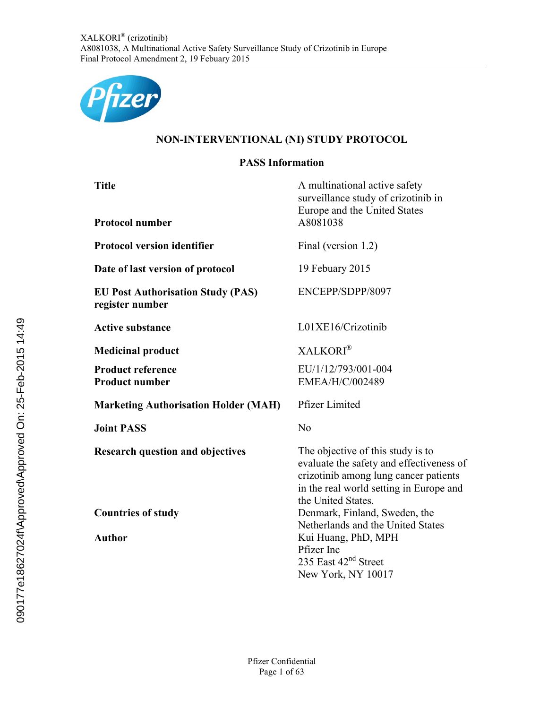

# **NON-INTERVENTIONAL (NI) STUDY PROTOCOL**

# **PASS Information**

| <b>Title</b><br><b>Protocol number</b>                      | A multinational active safety<br>surveillance study of crizotinib in<br>Europe and the United States<br>A8081038                                                                        |
|-------------------------------------------------------------|-----------------------------------------------------------------------------------------------------------------------------------------------------------------------------------------|
| <b>Protocol version identifier</b>                          | Final (version 1.2)                                                                                                                                                                     |
| Date of last version of protocol                            | 19 Febuary 2015                                                                                                                                                                         |
| <b>EU Post Authorisation Study (PAS)</b><br>register number | ENCEPP/SDPP/8097                                                                                                                                                                        |
| <b>Active substance</b>                                     | L01XE16/Crizotinib                                                                                                                                                                      |
| <b>Medicinal product</b>                                    | <b>XALKORI</b> <sup>®</sup>                                                                                                                                                             |
| <b>Product reference</b><br><b>Product number</b>           | EU/1/12/793/001-004<br>EMEA/H/C/002489                                                                                                                                                  |
| <b>Marketing Authorisation Holder (MAH)</b>                 | <b>Pfizer Limited</b>                                                                                                                                                                   |
| <b>Joint PASS</b>                                           | No                                                                                                                                                                                      |
| <b>Research question and objectives</b>                     | The objective of this study is to<br>evaluate the safety and effectiveness of<br>crizotinib among lung cancer patients<br>in the real world setting in Europe and<br>the United States. |
| <b>Countries of study</b>                                   | Denmark, Finland, Sweden, the<br>Netherlands and the United States                                                                                                                      |
| <b>Author</b>                                               | Kui Huang, PhD, MPH<br>Pfizer Inc<br>235 East 42 <sup>nd</sup> Street<br>New York, NY 10017                                                                                             |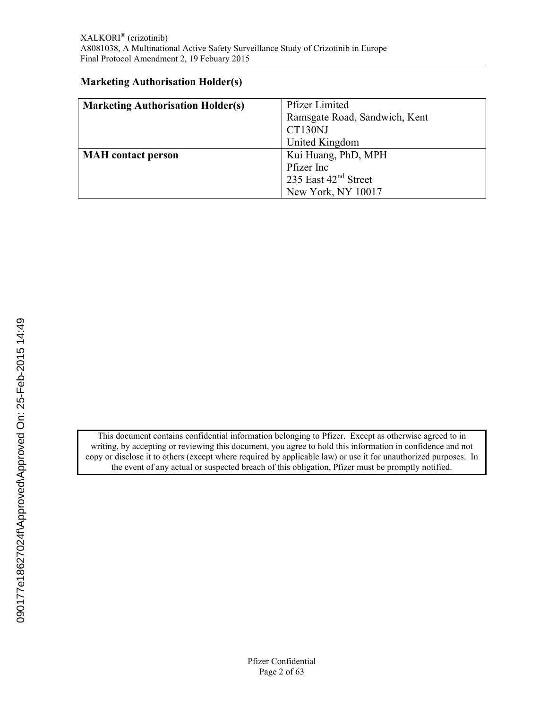### **Marketing Authorisation Holder(s)**

| <b>Marketing Authorisation Holder(s)</b> | <b>Pfizer Limited</b>            |  |
|------------------------------------------|----------------------------------|--|
|                                          | Ramsgate Road, Sandwich, Kent    |  |
|                                          | CT130NJ                          |  |
|                                          | United Kingdom                   |  |
| <b>MAH</b> contact person                | Kui Huang, PhD, MPH              |  |
|                                          | Pfizer Inc                       |  |
|                                          | 235 East 42 <sup>nd</sup> Street |  |
|                                          | New York, NY 10017               |  |

This document contains confidential information belonging to Pfizer. Except as otherwise agreed to in writing, by accepting or reviewing this document, you agree to hold this information in confidence and not copy or disclose it to others (except where required by applicable law) or use it for unauthorized purposes. In the event of any actual or suspected breach of this obligation, Pfizer must be promptly notified.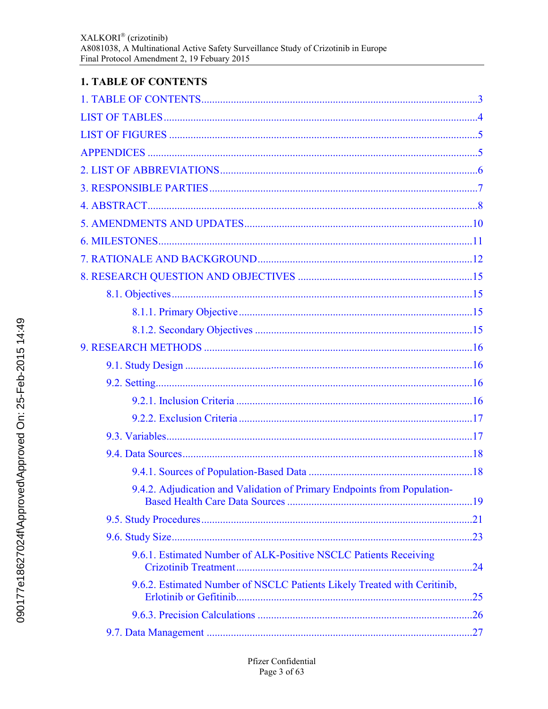# **1. TABLE OF CONTENTS**

| 9.4.2. Adjudication and Validation of Primary Endpoints from Population- |     |
|--------------------------------------------------------------------------|-----|
|                                                                          |     |
|                                                                          |     |
| 9.6.1. Estimated Number of ALK-Positive NSCLC Patients Receiving         | .24 |
| 9.6.2. Estimated Number of NSCLC Patients Likely Treated with Ceritinib, | .25 |
|                                                                          |     |
|                                                                          |     |
|                                                                          |     |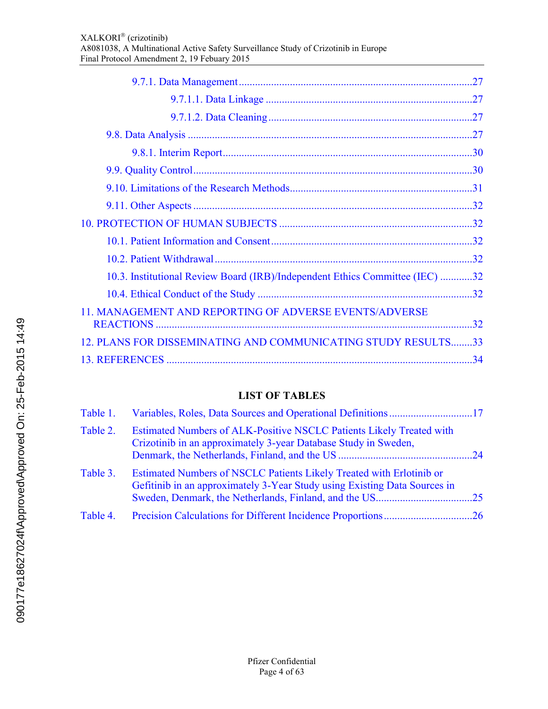| 10.3. Institutional Review Board (IRB)/Independent Ethics Committee (IEC) 32 |     |
|------------------------------------------------------------------------------|-----|
|                                                                              |     |
| 11. MANAGEMENT AND REPORTING OF ADVERSE EVENTS/ADVERSE                       |     |
|                                                                              | .32 |
| 12. PLANS FOR DISSEMINATING AND COMMUNICATING STUDY RESULTS33                |     |
|                                                                              |     |

# **LIST OF TABLES**

<span id="page-3-0"></span>

| Table 1. |                                                                                                                                                   |  |
|----------|---------------------------------------------------------------------------------------------------------------------------------------------------|--|
| Table 2. | Estimated Numbers of ALK-Positive NSCLC Patients Likely Treated with<br>Crizotinib in an approximately 3-year Database Study in Sweden,           |  |
| Table 3. | Estimated Numbers of NSCLC Patients Likely Treated with Erlotinib or<br>Gefitinib in an approximately 3-Year Study using Existing Data Sources in |  |
| Table 4. |                                                                                                                                                   |  |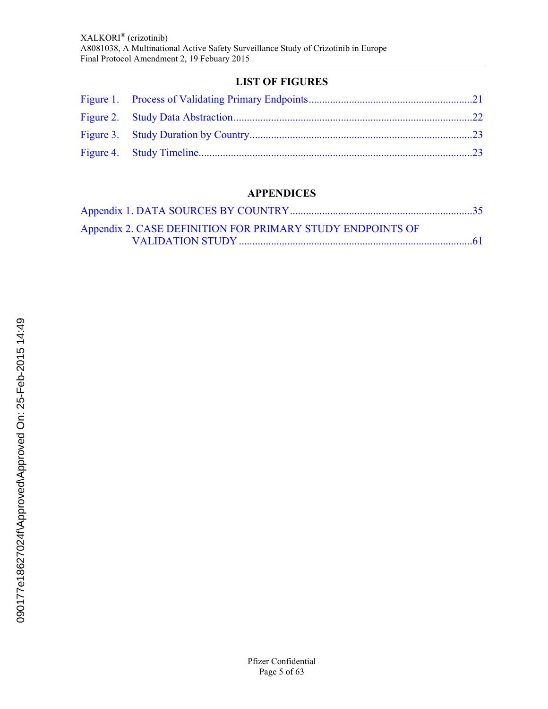# **LIST OF FIGURES**

<span id="page-4-0"></span>

# **APPENDICES**

| Appendix 2. CASE DEFINITION FOR PRIMARY STUDY ENDPOINTS OF |  |
|------------------------------------------------------------|--|
|                                                            |  |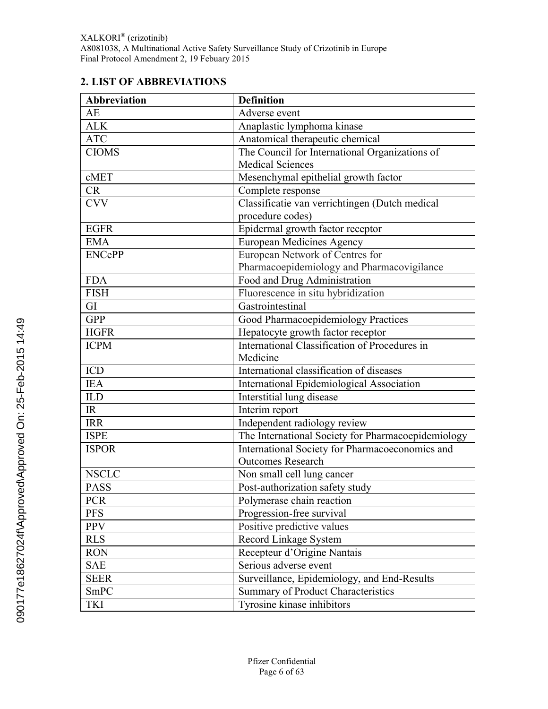# <span id="page-5-0"></span>**2. LIST OF ABBREVIATIONS**

| <b>Abbreviation</b> | <b>Definition</b>                                  |  |
|---------------------|----------------------------------------------------|--|
| AE                  | Adverse event                                      |  |
| <b>ALK</b>          | Anaplastic lymphoma kinase                         |  |
| <b>ATC</b>          | Anatomical therapeutic chemical                    |  |
| <b>CIOMS</b>        | The Council for International Organizations of     |  |
|                     | <b>Medical Sciences</b>                            |  |
| cMET                | Mesenchymal epithelial growth factor               |  |
| <b>CR</b>           | Complete response                                  |  |
| <b>CVV</b>          | Classificatie van verrichtingen (Dutch medical     |  |
|                     | procedure codes)                                   |  |
| <b>EGFR</b>         | Epidermal growth factor receptor                   |  |
| <b>EMA</b>          | <b>European Medicines Agency</b>                   |  |
| <b>ENCePP</b>       | European Network of Centres for                    |  |
|                     | Pharmacoepidemiology and Pharmacovigilance         |  |
| <b>FDA</b>          | Food and Drug Administration                       |  |
| <b>FISH</b>         | Fluorescence in situ hybridization                 |  |
| GI                  | Gastrointestinal                                   |  |
| <b>GPP</b>          | Good Pharmacoepidemiology Practices                |  |
| <b>HGFR</b>         | Hepatocyte growth factor receptor                  |  |
| <b>ICPM</b>         | International Classification of Procedures in      |  |
|                     | Medicine                                           |  |
| <b>ICD</b>          | International classification of diseases           |  |
| <b>IEA</b>          | International Epidemiological Association          |  |
| <b>ILD</b>          | Interstitial lung disease                          |  |
| IR                  | Interim report                                     |  |
| <b>IRR</b>          | Independent radiology review                       |  |
| <b>ISPE</b>         | The International Society for Pharmacoepidemiology |  |
| <b>ISPOR</b>        | International Society for Pharmacoeconomics and    |  |
|                     | <b>Outcomes Research</b>                           |  |
| <b>NSCLC</b>        | Non small cell lung cancer                         |  |
| <b>PASS</b>         | Post-authorization safety study                    |  |
| <b>PCR</b>          | Polymerase chain reaction                          |  |
| <b>PFS</b>          | Progression-free survival                          |  |
| <b>PPV</b>          | Positive predictive values                         |  |
| <b>RLS</b>          | Record Linkage System                              |  |
| <b>RON</b>          | Recepteur d'Origine Nantais                        |  |
| <b>SAE</b>          | Serious adverse event                              |  |
| <b>SEER</b>         | Surveillance, Epidemiology, and End-Results        |  |
| SmPC                | Summary of Product Characteristics                 |  |
| <b>TKI</b>          | Tyrosine kinase inhibitors                         |  |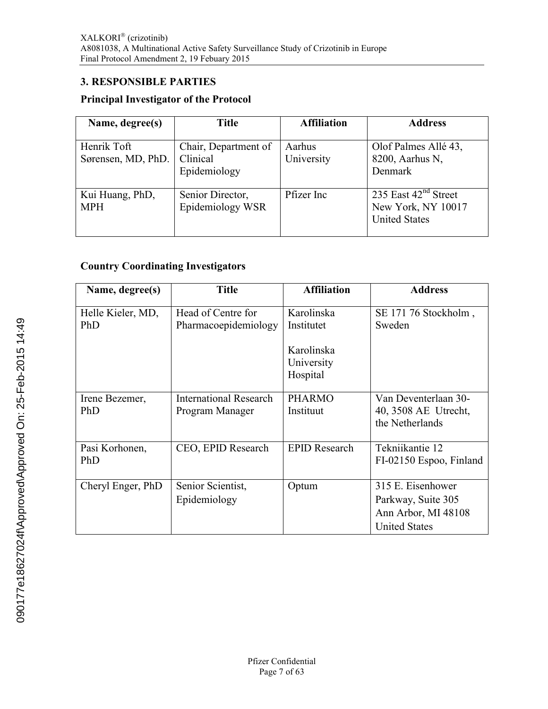### <span id="page-6-0"></span>**3. RESPONSIBLE PARTIES**

### **Principal Investigator of the Protocol**

| Name, degree(s)                   | <b>Title</b>                                     | <b>Affiliation</b>   | <b>Address</b>                                                       |
|-----------------------------------|--------------------------------------------------|----------------------|----------------------------------------------------------------------|
| Henrik Toft<br>Sørensen, MD, PhD. | Chair, Department of<br>Clinical<br>Epidemiology | Aarhus<br>University | Olof Palmes Allé 43,<br>8200, Aarhus N,<br>Denmark                   |
| Kui Huang, PhD,<br><b>MPH</b>     | Senior Director,<br>Epidemiology WSR             | Pfizer Inc           | 235 East $42nd$ Street<br>New York, NY 10017<br><b>United States</b> |

### **Country Coordinating Investigators**

| Name, degree(s)              | <b>Title</b>                                     | <b>Affiliation</b>                   | <b>Address</b>                                                                         |
|------------------------------|--------------------------------------------------|--------------------------------------|----------------------------------------------------------------------------------------|
| Helle Kieler, MD,<br>PhD     | Head of Centre for<br>Pharmacoepidemiology       | Karolinska<br>Institutet             | SE 171 76 Stockholm,<br>Sweden                                                         |
|                              |                                                  | Karolinska<br>University<br>Hospital |                                                                                        |
| Irene Bezemer,<br><b>PhD</b> | <b>International Research</b><br>Program Manager | <b>PHARMO</b><br>Instituut           | Van Deventerlaan 30-<br>40, 3508 AE Utrecht,<br>the Netherlands                        |
| Pasi Korhonen,<br>PhD        | CEO, EPID Research                               | <b>EPID Research</b>                 | Tekniikantie 12<br>FI-02150 Espoo, Finland                                             |
| Cheryl Enger, PhD            | Senior Scientist,<br>Epidemiology                | Optum                                | 315 E. Eisenhower<br>Parkway, Suite 305<br>Ann Arbor, MI 48108<br><b>United States</b> |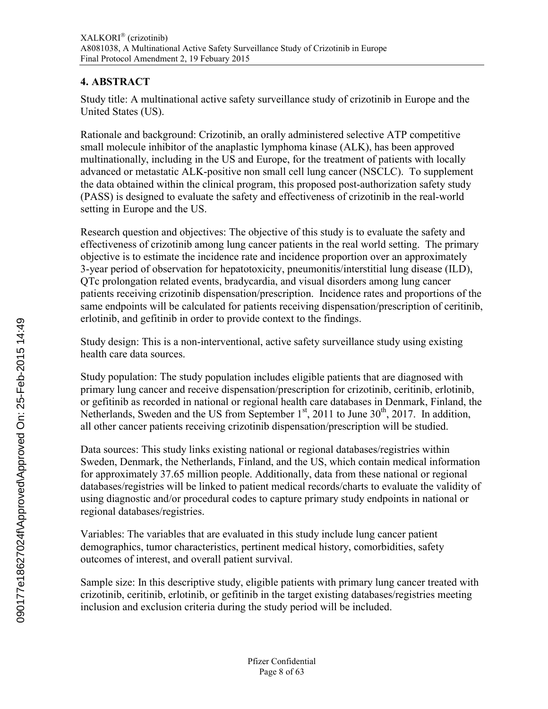# <span id="page-7-0"></span>**4. ABSTRACT**

Study title: A multinational active safety surveillance study of crizotinib in Europe and the United States (US).

Rationale and background: Crizotinib, an orally administered selective ATP competitive small molecule inhibitor of the anaplastic lymphoma kinase (ALK), has been approved multinationally, including in the US and Europe, for the treatment of patients with locally advanced or metastatic ALK-positive non small cell lung cancer (NSCLC). To supplement the data obtained within the clinical program, this proposed post-authorization safety study (PASS) is designed to evaluate the safety and effectiveness of crizotinib in the real-world setting in Europe and the US.

Research question and objectives: The objective of this study is to evaluate the safety and effectiveness of crizotinib among lung cancer patients in the real world setting. The primary objective is to estimate the incidence rate and incidence proportion over an approximately 3-year period of observation for hepatotoxicity, pneumonitis/interstitial lung disease (ILD), QTc prolongation related events, bradycardia, and visual disorders among lung cancer patients receiving crizotinib dispensation/prescription. Incidence rates and proportions of the same endpoints will be calculated for patients receiving dispensation/prescription of ceritinib, erlotinib, and gefitinib in order to provide context to the findings.

Study design: This is a non-interventional, active safety surveillance study using existing health care data sources.

Study population: The study population includes eligible patients that are diagnosed with primary lung cancer and receive dispensation/prescription for crizotinib, ceritinib, erlotinib, or gefitinib as recorded in national or regional health care databases in Denmark, Finland, the Netherlands, Sweden and the US from September  $1<sup>st</sup>$ , 2011 to June 30<sup>th</sup>, 2017. In addition, all other cancer patients receiving crizotinib dispensation/prescription will be studied.

Data sources: This study links existing national or regional databases/registries within Sweden, Denmark, the Netherlands, Finland, and the US, which contain medical information for approximately 37.65 million people. Additionally, data from these national or regional databases/registries will be linked to patient medical records/charts to evaluate the validity of using diagnostic and/or procedural codes to capture primary study endpoints in national or regional databases/registries.

Variables: The variables that are evaluated in this study include lung cancer patient demographics, tumor characteristics, pertinent medical history, comorbidities, safety outcomes of interest, and overall patient survival.

Sample size: In this descriptive study, eligible patients with primary lung cancer treated with crizotinib, ceritinib, erlotinib, or gefitinib in the target existing databases/registries meeting inclusion and exclusion criteria during the study period will be included.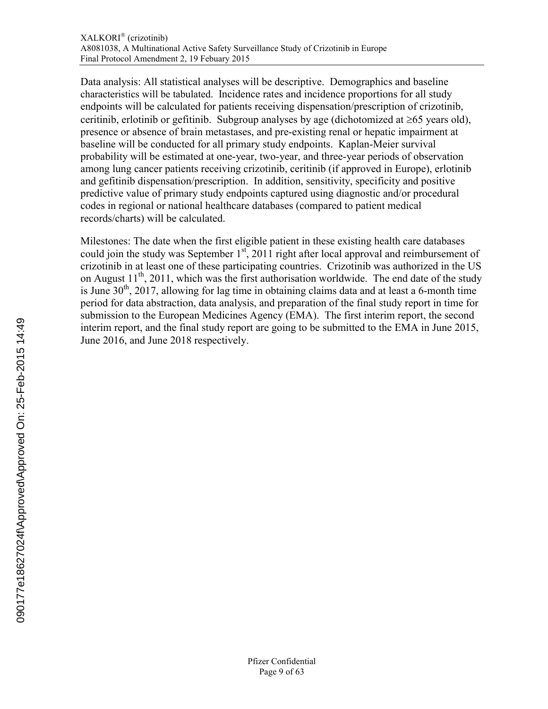Data analysis: All statistical analyses will be descriptive. Demographics and baseline characteristics will be tabulated. Incidence rates and incidence proportions for all study endpoints will be calculated for patients receiving dispensation/prescription of crizotinib, ceritinib, erlotinib or gefitinib. Subgroup analyses by age (dichotomized at  $\geq 65$  years old), presence or absence of brain metastases, and pre-existing renal or hepatic impairment at baseline will be conducted for all primary study endpoints. Kaplan-Meier survival probability will be estimated at one-year, two-year, and three-year periods of observation among lung cancer patients receiving crizotinib, ceritinib (if approved in Europe), erlotinib and gefitinib dispensation/prescription. In addition, sensitivity, specificity and positive predictive value of primary study endpoints captured using diagnostic and/or procedural codes in regional or national healthcare databases (compared to patient medical records/charts) will be calculated.

Milestones: The date when the first eligible patient in these existing health care databases could join the study was September  $1<sup>st</sup>$ , 2011 right after local approval and reimbursement of crizotinib in at least one of these participating countries. Crizotinib was authorized in the US on August  $11<sup>th</sup>$ , 2011, which was the first authorisation worldwide. The end date of the study is June  $30<sup>th</sup>$ ,  $2017$ , allowing for lag time in obtaining claims data and at least a 6-month time period for data abstraction, data analysis, and preparation of the final study report in time for submission to the European Medicines Agency (EMA). The first interim report, the second interim report, and the final study report are going to be submitted to the EMA in June 2015, June 2016, and June 2018 respectively.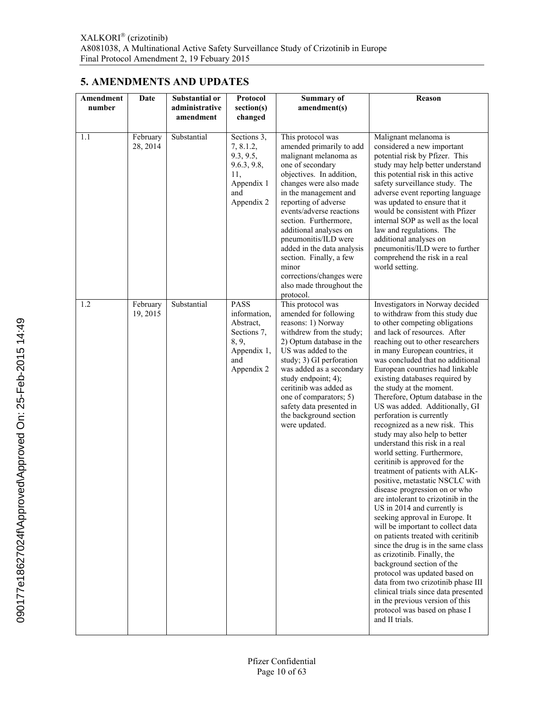# <span id="page-9-0"></span>**5. AMENDMENTS AND UPDATES**

| Amendment<br>number | Date                 | Substantial or<br>administrative<br>amendment | Protocol<br>section(s)<br>changed                                                                    | Summary of<br>amendment(s)                                                                                                                                                                                                                                                                                                                                                                                                                      | Reason                                                                                                                                                                                                                                                                                                                                                                                                                                                                                                                                                                                                                                                                                                                                                                                                                                                                                                                                                                                                                                                                                                                                                                                                                    |
|---------------------|----------------------|-----------------------------------------------|------------------------------------------------------------------------------------------------------|-------------------------------------------------------------------------------------------------------------------------------------------------------------------------------------------------------------------------------------------------------------------------------------------------------------------------------------------------------------------------------------------------------------------------------------------------|---------------------------------------------------------------------------------------------------------------------------------------------------------------------------------------------------------------------------------------------------------------------------------------------------------------------------------------------------------------------------------------------------------------------------------------------------------------------------------------------------------------------------------------------------------------------------------------------------------------------------------------------------------------------------------------------------------------------------------------------------------------------------------------------------------------------------------------------------------------------------------------------------------------------------------------------------------------------------------------------------------------------------------------------------------------------------------------------------------------------------------------------------------------------------------------------------------------------------|
| 1.1                 | February<br>28, 2014 | Substantial                                   | Sections 3,<br>7, 8.1.2,<br>9.3, 9.5,<br>9.6.3, 9.8,<br>11,<br>Appendix 1<br>and<br>Appendix 2       | This protocol was<br>amended primarily to add<br>malignant melanoma as<br>one of secondary<br>objectives. In addition,<br>changes were also made<br>in the management and<br>reporting of adverse<br>events/adverse reactions<br>section. Furthermore,<br>additional analyses on<br>pneumonitis/ILD were<br>added in the data analysis<br>section. Finally, a few<br>minor<br>corrections/changes were<br>also made throughout the<br>protocol. | Malignant melanoma is<br>considered a new important<br>potential risk by Pfizer. This<br>study may help better understand<br>this potential risk in this active<br>safety surveillance study. The<br>adverse event reporting language<br>was updated to ensure that it<br>would be consistent with Pfizer<br>internal SOP as well as the local<br>law and regulations. The<br>additional analyses on<br>pneumonitis/ILD were to further<br>comprehend the risk in a real<br>world setting.                                                                                                                                                                                                                                                                                                                                                                                                                                                                                                                                                                                                                                                                                                                                |
| 1.2                 | February<br>19, 2015 | Substantial                                   | <b>PASS</b><br>information,<br>Abstract,<br>Sections 7,<br>8, 9,<br>Appendix 1,<br>and<br>Appendix 2 | This protocol was<br>amended for following<br>reasons: 1) Norway<br>withdrew from the study;<br>2) Optum database in the<br>US was added to the<br>study; 3) GI perforation<br>was added as a secondary<br>study endpoint; 4);<br>ceritinib was added as<br>one of comparators; 5)<br>safety data presented in<br>the background section<br>were updated.                                                                                       | Investigators in Norway decided<br>to withdraw from this study due<br>to other competing obligations<br>and lack of resources. After<br>reaching out to other researchers<br>in many European countries, it<br>was concluded that no additional<br>European countries had linkable<br>existing databases required by<br>the study at the moment.<br>Therefore, Optum database in the<br>US was added. Additionally, GI<br>perforation is currently<br>recognized as a new risk. This<br>study may also help to better<br>understand this risk in a real<br>world setting. Furthermore,<br>ceritinib is approved for the<br>treatment of patients with ALK-<br>positive, metastatic NSCLC with<br>disease progression on or who<br>are intolerant to crizotinib in the<br>US in 2014 and currently is<br>seeking approval in Europe. It<br>will be important to collect data<br>on patients treated with ceritinib<br>since the drug is in the same class<br>as crizotinib. Finally, the<br>background section of the<br>protocol was updated based on<br>data from two crizotinib phase III<br>clinical trials since data presented<br>in the previous version of this<br>protocol was based on phase I<br>and II trials. |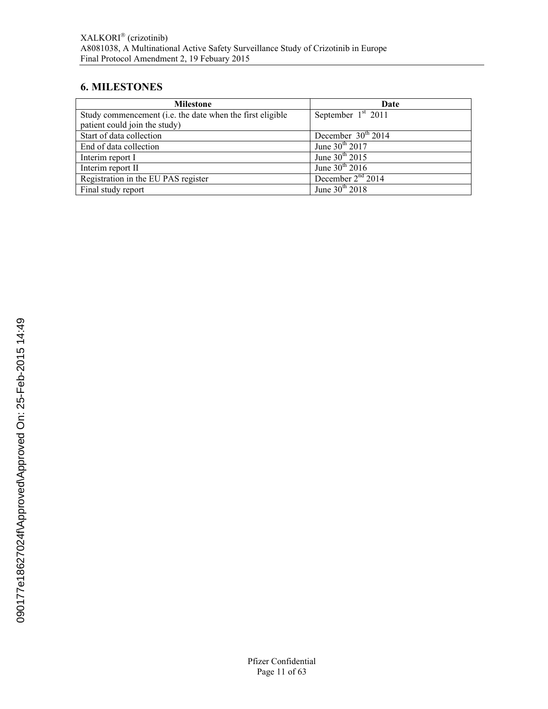# <span id="page-10-0"></span>**6. MILESTONES**

| <b>Milestone</b>                                          | Date                 |
|-----------------------------------------------------------|----------------------|
| Study commencement (i.e. the date when the first eligible | September $1st$ 2011 |
| patient could join the study)                             |                      |
| Start of data collection                                  | December $30th 2014$ |
| End of data collection                                    | June $30^{th}$ 2017  |
| Interim report I                                          | June $30^{th}$ 2015  |
| Interim report II                                         | June $30th 2016$     |
| Registration in the EU PAS register                       | December $2nd$ 2014  |
| Final study report                                        | June $30^{th}$ 2018  |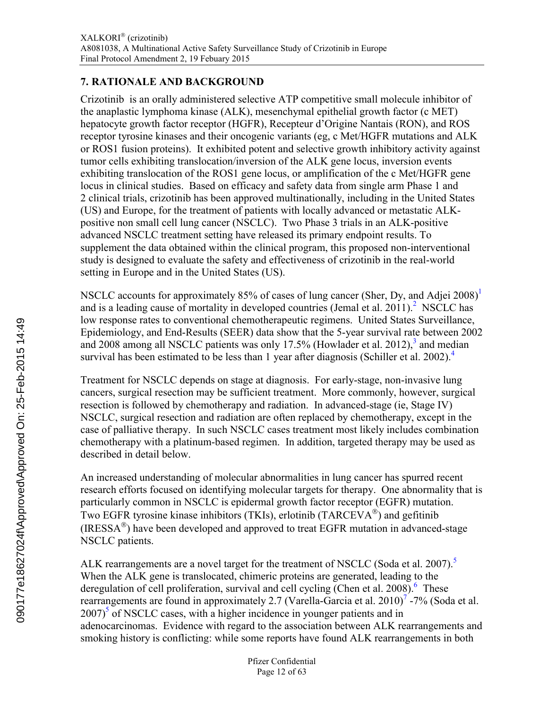# <span id="page-11-0"></span>**7. RATIONALE AND BACKGROUND**

Crizotinib is an orally administered selective ATP competitive small molecule inhibitor of the anaplastic lymphoma kinase (ALK), mesenchymal epithelial growth factor (c MET) hepatocyte growth factor receptor (HGFR), Recepteur d'Origine Nantais (RON), and ROS receptor tyrosine kinases and their oncogenic variants (eg, c Met/HGFR mutations and ALK or ROS1 fusion proteins). It exhibited potent and selective growth inhibitory activity against tumor cells exhibiting translocation/inversion of the ALK gene locus, inversion events exhibiting translocation of the ROS1 gene locus, or amplification of the c Met/HGFR gene locus in clinical studies. Based on efficacy and safety data from single arm Phase 1 and 2 clinical trials, crizotinib has been approved multinationally, including in the United States (US) and Europe, for the treatment of patients with locally advanced or metastatic ALKpositive non small cell lung cancer (NSCLC). Two Phase 3 trials in an ALK-positive advanced NSCLC treatment setting have released its primary endpoint results. To supplement the data obtained within the clinical program, this proposed non-interventional study is designed to evaluate the safety and effectiveness of crizotinib in the real-world setting in Europe and in the United States (US).

NSCLC accounts for approximately 85% of cases of lung cancer (Sher, Dy, and Adjei 2008)<sup>[1](#page-33-0)</sup> and is a leading cause of mortality in developed countries (Jemal et al. [2](#page-33-0)011).<sup>2</sup> NSCLC has low response rates to conventional chemotherapeutic regimens. United States Surveillance, Epidemiology, and End-Results (SEER) data show that the 5-year survival rate between 2002 and 2008 among all NSCLC patients was only 17.5% (Howlader et al. 2012), $3$  and median survival has been estimated to be less than 1 year after diagnosis (Schiller et al. 2002).<sup>[4](#page-33-0)</sup>

Treatment for NSCLC depends on stage at diagnosis. For early-stage, non-invasive lung cancers, surgical resection may be sufficient treatment. More commonly, however, surgical resection is followed by chemotherapy and radiation. In advanced-stage (ie, Stage IV) NSCLC, surgical resection and radiation are often replaced by chemotherapy, except in the case of palliative therapy. In such NSCLC cases treatment most likely includes combination chemotherapy with a platinum-based regimen. In addition, targeted therapy may be used as described in detail below.

An increased understanding of molecular abnormalities in lung cancer has spurred recent research efforts focused on identifying molecular targets for therapy. One abnormality that is particularly common in NSCLC is epidermal growth factor receptor (EGFR) mutation. Two EGFR tyrosine kinase inhibitors (TKIs), erlotinib (TARCEVA $^{\circledR}$ ) and gefitinib (IRESSA $^{\circledR}$ ) have been developed and approved to treat EGFR mutation in advanced-stage NSCLC patients.

ALK rearrangements are a novel target for the treatment of NSCLC (Soda et al. 2007).<sup>[5](#page-33-0)</sup> When the ALK gene is translocated, chimeric proteins are generated, leading to the deregulation of cell proliferation, survival and cell cycling (Chen et al. 2008).<sup>[6](#page-33-0)</sup> These rearrangements are found in approximately 2.[7](#page-33-0) (Varella-Garcia et al. 2010)<sup>7</sup> -7% (Soda et al.  $2007$ <sup>[5](#page-33-0)</sup> of NSCLC cases, with a higher incidence in younger patients and in adenocarcinomas. Evidence with regard to the association between ALK rearrangements and smoking history is conflicting: while some reports have found ALK rearrangements in both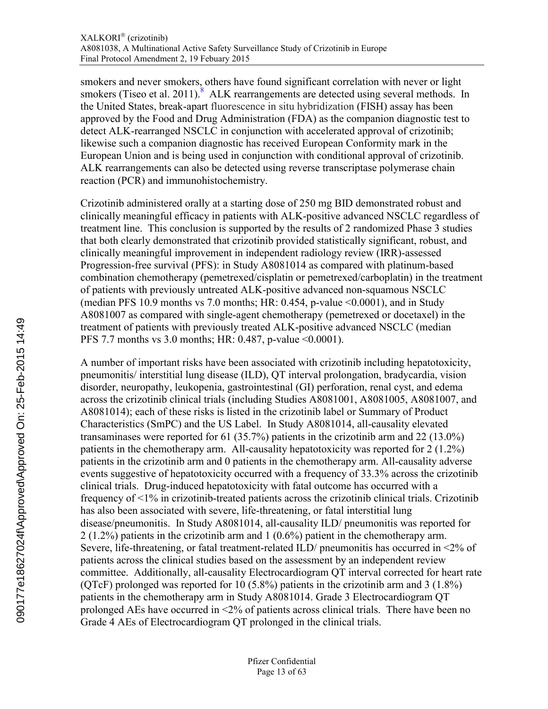smokers and never smokers, others have found significant correlation with never or light smokers (Tiseo et al. 2011). ALK rearrangements are detected using several methods. In the United States, break-apart fluorescence in situ hybridization (FISH) assay has been approved by the Food and Drug Administration (FDA) as the companion diagnostic test to detect ALK-rearranged NSCLC in conjunction with accelerated approval of crizotinib; likewise such a companion diagnostic has received European Conformity mark in the European Union and is being used in conjunction with conditional approval of crizotinib. ALK rearrangements can also be detected using reverse transcriptase polymerase chain reaction (PCR) and immunohistochemistry.

Crizotinib administered orally at a starting dose of 250 mg BID demonstrated robust and clinically meaningful efficacy in patients with ALK-positive advanced NSCLC regardless of treatment line. This conclusion is supported by the results of 2 randomized Phase 3 studies that both clearly demonstrated that crizotinib provided statistically significant, robust, and clinically meaningful improvement in independent radiology review (IRR)-assessed Progression-free survival (PFS): in Study A8081014 as compared with platinum-based combination chemotherapy (pemetrexed/cisplatin or pemetrexed/carboplatin) in the treatment of patients with previously untreated ALK-positive advanced non-squamous NSCLC (median PFS 10.9 months vs 7.0 months; HR: 0.454, p-value <0.0001), and in Study A8081007 as compared with single-agent chemotherapy (pemetrexed or docetaxel) in the treatment of patients with previously treated ALK-positive advanced NSCLC (median PFS 7.7 months vs 3.0 months; HR: 0.487, p-value <0.0001).

A number of important risks have been associated with crizotinib including hepatotoxicity, pneumonitis/ interstitial lung disease (ILD), QT interval prolongation, bradycardia, vision disorder, neuropathy, leukopenia, gastrointestinal (GI) perforation, renal cyst, and edema across the crizotinib clinical trials (including Studies A8081001, A8081005, A8081007, and A8081014); each of these risks is listed in the crizotinib label or Summary of Product Characteristics (SmPC) and the US Label. In Study A8081014, all-causality elevated transaminases were reported for 61 (35.7%) patients in the crizotinib arm and 22 (13.0%) patients in the chemotherapy arm. All-causality hepatotoxicity was reported for 2 (1.2%) patients in the crizotinib arm and 0 patients in the chemotherapy arm. All-causality adverse events suggestive of hepatotoxicity occurred with a frequency of 33.3% across the crizotinib clinical trials. Drug-induced hepatotoxicity with fatal outcome has occurred with a frequency of <1% in crizotinib-treated patients across the crizotinib clinical trials. Crizotinib has also been associated with severe, life-threatening, or fatal interstitial lung disease/pneumonitis. In Study A8081014, all-causality ILD/ pneumonitis was reported for 2 (1.2%) patients in the crizotinib arm and 1 (0.6%) patient in the chemotherapy arm. Severe, life-threatening, or fatal treatment-related ILD/ pneumonitis has occurred in <2% of patients across the clinical studies based on the assessment by an independent review committee. Additionally, all-causality Electrocardiogram QT interval corrected for heart rate (QTcF) prolonged was reported for 10 (5.8%) patients in the crizotinib arm and 3 (1.8%) patients in the chemotherapy arm in Study A8081014. Grade 3 Electrocardiogram QT prolonged AEs have occurred in <2% of patients across clinical trials. There have been no Grade 4 AEs of Electrocardiogram QT prolonged in the clinical trials.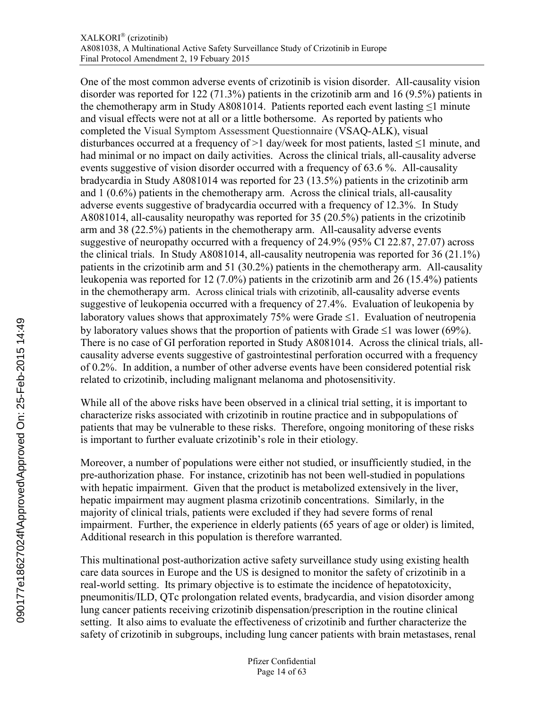One of the most common adverse events of crizotinib is vision disorder. All-causality vision disorder was reported for 122 (71.3%) patients in the crizotinib arm and 16 (9.5%) patients in the chemotherapy arm in Study A8081014. Patients reported each event lasting  $\leq 1$  minute and visual effects were not at all or a little bothersome. As reported by patients who completed the Visual Symptom Assessment Questionnaire (VSAQ-ALK), visual disturbances occurred at a frequency of >1 day/week for most patients, lasted  $\leq$ 1 minute, and had minimal or no impact on daily activities. Across the clinical trials, all-causality adverse events suggestive of vision disorder occurred with a frequency of 63.6 %. All-causality bradycardia in Study A8081014 was reported for 23 (13.5%) patients in the crizotinib arm and 1 (0.6%) patients in the chemotherapy arm. Across the clinical trials, all-causality adverse events suggestive of bradycardia occurred with a frequency of 12.3%. In Study A8081014, all-causality neuropathy was reported for 35 (20.5%) patients in the crizotinib arm and 38 (22.5%) patients in the chemotherapy arm. All-causality adverse events suggestive of neuropathy occurred with a frequency of 24.9% (95% CI 22.87, 27.07) across the clinical trials. In Study A8081014, all-causality neutropenia was reported for 36 (21.1%) patients in the crizotinib arm and 51 (30.2%) patients in the chemotherapy arm. All-causality leukopenia was reported for 12 (7.0%) patients in the crizotinib arm and 26 (15.4%) patients in the chemotherapy arm. Across clinical trials with crizotinib, all-causality adverse events suggestive of leukopenia occurred with a frequency of 27.4%. Evaluation of leukopenia by laboratory values shows that approximately 75% were Grade  $\leq 1$ . Evaluation of neutropenia by laboratory values shows that the proportion of patients with Grade  $\leq 1$  was lower (69%). There is no case of GI perforation reported in Study A8081014. Across the clinical trials, allcausality adverse events suggestive of gastrointestinal perforation occurred with a frequency of 0.2%. In addition, a number of other adverse events have been considered potential risk related to crizotinib, including malignant melanoma and photosensitivity.

While all of the above risks have been observed in a clinical trial setting, it is important to characterize risks associated with crizotinib in routine practice and in subpopulations of patients that may be vulnerable to these risks. Therefore, ongoing monitoring of these risks is important to further evaluate crizotinib's role in their etiology.

Moreover, a number of populations were either not studied, or insufficiently studied, in the pre-authorization phase. For instance, crizotinib has not been well-studied in populations with hepatic impairment. Given that the product is metabolized extensively in the liver, hepatic impairment may augment plasma crizotinib concentrations. Similarly, in the majority of clinical trials, patients were excluded if they had severe forms of renal impairment. Further, the experience in elderly patients (65 years of age or older) is limited, Additional research in this population is therefore warranted.

This multinational post-authorization active safety surveillance study using existing health care data sources in Europe and the US is designed to monitor the safety of crizotinib in a real-world setting. Its primary objective is to estimate the incidence of hepatotoxicity, pneumonitis/ILD, QTc prolongation related events, bradycardia, and vision disorder among lung cancer patients receiving crizotinib dispensation/prescription in the routine clinical setting. It also aims to evaluate the effectiveness of crizotinib and further characterize the safety of crizotinib in subgroups, including lung cancer patients with brain metastases, renal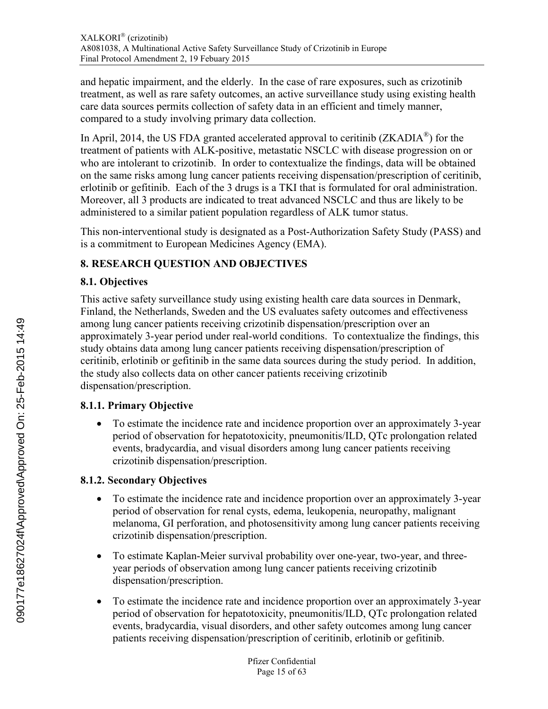<span id="page-14-1"></span>and hepatic impairment, and the elderly. In the case of rare exposures, such as crizotinib treatment, as well as rare safety outcomes, an active surveillance study using existing health care data sources permits collection of safety data in an efficient and timely manner, compared to a study involving primary data collection.

In April, 2014, the US FDA granted accelerated approval to ceritinib ( $ZKADIA^{\circledast}$ ) for the treatment of patients with ALK-positive, metastatic NSCLC with disease progression on or who are intolerant to crizotinib. In order to contextualize the findings, data will be obtained on the same risks among lung cancer patients receiving dispensation/prescription of ceritinib, erlotinib or gefitinib. Each of the 3 drugs is a TKI that is formulated for oral administration. Moreover, all 3 products are indicated to treat advanced NSCLC and thus are likely to be administered to a similar patient population regardless of ALK tumor status.

This non-interventional study is designated as a Post-Authorization Safety Study (PASS) and is a commitment to European Medicines Agency (EMA).

# **8. RESEARCH QUESTION AND OBJECTIVES**

# **8.1. Objectives**

This active safety surveillance study using existing health care data sources in Denmark, Finland, the Netherlands, Sweden and the US evaluates safety outcomes and effectiveness among lung cancer patients receiving crizotinib dispensation/prescription over an approximately 3-year period under real-world conditions. To contextualize the findings, this study obtains data among lung cancer patients receiving dispensation/prescription of ceritinib, erlotinib or gefitinib in the same data sources during the study period. In addition, the study also collects data on other cancer patients receiving crizotinib dispensation/prescription.

# <span id="page-14-0"></span>**8.1.1. Primary Objective**

 To estimate the incidence rate and incidence proportion over an approximately 3-year period of observation for hepatotoxicity, pneumonitis/ILD, QTc prolongation related events, bradycardia, and visual disorders among lung cancer patients receiving crizotinib dispensation/prescription.

# **8.1.2. Secondary Objectives**

- To estimate the incidence rate and incidence proportion over an approximately 3-year period of observation for renal cysts, edema, leukopenia, neuropathy, malignant melanoma, GI perforation, and photosensitivity among lung cancer patients receiving crizotinib dispensation/prescription.
- To estimate Kaplan-Meier survival probability over one-year, two-year, and threeyear periods of observation among lung cancer patients receiving crizotinib dispensation/prescription.
- To estimate the incidence rate and incidence proportion over an approximately 3-year period of observation for hepatotoxicity, pneumonitis/ILD, QTc prolongation related events, bradycardia, visual disorders, and other safety outcomes among lung cancer patients receiving dispensation/prescription of ceritinib, erlotinib or gefitinib.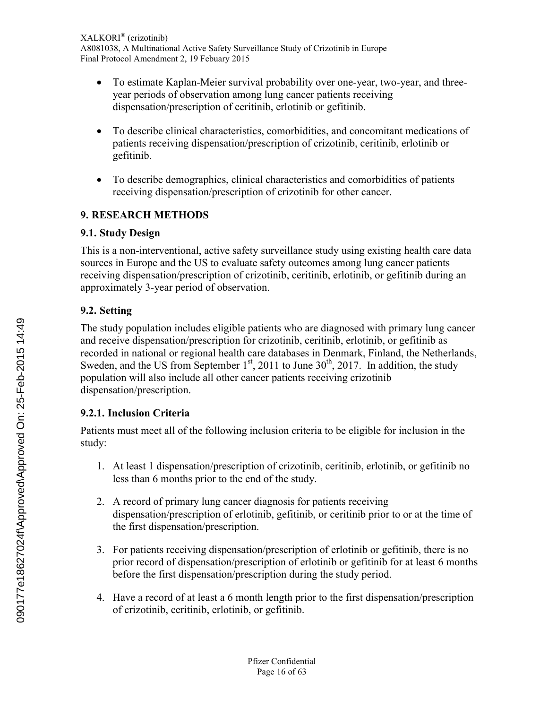- <span id="page-15-1"></span> To estimate Kaplan-Meier survival probability over one-year, two-year, and threeyear periods of observation among lung cancer patients receiving dispensation/prescription of ceritinib, erlotinib or gefitinib.
- To describe clinical characteristics, comorbidities, and concomitant medications of patients receiving dispensation/prescription of crizotinib, ceritinib, erlotinib or gefitinib.
- To describe demographics, clinical characteristics and comorbidities of patients receiving dispensation/prescription of crizotinib for other cancer.

# **9. RESEARCH METHODS**

# **9.1. Study Design**

This is a non-interventional, active safety surveillance study using existing health care data sources in Europe and the US to evaluate safety outcomes among lung cancer patients receiving dispensation/prescription of crizotinib, ceritinib, erlotinib, or gefitinib during an approximately 3-year period of observation.

# **9.2. Setting**

<span id="page-15-0"></span>The study population includes eligible patients who are diagnosed with primary lung cancer and receive dispensation/prescription for crizotinib, ceritinib, erlotinib, or gefitinib as recorded in national or regional health care databases in Denmark, Finland, the Netherlands, Sweden, and the US from September  $1<sup>st</sup>$ , 2011 to June  $30<sup>th</sup>$ , 2017. In addition, the study population will also include all other cancer patients receiving crizotinib dispensation/prescription.

# **9.2.1. Inclusion Criteria**

Patients must meet all of the following inclusion criteria to be eligible for inclusion in the study:

- 1. At least 1 dispensation/prescription of crizotinib, ceritinib, erlotinib, or gefitinib no less than 6 months prior to the end of the study.
- 2. A record of primary lung cancer diagnosis for patients receiving dispensation/prescription of erlotinib, gefitinib, or ceritinib prior to or at the time of the first dispensation/prescription.
- 3. For patients receiving dispensation/prescription of erlotinib or gefitinib, there is no prior record of dispensation/prescription of erlotinib or gefitinib for at least 6 months before the first dispensation/prescription during the study period.
- 4. Have a record of at least a 6 month length prior to the first dispensation/prescription of crizotinib, ceritinib, erlotinib, or gefitinib.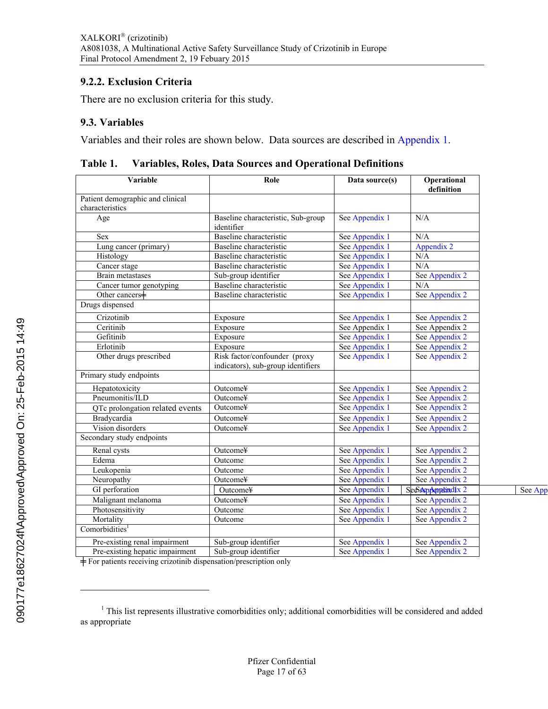### <span id="page-16-0"></span>**9.2.2. Exclusion Criteria**

There are no exclusion criteria for this study.

### **9.3. Variables**

Variables and their roles are shown below. Data sources are described in [Appendix](#page-34-0) 1.

| Variable                         | Role                                                                | Data source(s) | Operational<br>definition |         |
|----------------------------------|---------------------------------------------------------------------|----------------|---------------------------|---------|
| Patient demographic and clinical |                                                                     |                |                           |         |
| characteristics                  |                                                                     |                |                           |         |
| Age                              | Baseline characteristic, Sub-group<br>identifier                    | See Appendix 1 | N/A                       |         |
| Sex                              | Baseline characteristic                                             | See Appendix 1 | N/A                       |         |
| Lung cancer (primary)            | Baseline characteristic                                             | See Appendix 1 | Appendix 2                |         |
| Histology                        | Baseline characteristic                                             | See Appendix 1 | N/A                       |         |
| Cancer stage                     | Baseline characteristic                                             | See Appendix 1 | N/A                       |         |
| Brain metastases                 | Sub-group identifier                                                | See Appendix 1 | See Appendix 2            |         |
| Cancer tumor genotyping          | Baseline characteristic                                             | See Appendix 1 | N/A                       |         |
| Other cancers+                   | Baseline characteristic                                             | See Appendix 1 | See Appendix 2            |         |
| Drugs dispensed                  |                                                                     |                |                           |         |
| Crizotinib                       | Exposure                                                            | See Appendix 1 | See Appendix 2            |         |
| Ceritinib                        | Exposure                                                            | See Appendix 1 | See Appendix 2            |         |
| Gefitinib                        | Exposure                                                            | See Appendix 1 | See Appendix 2            |         |
| Erlotinib                        | Exposure                                                            | See Appendix 1 | See Appendix 2            |         |
| Other drugs prescribed           | Risk factor/confounder (proxy<br>indicators), sub-group identifiers | See Appendix 1 | See Appendix 2            |         |
| Primary study endpoints          |                                                                     |                |                           |         |
| Hepatotoxicity                   | Outcome¥                                                            | See Appendix 1 | See Appendix 2            |         |
| Pneumonitis/ILD                  | Outcome¥                                                            | See Appendix 1 | See Appendix 2            |         |
| QTc prolongation related events  | Outcome¥                                                            | See Appendix 1 | See Appendix 2            |         |
| Bradycardia                      | Outcome¥                                                            | See Appendix 1 | See Appendix 2            |         |
| Vision disorders                 | Outcome¥                                                            | See Appendix 1 | See Appendix 2            |         |
| Secondary study endpoints        |                                                                     |                |                           |         |
| Renal cysts                      | Outcome¥                                                            | See Appendix 1 | See Appendix 2            |         |
| Edema                            | Outcome                                                             | See Appendix 1 | See Appendix 2            |         |
| Leukopenia                       | Outcome                                                             | See Appendix 1 | See Appendix 2            |         |
| Neuropathy                       | Outcome¥                                                            | See Appendix 1 | See Appendix 2            |         |
| GI perforation                   | Outcome¥                                                            | See Appendix 1 | SeeSeeppembrdix 2         | See App |
| Malignant melanoma               | Outcome¥                                                            | See Appendix 1 | See Appendix 2            |         |
| Photosensitivity                 | Outcome                                                             | See Appendix 1 | See Appendix 2            |         |
| Mortality                        | Outcome                                                             | See Appendix 1 | See Appendix 2            |         |
| Comorbidities <sup>1</sup>       |                                                                     |                |                           |         |
| Pre-existing renal impairment    | Sub-group identifier                                                | See Appendix 1 | See Appendix 2            |         |
| Pre-existing hepatic impairment  | Sub-group identifier                                                | See Appendix 1 | See Appendix 2            |         |

**Table 1. Variables, Roles, Data Sources and Operational Definitions**

 $\doteq$  For patients receiving crizotinib dispensation/prescription only

 $\overline{a}$ 

<sup>&</sup>lt;sup>1</sup> This list represents illustrative comorbidities only; additional comorbidities will be considered and added as appropriate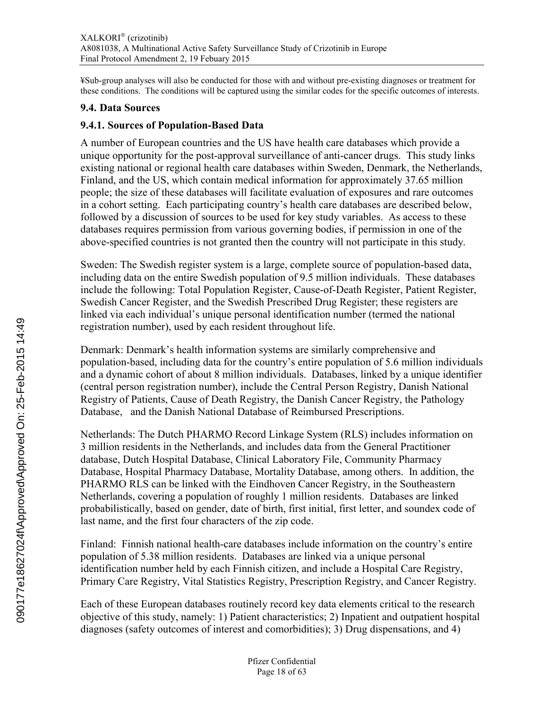<span id="page-17-0"></span>¥Sub-group analyses will also be conducted for those with and without pre-existing diagnoses or treatment for these conditions. The conditions will be captured using the similar codes for the specific outcomes of interests.

### **9.4. Data Sources**

### **9.4.1. Sources of Population-Based Data**

A number of European countries and the US have health care databases which provide a unique opportunity for the post-approval surveillance of anti-cancer drugs. This study links existing national or regional health care databases within Sweden, Denmark, the Netherlands, Finland, and the US, which contain medical information for approximately 37.65 million people; the size of these databases will facilitate evaluation of exposures and rare outcomes in a cohort setting. Each participating country's health care databases are described below, followed by a discussion of sources to be used for key study variables. As access to these databases requires permission from various governing bodies, if permission in one of the above-specified countries is not granted then the country will not participate in this study.

Sweden: The Swedish register system is a large, complete source of population-based data, including data on the entire Swedish population of 9.5 million individuals. These databases include the following: Total Population Register, Cause-of-Death Register, Patient Register, Swedish Cancer Register, and the Swedish Prescribed Drug Register; these registers are linked via each individual's unique personal identification number (termed the national registration number), used by each resident throughout life.

Denmark: Denmark's health information systems are similarly comprehensive and population-based, including data for the country's entire population of 5.6 million individuals and a dynamic cohort of about 8 million individuals. Databases, linked by a unique identifier (central person registration number), include the Central Person Registry, Danish National Registry of Patients, Cause of Death Registry, the Danish Cancer Registry, the Pathology Database, and the Danish National Database of Reimbursed Prescriptions.

Netherlands: The Dutch PHARMO Record Linkage System (RLS) includes information on 3 million residents in the Netherlands, and includes data from the General Practitioner database, Dutch Hospital Database, Clinical Laboratory File, Community Pharmacy Database, Hospital Pharmacy Database, Mortality Database, among others. In addition, the PHARMO RLS can be linked with the Eindhoven Cancer Registry, in the Southeastern Netherlands, covering a population of roughly 1 million residents. Databases are linked probabilistically, based on gender, date of birth, first initial, first letter, and soundex code of last name, and the first four characters of the zip code.

Finland: Finnish national health-care databases include information on the country's entire population of 5.38 million residents. Databases are linked via a unique personal identification number held by each Finnish citizen, and include a Hospital Care Registry, Primary Care Registry, Vital Statistics Registry, Prescription Registry, and Cancer Registry.

Each of these European databases routinely record key data elements critical to the research objective of this study, namely: 1) Patient characteristics; 2) Inpatient and outpatient hospital diagnoses (safety outcomes of interest and comorbidities); 3) Drug dispensations, and 4)

090177e18627024f\Approved\Approved On: 25-Feb-2015 14:49 090177e18627024f\Approved\Approved On: 25-Feb-2015 14:49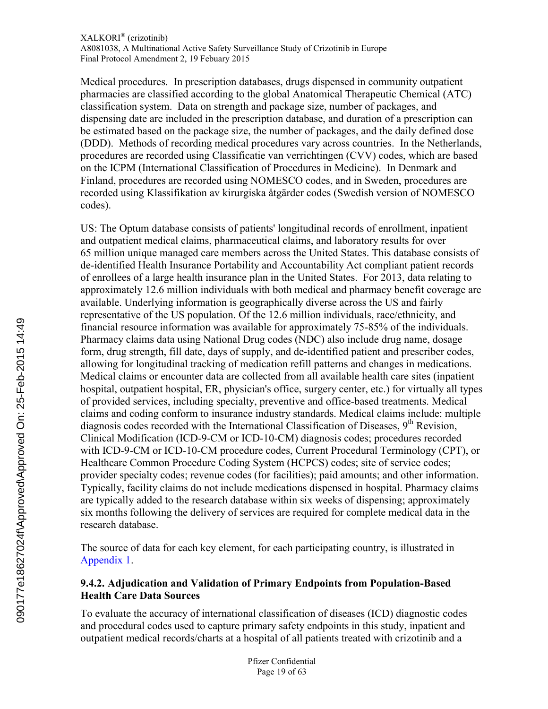Medical procedures. In prescription databases, drugs dispensed in community outpatient pharmacies are classified according to the global Anatomical Therapeutic Chemical (ATC) classification system. Data on strength and package size, number of packages, and dispensing date are included in the prescription database, and duration of a prescription can be estimated based on the package size, the number of packages, and the daily defined dose (DDD). Methods of recording medical procedures vary across countries. In the Netherlands, procedures are recorded using Classificatie van verrichtingen (CVV) codes, which are based on the ICPM (International Classification of Procedures in Medicine). In Denmark and Finland, procedures are recorded using NOMESCO codes, and in Sweden, procedures are recorded using Klassifikation av kirurgiska åtgärder codes (Swedish version of NOMESCO codes).

<span id="page-18-0"></span>US: The Optum database consists of patients' longitudinal records of enrollment, inpatient and outpatient medical claims, pharmaceutical claims, and laboratory results for over 65 million unique managed care members across the United States. This database consists of de-identified Health Insurance Portability and Accountability Act compliant patient records of enrollees of a large health insurance plan in the United States. For 2013, data relating to approximately 12.6 million individuals with both medical and pharmacy benefit coverage are available. Underlying information is geographically diverse across the US and fairly representative of the US population. Of the 12.6 million individuals, race/ethnicity, and financial resource information was available for approximately 75-85% of the individuals. Pharmacy claims data using National Drug codes (NDC) also include drug name, dosage form, drug strength, fill date, days of supply, and de-identified patient and prescriber codes, allowing for longitudinal tracking of medication refill patterns and changes in medications. Medical claims or encounter data are collected from all available health care sites (inpatient hospital, outpatient hospital, ER, physician's office, surgery center, etc.) for virtually all types of provided services, including specialty, preventive and office-based treatments. Medical claims and coding conform to insurance industry standards. Medical claims include: multiple diagnosis codes recorded with the International Classification of Diseases,  $9<sup>th</sup>$  Revision, Clinical Modification (ICD-9-CM or ICD-10-CM) diagnosis codes; procedures recorded with ICD-9-CM or ICD-10-CM procedure codes, Current Procedural Terminology (CPT), or Healthcare Common Procedure Coding System (HCPCS) codes; site of service codes; provider specialty codes; revenue codes (for facilities); paid amounts; and other information. Typically, facility claims do not include medications dispensed in hospital. Pharmacy claims are typically added to the research database within six weeks of dispensing; approximately six months following the delivery of services are required for complete medical data in the research database.

The source of data for each key element, for each participating country, is illustrated in [Appendix](#page-34-0) 1.

# **9.4.2. Adjudication and Validation of Primary Endpoints from Population-Based Health Care Data Sources**

To evaluate the accuracy of international classification of diseases (ICD) diagnostic codes and procedural codes used to capture primary safety endpoints in this study, inpatient and outpatient medical records/charts at a hospital of all patients treated with crizotinib and a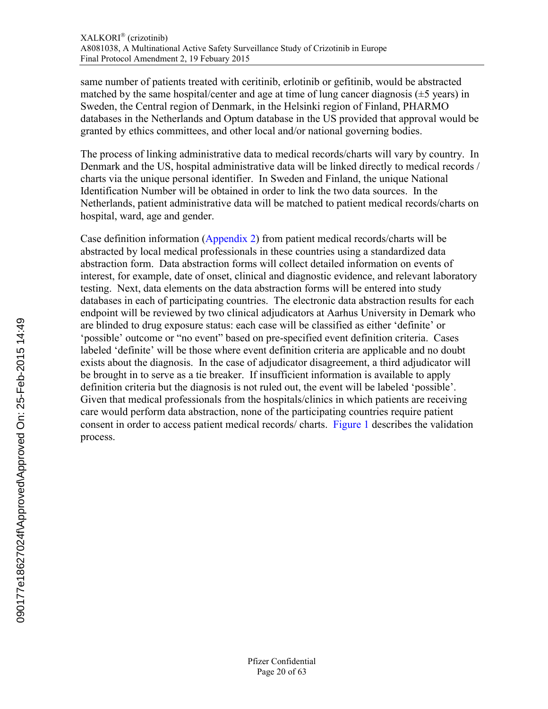same number of patients treated with ceritinib, erlotinib or gefitinib, would be abstracted matched by the same hospital/center and age at time of lung cancer diagnosis  $(\pm 5 \text{ years})$  in Sweden, the Central region of Denmark, in the Helsinki region of Finland, PHARMO databases in the Netherlands and Optum database in the US provided that approval would be granted by ethics committees, and other local and/or national governing bodies.

The process of linking administrative data to medical records/charts will vary by country. In Denmark and the US, hospital administrative data will be linked directly to medical records / charts via the unique personal identifier. In Sweden and Finland, the unique National Identification Number will be obtained in order to link the two data sources. In the Netherlands, patient administrative data will be matched to patient medical records/charts on hospital, ward, age and gender.

Case definition information ([Appendix](#page-60-0) 2) from patient medical records/charts will be abstracted by local medical professionals in these countries using a standardized data abstraction form. Data abstraction forms will collect detailed information on events of interest, for example, date of onset, clinical and diagnostic evidence, and relevant laboratory testing. Next, data elements on the data abstraction forms will be entered into study databases in each of participating countries. The electronic data abstraction results for each endpoint will be reviewed by two clinical adjudicators at Aarhus University in Demark who are blinded to drug exposure status: each case will be classified as either 'definite' or 'possible' outcome or "no event" based on pre-specified event definition criteria. Cases labeled 'definite' will be those where event definition criteria are applicable and no doubt exists about the diagnosis. In the case of adjudicator disagreement, a third adjudicator will be brought in to serve as a tie breaker. If insufficient information is available to apply definition criteria but the diagnosis is not ruled out, the event will be labeled 'possible'. Given that medical professionals from the hospitals/clinics in which patients are receiving care would perform data abstraction, none of the participating countries require patient consent in order to access patient medical records/ charts. [Figure](#page-20-1) 1 describes the validation process.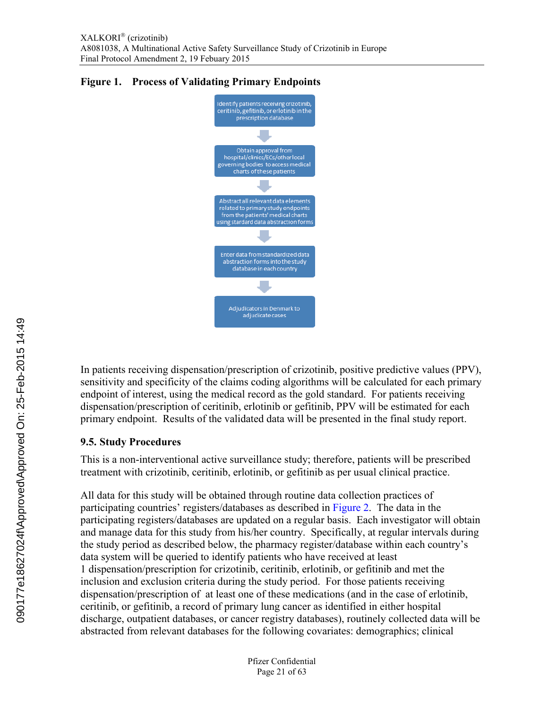<span id="page-20-1"></span>



<span id="page-20-0"></span>In patients receiving dispensation/prescription of crizotinib, positive predictive values (PPV), sensitivity and specificity of the claims coding algorithms will be calculated for each primary endpoint of interest, using the medical record as the gold standard. For patients receiving dispensation/prescription of ceritinib, erlotinib or gefitinib, PPV will be estimated for each primary endpoint. Results of the validated data will be presented in the final study report.

# **9.5. Study Procedures**

This is a non-interventional active surveillance study; therefore, patients will be prescribed treatment with crizotinib, ceritinib, erlotinib, or gefitinib as per usual clinical practice.

All data for this study will be obtained through routine data collection practices of participating countries' registers/databases as described in [Figure](#page-21-0) 2. The data in the participating registers/databases are updated on a regular basis. Each investigator will obtain and manage data for this study from his/her country. Specifically, at regular intervals during the study period as described below, the pharmacy register/database within each country's data system will be queried to identify patients who have received at least 1 dispensation/prescription for crizotinib, ceritinib, erlotinib, or gefitinib and met the inclusion and exclusion criteria during the study period. For those patients receiving dispensation/prescription of at least one of these medications (and in the case of erlotinib, ceritinib, or gefitinib, a record of primary lung cancer as identified in either hospital discharge, outpatient databases, or cancer registry databases), routinely collected data will be abstracted from relevant databases for the following covariates: demographics; clinical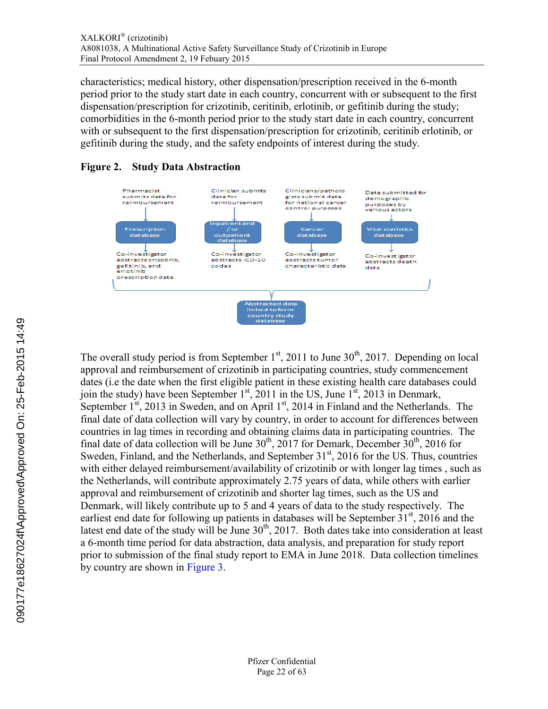<span id="page-21-0"></span>characteristics; medical history, other dispensation/prescription received in the 6-month period prior to the study start date in each country, concurrent with or subsequent to the first dispensation/prescription for crizotinib, ceritinib, erlotinib, or gefitinib during the study; comorbidities in the 6-month period prior to the study start date in each country, concurrent with or subsequent to the first dispensation/prescription for crizotinib, ceritinib erlotinib, or gefitinib during the study, and the safety endpoints of interest during the study.

### **Figure 2. Study Data Abstraction**



The overall study period is from September  $1<sup>st</sup>$ , 2011 to June 30<sup>th</sup>, 2017. Depending on local approval and reimbursement of crizotinib in participating countries, study commencement dates (i.e the date when the first eligible patient in these existing health care databases could join the study) have been September  $1<sup>st</sup>$ , 2011 in the US, June  $1<sup>st</sup>$ , 2013 in Denmark, September 1<sup>st</sup>, 2013 in Sweden, and on April 1<sup>st</sup>, 2014 in Finland and the Netherlands. The final date of data collection will vary by country, in order to account for differences between countries in lag times in recording and obtaining claims data in participating countries. The final date of data collection will be June  $30<sup>th</sup>$ ,  $2017$  for Demark, December  $30<sup>th</sup>$ ,  $2016$  for Sweden, Finland, and the Netherlands, and September 31<sup>st</sup>, 2016 for the US. Thus, countries with either delayed reimbursement/availability of crizotinib or with longer lag times, such as the Netherlands, will contribute approximately 2.75 years of data, while others with earlier approval and reimbursement of crizotinib and shorter lag times, such as the US and Denmark, will likely contribute up to 5 and 4 years of data to the study respectively. The earliest end date for following up patients in databases will be September 31<sup>st</sup>, 2016 and the latest end date of the study will be June  $30<sup>th</sup>$ , 2017. Both dates take into consideration at least a 6-month time period for data abstraction, data analysis, and preparation for study report prior to submission of the final study report to EMA in June 2018. Data collection timelines by country are shown in [Figure](#page-22-1) 3.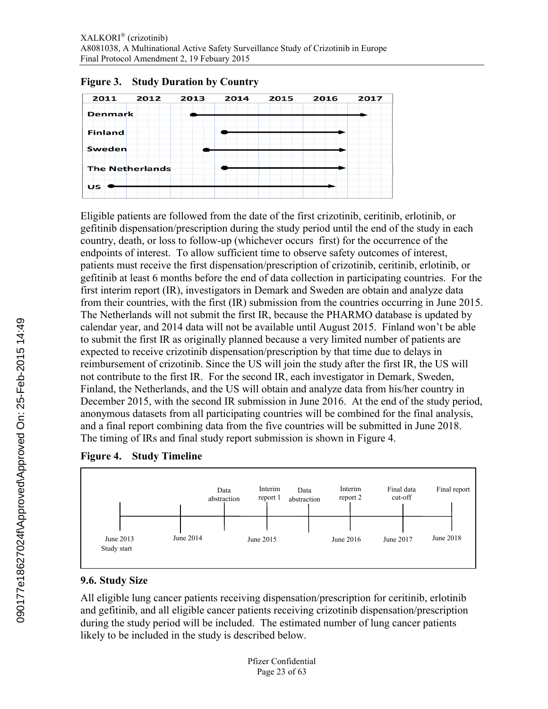

### <span id="page-22-1"></span>**Figure 3. Study Duration by Country**

Eligible patients are followed from the date of the first crizotinib, ceritinib, erlotinib, or gefitinib dispensation/prescription during the study period until the end of the study in each country, death, or loss to follow-up (whichever occurs first) for the occurrence of the endpoints of interest. To allow sufficient time to observe safety outcomes of interest, patients must receive the first dispensation/prescription of crizotinib, ceritinib, erlotinib, or gefitinib at least 6 months before the end of data collection in participating countries. For the first interim report (IR), investigators in Demark and Sweden are obtain and analyze data from their countries, with the first (IR) submission from the countries occurring in June 2015. The Netherlands will not submit the first IR, because the PHARMO database is updated by calendar year, and 2014 data will not be available until August 2015. Finland won't be able to submit the first IR as originally planned because a very limited number of patients are expected to receive crizotinib dispensation/prescription by that time due to delays in reimbursement of crizotinib. Since the US will join the study after the first IR, the US will not contribute to the first IR. For the second IR, each investigator in Demark, Sweden, Finland, the Netherlands, and the US will obtain and analyze data from his/her country in December 2015, with the second IR submission in June 2016. At the end of the study period, anonymous datasets from all participating countries will be combined for the final analysis, and a final report combining data from the five countries will be submitted in June 2018. The timing of IRs and final study report submission is shown in Figure 4.

<span id="page-22-0"></span>



# **9.6. Study Size**

All eligible lung cancer patients receiving dispensation/prescription for ceritinib, erlotinib and gefitinib, and all eligible cancer patients receiving crizotinib dispensation/prescription during the study period will be included. The estimated number of lung cancer patients likely to be included in the study is described below.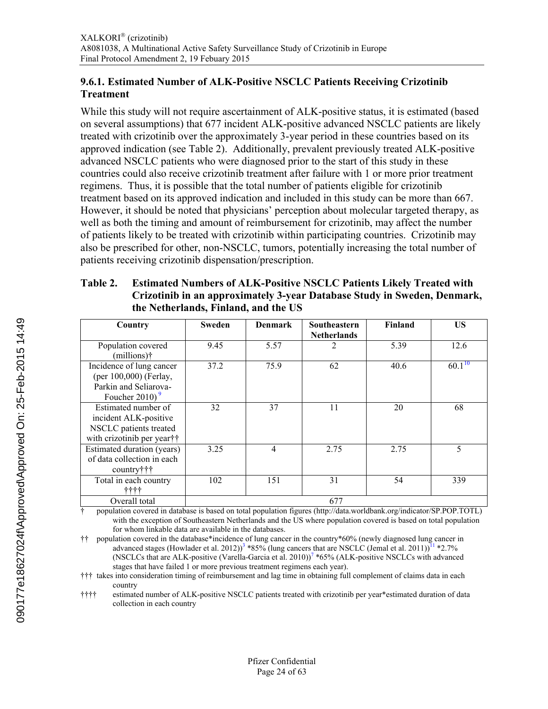### <span id="page-23-0"></span>**9.6.1. Estimated Number of ALK-Positive NSCLC Patients Receiving Crizotinib Treatment**

While this study will not require ascertainment of ALK-positive status, it is estimated (based on several assumptions) that 677 incident ALK-positive advanced NSCLC patients are likely treated with crizotinib over the approximately 3-year period in these countries based on its approved indication (see Table 2). Additionally, prevalent previously treated ALK-positive advanced NSCLC patients who were diagnosed prior to the start of this study in these countries could also receive crizotinib treatment after failure with 1 or more prior treatment regimens. Thus, it is possible that the total number of patients eligible for crizotinib treatment based on its approved indication and included in this study can be more than 667. However, it should be noted that physicians' perception about molecular targeted therapy, as well as both the timing and amount of reimbursement for crizotinib, may affect the number of patients likely to be treated with crizotinib within participating countries. Crizotinib may also be prescribed for other, non-NSCLC, tumors, potentially increasing the total number of patients receiving crizotinib dispensation/prescription.

### **Table 2. Estimated Numbers of ALK-Positive NSCLC Patients Likely Treated with Crizotinib in an approximately 3-year Database Study in Sweden, Denmark, the Netherlands, Finland, and the US**

| Country                                                                                              | Sweden | <b>Denmark</b> | Southeastern<br><b>Netherlands</b> | <b>Finland</b> | US          |
|------------------------------------------------------------------------------------------------------|--------|----------------|------------------------------------|----------------|-------------|
| Population covered<br>(millions) <sup>†</sup>                                                        | 9.45   | 5.57           | 2                                  | 5.39           | 12.6        |
| Incidence of lung cancer<br>(per 100,000) (Ferlay,<br>Parkin and Seliarova-<br>Foucher 2010) $9$     | 37.2   | 75.9           | 62                                 | 40.6           | $60.1^{10}$ |
| Estimated number of<br>incident ALK-positive<br>NSCLC patients treated<br>with crizotinib per year†† | 32     | 37             | 11                                 | 20             | 68          |
| Estimated duration (years)<br>of data collection in each<br>country†††                               | 3.25   | 4              | 2.75                               | 2.75           | 5           |
| Total in each country<br>++++                                                                        | 102    | 151            | 31                                 | 54             | 339         |
| Overall total                                                                                        |        |                | 677                                |                |             |

† population covered in database is based on total population figures (http://data.worldbank.org/indicator/SP.POP.TOTL) with the exception of Southeastern Netherlands and the US where population covered is based on total population for whom linkable data are available in the databases.

†† population covered in the database\*incidence of lung cancer in the country\*60% (newly diagnosed lung cancer in advanced stages (Howlader et al. 2012)<sup>[3](#page-33-0)</sup> \*85% (lung cancers that are NSCLC (Jemal et al. 20[11](#page-33-1))<sup>11</sup> \*2.7% (NSCLCs that are ALK-positive (Varella-Garcia et al. 2010))<sup>[7](#page-33-0)</sup> \*65% (ALK-positive NSCLCs with advanced stages that have failed 1 or more previous treatment regimens each year).

††† takes into consideration timing of reimbursement and lag time in obtaining full complement of claims data in each country

†††† estimated number of ALK-positive NSCLC patients treated with crizotinib per year\*estimated duration of data collection in each country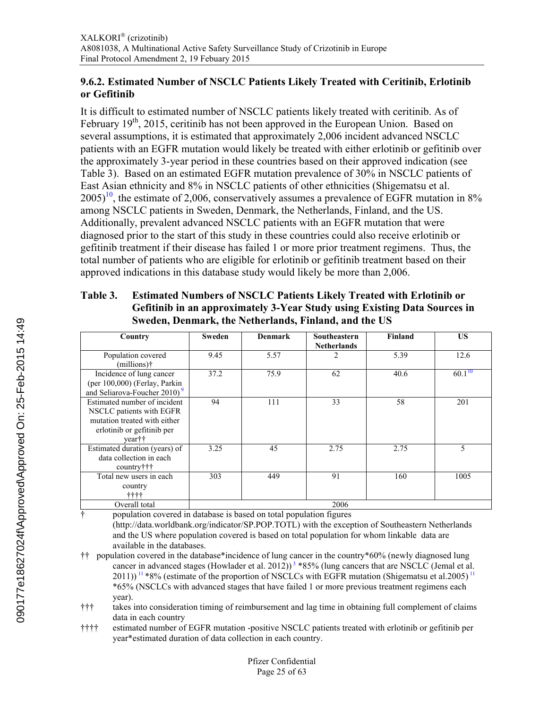### <span id="page-24-0"></span>**9.6.2. Estimated Number of NSCLC Patients Likely Treated with Ceritinib, Erlotinib or Gefitinib**

It is difficult to estimated number of NSCLC patients likely treated with ceritinib. As of February  $19<sup>th</sup>$ , 2015, ceritinib has not been approved in the European Union. Based on several assumptions, it is estimated that approximately 2,006 incident advanced NSCLC patients with an EGFR mutation would likely be treated with either erlotinib or gefitinib over the approximately 3-year period in these countries based on their approved indication (see Table 3). Based on an estimated EGFR mutation prevalence of 30% in NSCLC patients of East Asian ethnicity and 8% in NSCLC patients of other ethnicities (Shigematsu et al.  $2005$ <sup>[10](#page-33-1)</sup>, the estimate of 2,006, conservatively assumes a prevalence of EGFR mutation in 8% among NSCLC patients in Sweden, Denmark, the Netherlands, Finland, and the US. Additionally, prevalent advanced NSCLC patients with an EGFR mutation that were diagnosed prior to the start of this study in these countries could also receive erlotinib or gefitinib treatment if their disease has failed 1 or more prior treatment regimens. Thus, the total number of patients who are eligible for erlotinib or gefitinib treatment based on their approved indications in this database study would likely be more than 2,006.

### **Table 3. Estimated Numbers of NSCLC Patients Likely Treated with Erlotinib or Gefitinib in an approximately 3-Year Study using Existing Data Sources in Sweden, Denmark, the Netherlands, Finland, and the US**

| Country                                                                                                                          | Sweden | <b>Denmark</b> | <b>Southeastern</b><br><b>Netherlands</b> | Finland | <b>US</b>   |
|----------------------------------------------------------------------------------------------------------------------------------|--------|----------------|-------------------------------------------|---------|-------------|
| Population covered<br>$(millions)$ †                                                                                             | 9.45   | 5.57           | $\overline{c}$                            | 5.39    | 12.6        |
| Incidence of lung cancer<br>(per 100,000) (Ferlay, Parkin<br>and Seliarova-Foucher 2010) <sup>9</sup>                            | 37.2   | 75.9           | 62                                        | 40.6    | $60.1^{10}$ |
| Estimated number of incident<br>NSCLC patients with EGFR<br>mutation treated with either<br>erlotinib or gefitinib per<br>year†† | 94     | 111            | 33                                        | 58      | 201         |
| Estimated duration (years) of<br>data collection in each<br>country†††                                                           | 3.25   | 45             | 2.75                                      | 2.75    | 5           |
| Total new users in each<br>country<br>ተተተተ                                                                                       | 303    | 449            | 91                                        | 160     | 1005        |
| Overall total                                                                                                                    |        |                | 2006                                      |         |             |

† population covered in database is based on total population figures

(http://data.worldbank.org/indicator/SP.POP.TOTL) with the exception of Southeastern Netherlands and the US where population covered is based on total population for whom linkable data are available in the databases.

†† population covered in the database\*incidence of lung cancer in the country\*60% (newly diagnosed lung cancer in advanced stages (Howlader et al. 2012))<sup>[3](#page-33-0)</sup>  $*85%$  (lung cancers that are NSCLC (Jemal et al.  $2011$  $2011$ ))  $11 * 8%$  (estimate of the proportion of NSCLCs with EGFR mutation (Shigematsu et al.2005)  $11$ \*65% (NSCLCs with advanced stages that have failed 1 or more previous treatment regimens each year).

††† takes into consideration timing of reimbursement and lag time in obtaining full complement of claims data in each country

†††† estimated number of EGFR mutation -positive NSCLC patients treated with erlotinib or gefitinib per year\*estimated duration of data collection in each country.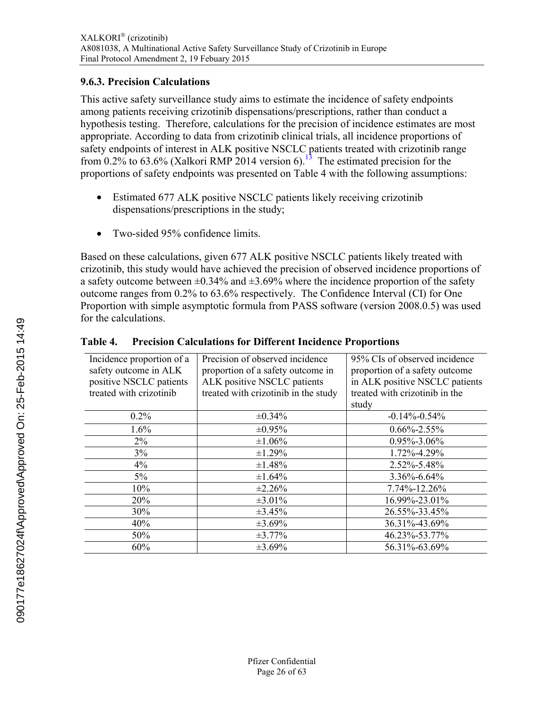### <span id="page-25-0"></span>**9.6.3. Precision Calculations**

This active safety surveillance study aims to estimate the incidence of safety endpoints among patients receiving crizotinib dispensations/prescriptions, rather than conduct a hypothesis testing. Therefore, calculations for the precision of incidence estimates are most appropriate. According to data from crizotinib clinical trials, all incidence proportions of safety endpoints of interest in ALK positive NSCLC patients treated with crizotinib range from 0.2% to 63.6% (Xalkori RMP 2014 version 6).<sup>[13](#page-33-1)</sup> The estimated precision for the proportions of safety endpoints was presented on Table 4 with the following assumptions:

- Estimated 677 ALK positive NSCLC patients likely receiving crizotinib dispensations/prescriptions in the study;
- Two-sided 95% confidence limits.

Based on these calculations, given 677 ALK positive NSCLC patients likely treated with crizotinib, this study would have achieved the precision of observed incidence proportions of a safety outcome between  $\pm 0.34\%$  and  $\pm 3.69\%$  where the incidence proportion of the safety outcome ranges from 0.2% to 63.6% respectively. The Confidence Interval (CI) for One Proportion with simple asymptotic formula from PASS software (version 2008.0.5) was used for the calculations.

| Incidence proportion of a<br>safety outcome in ALK<br>positive NSCLC patients<br>treated with crizotinib | Precision of observed incidence<br>proportion of a safety outcome in<br>ALK positive NSCLC patients<br>treated with crizotinib in the study | 95% CIs of observed incidence<br>proportion of a safety outcome<br>in ALK positive NSCLC patients<br>treated with crizotinib in the<br>study |
|----------------------------------------------------------------------------------------------------------|---------------------------------------------------------------------------------------------------------------------------------------------|----------------------------------------------------------------------------------------------------------------------------------------------|
| 0.2%                                                                                                     | $\pm 0.34\%$                                                                                                                                | $-0.14\% - 0.54\%$                                                                                                                           |
| 1.6%                                                                                                     | $\pm 0.95\%$                                                                                                                                | $0.66\% - 2.55\%$                                                                                                                            |
| $2\%$                                                                                                    | ±1.06%                                                                                                                                      | 0.95%-3.06%                                                                                                                                  |
| $3\%$                                                                                                    | $\pm 1.29\%$                                                                                                                                | 1.72%-4.29%                                                                                                                                  |
| 4%                                                                                                       | $\pm 1.48\%$                                                                                                                                | 2.52%-5.48%                                                                                                                                  |
| $5\%$                                                                                                    | $\pm 1.64\%$                                                                                                                                | $3.36\% - 6.64\%$                                                                                                                            |
| 10%                                                                                                      | $\pm 2.26\%$                                                                                                                                | 7.74%-12.26%                                                                                                                                 |
| 20%                                                                                                      | $\pm 3.01\%$                                                                                                                                | 16.99%-23.01%                                                                                                                                |
| 30%                                                                                                      | $\pm 3.45\%$                                                                                                                                | 26.55%-33.45%                                                                                                                                |
| 40%                                                                                                      | $\pm 3.69\%$                                                                                                                                | 36.31%-43.69%                                                                                                                                |
| 50%                                                                                                      | $\pm 3.77\%$                                                                                                                                | 46.23%-53.77%                                                                                                                                |
| 60%                                                                                                      | $\pm 3.69\%$                                                                                                                                | 56.31%-63.69%                                                                                                                                |

### **Table 4. Precision Calculations for Different Incidence Proportions**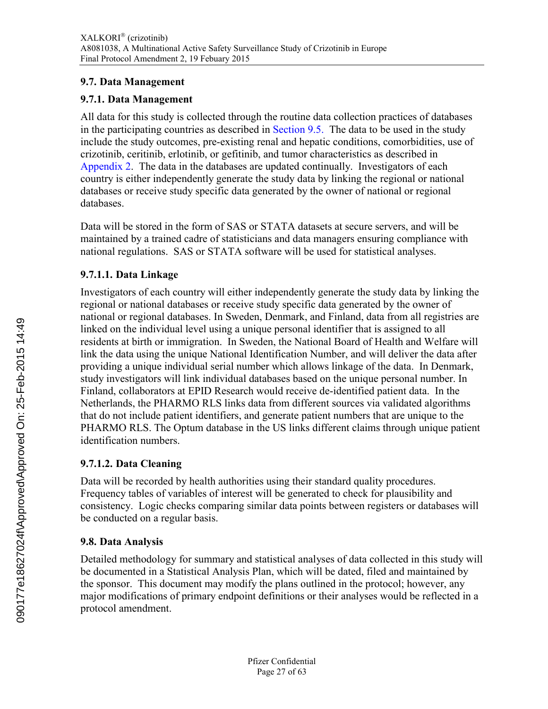### <span id="page-26-0"></span>**9.7. Data Management**

# **9.7.1. Data Management**

All data for this study is collected through the routine data collection practices of databases in the participating countries as described in [Section 9.5](#page-20-0). The data to be used in the study include the study outcomes, pre-existing renal and hepatic conditions, comorbidities, use of crizotinib, ceritinib, erlotinib, or gefitinib, and tumor characteristics as described in [Appendix](#page-60-0) 2. The data in the databases are updated continually. Investigators of each country is either independently generate the study data by linking the regional or national databases or receive study specific data generated by the owner of national or regional databases.

Data will be stored in the form of SAS or STATA datasets at secure servers, and will be maintained by a trained cadre of statisticians and data managers ensuring compliance with national regulations. SAS or STATA software will be used for statistical analyses.

# **9.7.1.1. Data Linkage**

<span id="page-26-1"></span>Investigators of each country will either independently generate the study data by linking the regional or national databases or receive study specific data generated by the owner of national or regional databases. In Sweden, Denmark, and Finland, data from all registries are linked on the individual level using a unique personal identifier that is assigned to all residents at birth or immigration. In Sweden, the National Board of Health and Welfare will link the data using the unique National Identification Number, and will deliver the data after providing a unique individual serial number which allows linkage of the data. In Denmark, study investigators will link individual databases based on the unique personal number. In Finland, collaborators at EPID Research would receive de-identified patient data. In the Netherlands, the PHARMO RLS links data from different sources via validated algorithms that do not include patient identifiers, and generate patient numbers that are unique to the PHARMO RLS. The Optum database in the US links different claims through unique patient identification numbers.

# **9.7.1.2. Data Cleaning**

Data will be recorded by health authorities using their standard quality procedures. Frequency tables of variables of interest will be generated to check for plausibility and consistency. Logic checks comparing similar data points between registers or databases will be conducted on a regular basis.

# **9.8. Data Analysis**

Detailed methodology for summary and statistical analyses of data collected in this study will be documented in a Statistical Analysis Plan, which will be dated, filed and maintained by the sponsor. This document may modify the plans outlined in the protocol; however, any major modifications of primary endpoint definitions or their analyses would be reflected in a protocol amendment.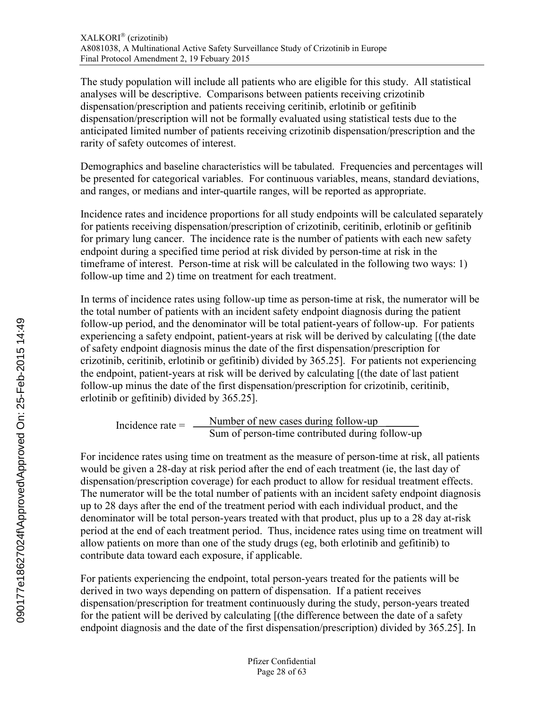The study population will include all patients who are eligible for this study. All statistical analyses will be descriptive. Comparisons between patients receiving crizotinib dispensation/prescription and patients receiving ceritinib, erlotinib or gefitinib dispensation/prescription will not be formally evaluated using statistical tests due to the anticipated limited number of patients receiving crizotinib dispensation/prescription and the rarity of safety outcomes of interest.

Demographics and baseline characteristics will be tabulated. Frequencies and percentages will be presented for categorical variables. For continuous variables, means, standard deviations, and ranges, or medians and inter-quartile ranges, will be reported as appropriate.

Incidence rates and incidence proportions for all study endpoints will be calculated separately for patients receiving dispensation/prescription of crizotinib, ceritinib, erlotinib or gefitinib for primary lung cancer. The incidence rate is the number of patients with each new safety endpoint during a specified time period at risk divided by person-time at risk in the timeframe of interest. Person-time at risk will be calculated in the following two ways: 1) follow-up time and 2) time on treatment for each treatment.

In terms of incidence rates using follow-up time as person-time at risk, the numerator will be the total number of patients with an incident safety endpoint diagnosis during the patient follow-up period, and the denominator will be total patient-years of follow-up. For patients experiencing a safety endpoint, patient-years at risk will be derived by calculating [(the date of safety endpoint diagnosis minus the date of the first dispensation/prescription for crizotinib, ceritinib, erlotinib or gefitinib) divided by 365.25]. For patients not experiencing the endpoint, patient-years at risk will be derived by calculating [(the date of last patient follow-up minus the date of the first dispensation/prescription for crizotinib, ceritinib, erlotinib or gefitinib) divided by 365.25].

$$
Incidence rate = \frac{Number of new cases during follow-up}{Sum of person-time contributed during follow-up}
$$

For incidence rates using time on treatment as the measure of person-time at risk, all patients would be given a 28-day at risk period after the end of each treatment (ie, the last day of dispensation/prescription coverage) for each product to allow for residual treatment effects. The numerator will be the total number of patients with an incident safety endpoint diagnosis up to 28 days after the end of the treatment period with each individual product, and the denominator will be total person-years treated with that product, plus up to a 28 day at-risk period at the end of each treatment period. Thus, incidence rates using time on treatment will allow patients on more than one of the study drugs (eg, both erlotinib and gefitinib) to contribute data toward each exposure, if applicable.

For patients experiencing the endpoint, total person-years treated for the patients will be derived in two ways depending on pattern of dispensation. If a patient receives dispensation/prescription for treatment continuously during the study, person-years treated for the patient will be derived by calculating [(the difference between the date of a safety endpoint diagnosis and the date of the first dispensation/prescription) divided by 365.25]. In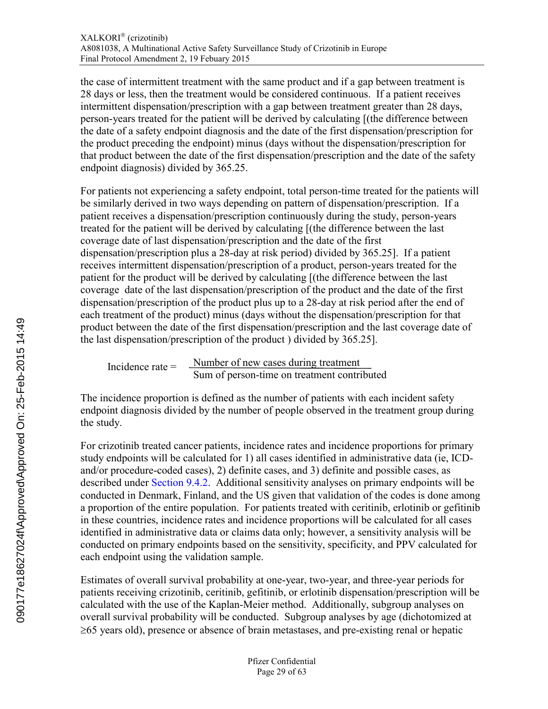the case of intermittent treatment with the same product and if a gap between treatment is 28 days or less, then the treatment would be considered continuous. If a patient receives intermittent dispensation/prescription with a gap between treatment greater than 28 days, person-years treated for the patient will be derived by calculating [(the difference between the date of a safety endpoint diagnosis and the date of the first dispensation/prescription for the product preceding the endpoint) minus (days without the dispensation/prescription for that product between the date of the first dispensation/prescription and the date of the safety endpoint diagnosis) divided by 365.25.

For patients not experiencing a safety endpoint, total person-time treated for the patients will be similarly derived in two ways depending on pattern of dispensation/prescription. If a patient receives a dispensation/prescription continuously during the study, person-years treated for the patient will be derived by calculating [(the difference between the last coverage date of last dispensation/prescription and the date of the first dispensation/prescription plus a 28-day at risk period) divided by 365.25]. If a patient receives intermittent dispensation/prescription of a product, person-years treated for the patient for the product will be derived by calculating [(the difference between the last coverage date of the last dispensation/prescription of the product and the date of the first dispensation/prescription of the product plus up to a 28-day at risk period after the end of each treatment of the product) minus (days without the dispensation/prescription for that product between the date of the first dispensation/prescription and the last coverage date of the last dispensation/prescription of the product ) divided by 365.25].

Number of new cases during treatment Sum of person-time on treatment contributed Incidence rate =

The incidence proportion is defined as the number of patients with each incident safety endpoint diagnosis divided by the number of people observed in the treatment group during the study.

For crizotinib treated cancer patients, incidence rates and incidence proportions for primary study endpoints will be calculated for 1) all cases identified in administrative data (ie, ICDand/or procedure-coded cases), 2) definite cases, and 3) definite and possible cases, as described under [Section 9.4.2](#page-18-0). Additional sensitivity analyses on primary endpoints will be conducted in Denmark, Finland, and the US given that validation of the codes is done among a proportion of the entire population. For patients treated with ceritinib, erlotinib or gefitinib in these countries, incidence rates and incidence proportions will be calculated for all cases identified in administrative data or claims data only; however, a sensitivity analysis will be conducted on primary endpoints based on the sensitivity, specificity, and PPV calculated for each endpoint using the validation sample.

Estimates of overall survival probability at one-year, two-year, and three-year periods for patients receiving crizotinib, ceritinib, gefitinib, or erlotinib dispensation/prescription will be calculated with the use of the Kaplan-Meier method. Additionally, subgroup analyses on overall survival probability will be conducted. Subgroup analyses by age (dichotomized at  $\geq 65$  years old), presence or absence of brain metastases, and pre-existing renal or hepatic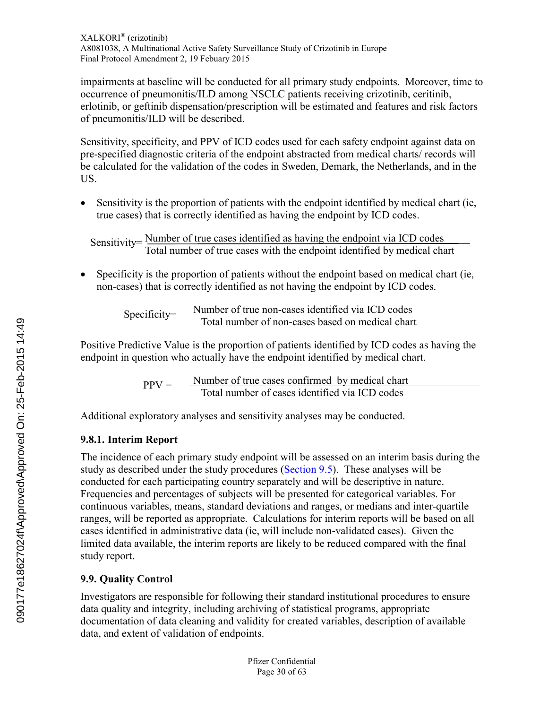impairments at baseline will be conducted for all primary study endpoints. Moreover, time to occurrence of pneumonitis/ILD among NSCLC patients receiving crizotinib, ceritinib, erlotinib, or geftinib dispensation/prescription will be estimated and features and risk factors of pneumonitis/ILD will be described.

Sensitivity, specificity, and PPV of ICD codes used for each safety endpoint against data on pre-specified diagnostic criteria of the endpoint abstracted from medical charts/ records will be calculated for the validation of the codes in Sweden, Demark, the Netherlands, and in the US.

 Sensitivity is the proportion of patients with the endpoint identified by medical chart (ie, true cases) that is correctly identified as having the endpoint by ICD codes.

Number of true cases identified as having the endpoint via ICD codes Total number of true cases with the endpoint identified by medical chart Sensitivity=

 Specificity is the proportion of patients without the endpoint based on medical chart (ie, non-cases) that is correctly identified as not having the endpoint by ICD codes.

Number of true non-cases identified via ICD codes Total number of non-cases based on medical chart Specificity=

<span id="page-29-0"></span>Positive Predictive Value is the proportion of patients identified by ICD codes as having the endpoint in question who actually have the endpoint identified by medical chart.

> Number of true cases confirmed by medical chart Total number of cases identified via ICD codes  $PPV =$

Additional exploratory analyses and sensitivity analyses may be conducted.

# **9.8.1. Interim Report**

The incidence of each primary study endpoint will be assessed on an interim basis during the study as described under the study procedures ([Section 9.5\)](#page-20-0). These analyses will be conducted for each participating country separately and will be descriptive in nature. Frequencies and percentages of subjects will be presented for categorical variables. For continuous variables, means, standard deviations and ranges, or medians and inter-quartile ranges, will be reported as appropriate. Calculations for interim reports will be based on all cases identified in administrative data (ie, will include non-validated cases). Given the limited data available, the interim reports are likely to be reduced compared with the final study report.

# **9.9. Quality Control**

Investigators are responsible for following their standard institutional procedures to ensure data quality and integrity, including archiving of statistical programs, appropriate documentation of data cleaning and validity for created variables, description of available data, and extent of validation of endpoints.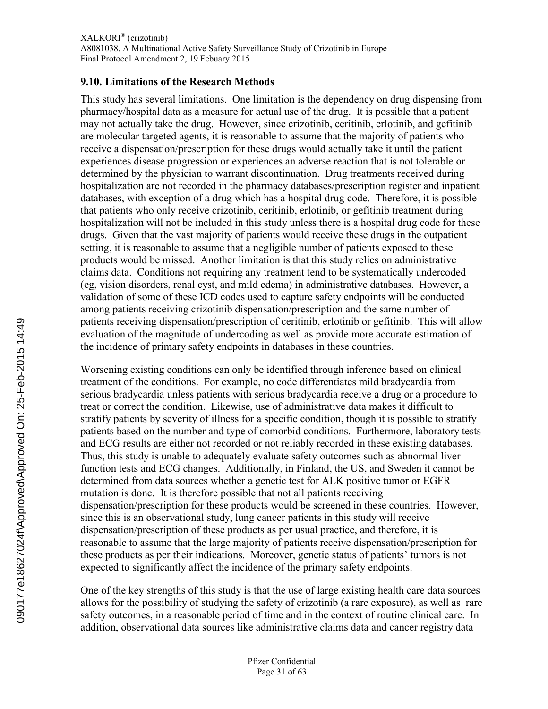### <span id="page-30-0"></span>**9.10. Limitations of the Research Methods**

This study has several limitations. One limitation is the dependency on drug dispensing from pharmacy/hospital data as a measure for actual use of the drug. It is possible that a patient may not actually take the drug. However, since crizotinib, ceritinib, erlotinib, and gefitinib are molecular targeted agents, it is reasonable to assume that the majority of patients who receive a dispensation/prescription for these drugs would actually take it until the patient experiences disease progression or experiences an adverse reaction that is not tolerable or determined by the physician to warrant discontinuation. Drug treatments received during hospitalization are not recorded in the pharmacy databases/prescription register and inpatient databases, with exception of a drug which has a hospital drug code. Therefore, it is possible that patients who only receive crizotinib, ceritinib, erlotinib, or gefitinib treatment during hospitalization will not be included in this study unless there is a hospital drug code for these drugs. Given that the vast majority of patients would receive these drugs in the outpatient setting, it is reasonable to assume that a negligible number of patients exposed to these products would be missed. Another limitation is that this study relies on administrative claims data. Conditions not requiring any treatment tend to be systematically undercoded (eg, vision disorders, renal cyst, and mild edema) in administrative databases. However, a validation of some of these ICD codes used to capture safety endpoints will be conducted among patients receiving crizotinib dispensation/prescription and the same number of patients receiving dispensation/prescription of ceritinib, erlotinib or gefitinib. This will allow evaluation of the magnitude of undercoding as well as provide more accurate estimation of the incidence of primary safety endpoints in databases in these countries.

Worsening existing conditions can only be identified through inference based on clinical treatment of the conditions. For example, no code differentiates mild bradycardia from serious bradycardia unless patients with serious bradycardia receive a drug or a procedure to treat or correct the condition. Likewise, use of administrative data makes it difficult to stratify patients by severity of illness for a specific condition, though it is possible to stratify patients based on the number and type of comorbid conditions. Furthermore, laboratory tests and ECG results are either not recorded or not reliably recorded in these existing databases. Thus, this study is unable to adequately evaluate safety outcomes such as abnormal liver function tests and ECG changes. Additionally, in Finland, the US, and Sweden it cannot be determined from data sources whether a genetic test for ALK positive tumor or EGFR mutation is done. It is therefore possible that not all patients receiving dispensation/prescription for these products would be screened in these countries. However, since this is an observational study, lung cancer patients in this study will receive dispensation/prescription of these products as per usual practice, and therefore, it is reasonable to assume that the large majority of patients receive dispensation/prescription for these products as per their indications. Moreover, genetic status of patients' tumors is not expected to significantly affect the incidence of the primary safety endpoints.

One of the key strengths of this study is that the use of large existing health care data sources allows for the possibility of studying the safety of crizotinib (a rare exposure), as well as rare safety outcomes, in a reasonable period of time and in the context of routine clinical care. In addition, observational data sources like administrative claims data and cancer registry data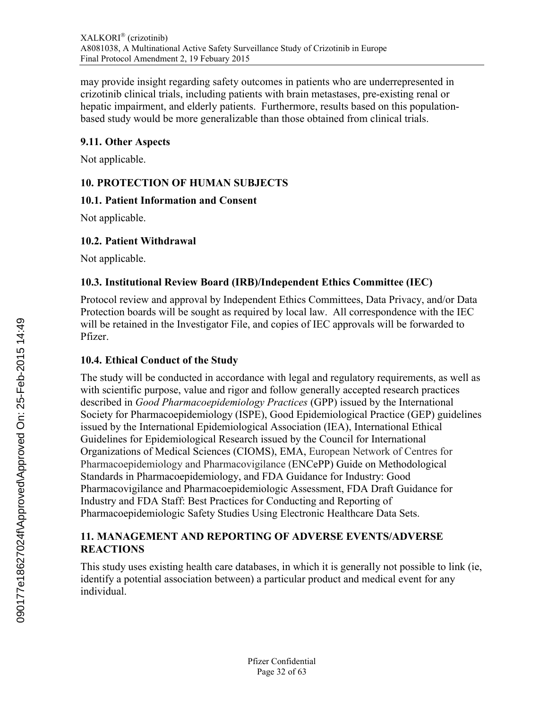<span id="page-31-1"></span>may provide insight regarding safety outcomes in patients who are underrepresented in crizotinib clinical trials, including patients with brain metastases, pre-existing renal or hepatic impairment, and elderly patients. Furthermore, results based on this populationbased study would be more generalizable than those obtained from clinical trials.

# **9.11. Other Aspects**

Not applicable.

# **10. PROTECTION OF HUMAN SUBJECTS**

# **10.1. Patient Information and Consent**

Not applicable.

# **10.2. Patient Withdrawal**

Not applicable.

# **10.3. Institutional Review Board (IRB)/Independent Ethics Committee (IEC)**

Protocol review and approval by Independent Ethics Committees, Data Privacy, and/or Data Protection boards will be sought as required by local law. All correspondence with the IEC will be retained in the Investigator File, and copies of IEC approvals will be forwarded to Pfizer.

# <span id="page-31-0"></span>**10.4. Ethical Conduct of the Study**

The study will be conducted in accordance with legal and regulatory requirements, as well as with scientific purpose, value and rigor and follow generally accepted research practices described in *Good Pharmacoepidemiology Practices* (GPP) issued by the International Society for Pharmacoepidemiology (ISPE), Good Epidemiological Practice (GEP) guidelines issued by the International Epidemiological Association (IEA), International Ethical Guidelines for Epidemiological Research issued by the Council for International Organizations of Medical Sciences (CIOMS), EMA, European Network of Centres for Pharmacoepidemiology and Pharmacovigilance (ENCePP) Guide on Methodological Standards in Pharmacoepidemiology, and FDA Guidance for Industry: Good Pharmacovigilance and Pharmacoepidemiologic Assessment, FDA Draft Guidance for Industry and FDA Staff: Best Practices for Conducting and Reporting of Pharmacoepidemiologic Safety Studies Using Electronic Healthcare Data Sets.

### **11. MANAGEMENT AND REPORTING OF ADVERSE EVENTS/ADVERSE REACTIONS**

This study uses existing health care databases, in which it is generally not possible to link (ie, identify a potential association between) a particular product and medical event for any individual.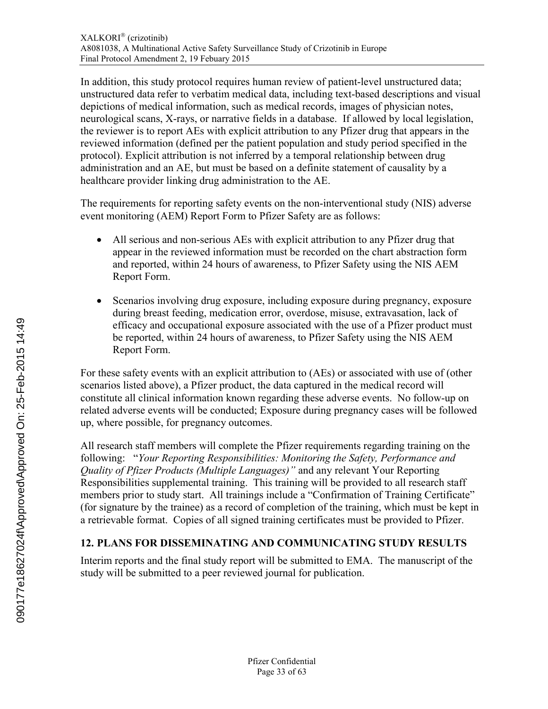In addition, this study protocol requires human review of patient-level unstructured data; unstructured data refer to verbatim medical data, including text-based descriptions and visual depictions of medical information, such as medical records, images of physician notes, neurological scans, X-rays, or narrative fields in a database. If allowed by local legislation, the reviewer is to report AEs with explicit attribution to any Pfizer drug that appears in the reviewed information (defined per the patient population and study period specified in the protocol). Explicit attribution is not inferred by a temporal relationship between drug administration and an AE, but must be based on a definite statement of causality by a healthcare provider linking drug administration to the AE.

The requirements for reporting safety events on the non-interventional study (NIS) adverse event monitoring (AEM) Report Form to Pfizer Safety are as follows:

- All serious and non-serious AEs with explicit attribution to any Pfizer drug that appear in the reviewed information must be recorded on the chart abstraction form and reported, within 24 hours of awareness, to Pfizer Safety using the NIS AEM Report Form.
- Scenarios involving drug exposure, including exposure during pregnancy, exposure during breast feeding, medication error, overdose, misuse, extravasation, lack of efficacy and occupational exposure associated with the use of a Pfizer product must be reported, within 24 hours of awareness, to Pfizer Safety using the NIS AEM Report Form.

<span id="page-32-0"></span>For these safety events with an explicit attribution to (AEs) or associated with use of (other scenarios listed above), a Pfizer product, the data captured in the medical record will constitute all clinical information known regarding these adverse events. No follow-up on related adverse events will be conducted; Exposure during pregnancy cases will be followed up, where possible, for pregnancy outcomes.

All research staff members will complete the Pfizer requirements regarding training on the following: "*Your Reporting Responsibilities: Monitoring the Safety, Performance and Quality of Pfizer Products (Multiple Languages)"* and any relevant Your Reporting Responsibilities supplemental training. This training will be provided to all research staff members prior to study start. All trainings include a "Confirmation of Training Certificate" (for signature by the trainee) as a record of completion of the training, which must be kept in a retrievable format. Copies of all signed training certificates must be provided to Pfizer.

# **12. PLANS FOR DISSEMINATING AND COMMUNICATING STUDY RESULTS**

Interim reports and the final study report will be submitted to EMA. The manuscript of the study will be submitted to a peer reviewed journal for publication.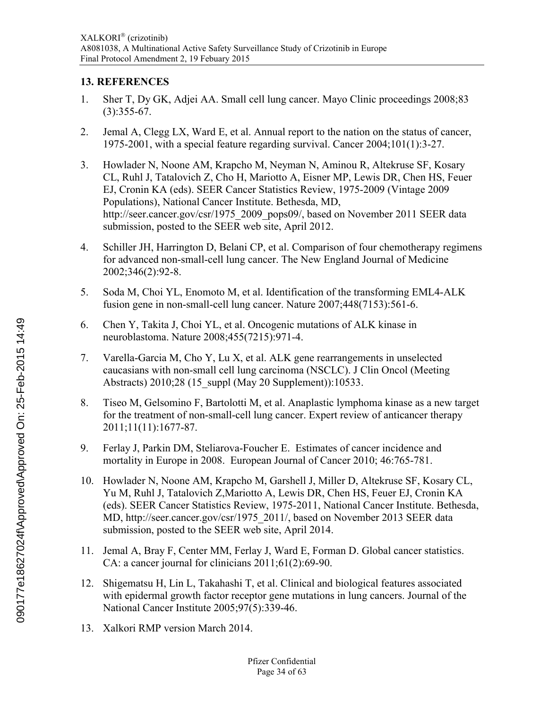# <span id="page-33-0"></span>**13. REFERENCES**

- 1. Sher T, Dy GK, Adjei AA. Small cell lung cancer. Mayo Clinic proceedings 2008;83  $(3):355-67.$
- 2. Jemal A, Clegg LX, Ward E, et al. Annual report to the nation on the status of cancer, 1975-2001, with a special feature regarding survival. Cancer 2004;101(1):3-27.
- 3. Howlader N, Noone AM, Krapcho M, Neyman N, Aminou R, Altekruse SF, Kosary CL, Ruhl J, Tatalovich Z, Cho H, Mariotto A, Eisner MP, Lewis DR, Chen HS, Feuer EJ, Cronin KA (eds). SEER Cancer Statistics Review, 1975-2009 (Vintage 2009 Populations), National Cancer Institute. Bethesda, MD, http://seer.cancer.gov/csr/1975\_2009\_pops09/, based on November 2011 SEER data submission, posted to the SEER web site, April 2012.
- 4. Schiller JH, Harrington D, Belani CP, et al. Comparison of four chemotherapy regimens for advanced non-small-cell lung cancer. The New England Journal of Medicine 2002;346(2):92-8.
- 5. Soda M, Choi YL, Enomoto M, et al. Identification of the transforming EML4-ALK fusion gene in non-small-cell lung cancer. Nature 2007;448(7153):561-6.
- 6. Chen Y, Takita J, Choi YL, et al. Oncogenic mutations of ALK kinase in neuroblastoma. Nature 2008;455(7215):971-4.
- <span id="page-33-1"></span>7. Varella-Garcia M, Cho Y, Lu X, et al. ALK gene rearrangements in unselected caucasians with non-small cell lung carcinoma (NSCLC). J Clin Oncol (Meeting Abstracts) 2010;28 (15 suppl (May 20 Supplement)):10533.
- 8. Tiseo M, Gelsomino F, Bartolotti M, et al. Anaplastic lymphoma kinase as a new target for the treatment of non-small-cell lung cancer. Expert review of anticancer therapy 2011;11(11):1677-87.
- 9. Ferlay J, Parkin DM, Steliarova-Foucher E. Estimates of cancer incidence and mortality in Europe in 2008. European Journal of Cancer 2010; 46:765-781.
- 10. Howlader N, Noone AM, Krapcho M, Garshell J, Miller D, Altekruse SF, Kosary CL, Yu M, Ruhl J, Tatalovich Z,Mariotto A, Lewis DR, Chen HS, Feuer EJ, Cronin KA (eds). SEER Cancer Statistics Review, 1975-2011, National Cancer Institute. Bethesda, MD, http://seer.cancer.gov/csr/1975\_2011/, based on November 2013 SEER data submission, posted to the SEER web site, April 2014.
- 11. Jemal A, Bray F, Center MM, Ferlay J, Ward E, Forman D. Global cancer statistics. CA: a cancer journal for clinicians 2011;61(2):69-90.
- 12. Shigematsu H, Lin L, Takahashi T, et al. Clinical and biological features associated with epidermal growth factor receptor gene mutations in lung cancers. Journal of the National Cancer Institute 2005;97(5):339-46.
- 13. Xalkori RMP version March 2014.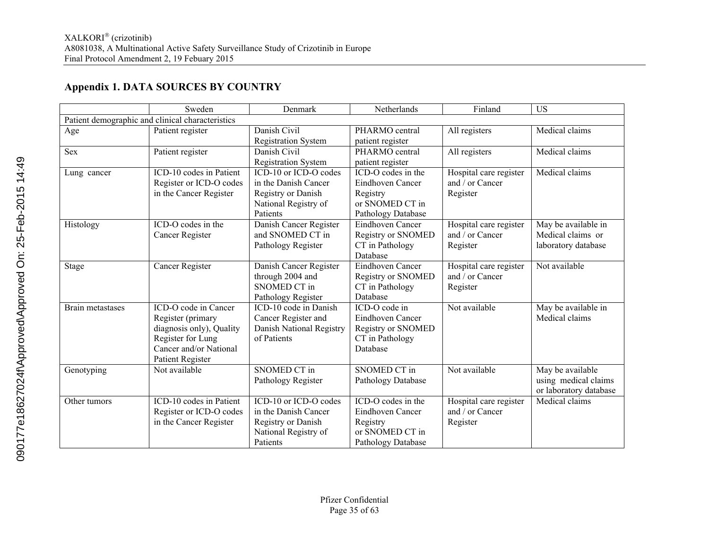# <span id="page-34-0"></span>**Appendix 1. DATA SOURCES BY COUNTRY**

|                  | Sweden                                           | Denmark                    | Netherlands               | Finland                | <b>US</b>              |
|------------------|--------------------------------------------------|----------------------------|---------------------------|------------------------|------------------------|
|                  | Patient demographic and clinical characteristics |                            |                           |                        |                        |
| Age              | Patient register                                 | Danish Civil               | PHARMO central            | All registers          | Medical claims         |
|                  |                                                  | <b>Registration System</b> | patient register          |                        |                        |
| <b>Sex</b>       | Patient register                                 | Danish Civil               | PHARMO central            | All registers          | Medical claims         |
|                  |                                                  | <b>Registration System</b> | patient register          |                        |                        |
| Lung cancer      | ICD-10 codes in Patient                          | ICD-10 or ICD-O codes      | ICD-O codes in the        | Hospital care register | Medical claims         |
|                  | Register or ICD-O codes                          | in the Danish Cancer       | Eindhoven Cancer          | and / or Cancer        |                        |
|                  | in the Cancer Register                           | Registry or Danish         | Registry                  | Register               |                        |
|                  |                                                  | National Registry of       | or SNOMED CT in           |                        |                        |
|                  |                                                  | Patients                   | Pathology Database        |                        |                        |
| Histology        | ICD-O codes in the                               | Danish Cancer Register     | Eindhoven Cancer          | Hospital care register | May be available in    |
|                  | Cancer Register                                  | and SNOMED CT in           | <b>Registry or SNOMED</b> | and / or Cancer        | Medical claims or      |
|                  |                                                  | Pathology Register         | CT in Pathology           | Register               | laboratory database    |
|                  |                                                  |                            | Database                  |                        |                        |
| Stage            | <b>Cancer Register</b>                           | Danish Cancer Register     | Eindhoven Cancer          | Hospital care register | Not available          |
|                  |                                                  | through 2004 and           | <b>Registry or SNOMED</b> | and / or Cancer        |                        |
|                  |                                                  | <b>SNOMED CT in</b>        | CT in Pathology           | Register               |                        |
|                  |                                                  | Pathology Register         | Database                  |                        |                        |
| Brain metastases | ICD-O code in Cancer                             | ICD-10 code in Danish      | ICD-O code in             | Not available          | May be available in    |
|                  | Register (primary                                | Cancer Register and        | Eindhoven Cancer          |                        | Medical claims         |
|                  | diagnosis only), Quality                         | Danish National Registry   | Registry or SNOMED        |                        |                        |
|                  | Register for Lung                                | of Patients                | CT in Pathology           |                        |                        |
|                  | Cancer and/or National                           |                            | Database                  |                        |                        |
|                  | Patient Register                                 |                            |                           |                        |                        |
| Genotyping       | Not available                                    | <b>SNOMED CT in</b>        | <b>SNOMED CT in</b>       | Not available          | May be available       |
|                  |                                                  | Pathology Register         | Pathology Database        |                        | using medical claims   |
|                  |                                                  |                            |                           |                        | or laboratory database |
| Other tumors     | ICD-10 codes in Patient                          | ICD-10 or ICD-O codes      | ICD-O codes in the        | Hospital care register | Medical claims         |
|                  | Register or ICD-O codes                          | in the Danish Cancer       | Eindhoven Cancer          | and / or Cancer        |                        |
|                  | in the Cancer Register                           | Registry or Danish         | Registry                  | Register               |                        |
|                  |                                                  | National Registry of       | or SNOMED CT in           |                        |                        |
|                  |                                                  | Patients                   | Pathology Database        |                        |                        |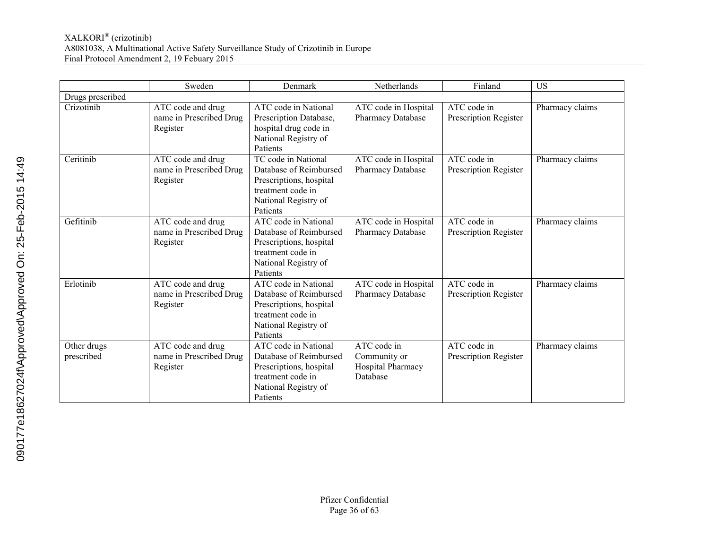|                           | Sweden                                                   | Denmark                                                                                                                            | Netherlands                                                  | Finland                              | <b>US</b>       |
|---------------------------|----------------------------------------------------------|------------------------------------------------------------------------------------------------------------------------------------|--------------------------------------------------------------|--------------------------------------|-----------------|
| Drugs prescribed          |                                                          |                                                                                                                                    |                                                              |                                      |                 |
| Crizotinib                | ATC code and drug<br>name in Prescribed Drug<br>Register | ATC code in National<br>Prescription Database,<br>hospital drug code in<br>National Registry of<br>Patients                        | ATC code in Hospital<br>Pharmacy Database                    | ATC code in<br>Prescription Register | Pharmacy claims |
| Ceritinib                 | ATC code and drug<br>name in Prescribed Drug<br>Register | TC code in National<br>Database of Reimbursed<br>Prescriptions, hospital<br>treatment code in<br>National Registry of<br>Patients  | ATC code in Hospital<br>Pharmacy Database                    | ATC code in<br>Prescription Register | Pharmacy claims |
| Gefitinib                 | ATC code and drug<br>name in Prescribed Drug<br>Register | ATC code in National<br>Database of Reimbursed<br>Prescriptions, hospital<br>treatment code in<br>National Registry of<br>Patients | ATC code in Hospital<br><b>Pharmacy Database</b>             | ATC code in<br>Prescription Register | Pharmacy claims |
| Erlotinib                 | ATC code and drug<br>name in Prescribed Drug<br>Register | ATC code in National<br>Database of Reimbursed<br>Prescriptions, hospital<br>treatment code in<br>National Registry of<br>Patients | ATC code in Hospital<br><b>Pharmacy Database</b>             | ATC code in<br>Prescription Register | Pharmacy claims |
| Other drugs<br>prescribed | ATC code and drug<br>name in Prescribed Drug<br>Register | ATC code in National<br>Database of Reimbursed<br>Prescriptions, hospital<br>treatment code in<br>National Registry of<br>Patients | ATC code in<br>Community or<br>Hospital Pharmacy<br>Database | ATC code in<br>Prescription Register | Pharmacy claims |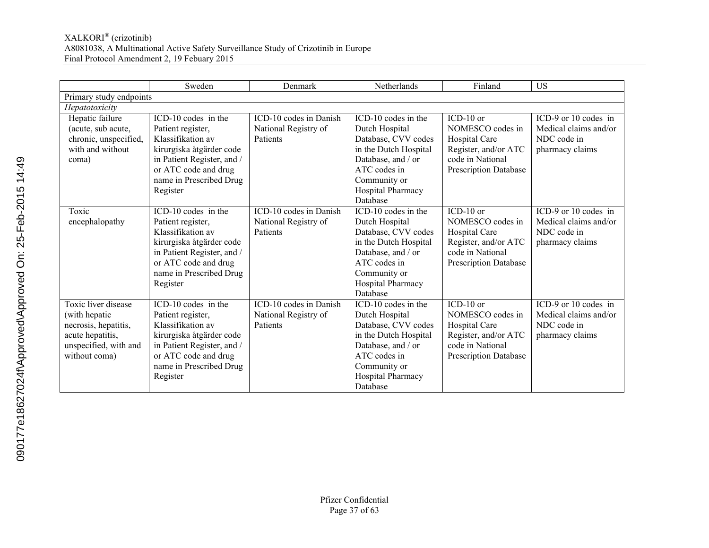|                                                                                                                            | Sweden                                                                                                                                                                                 | Denmark                                                    | Netherlands                                                                                                                                                                  | Finland                                                                                                                      | <b>US</b>                                                                       |  |  |  |  |
|----------------------------------------------------------------------------------------------------------------------------|----------------------------------------------------------------------------------------------------------------------------------------------------------------------------------------|------------------------------------------------------------|------------------------------------------------------------------------------------------------------------------------------------------------------------------------------|------------------------------------------------------------------------------------------------------------------------------|---------------------------------------------------------------------------------|--|--|--|--|
| Primary study endpoints                                                                                                    |                                                                                                                                                                                        |                                                            |                                                                                                                                                                              |                                                                                                                              |                                                                                 |  |  |  |  |
| Hepatotoxicity                                                                                                             |                                                                                                                                                                                        |                                                            |                                                                                                                                                                              |                                                                                                                              |                                                                                 |  |  |  |  |
| Hepatic failure<br>(acute, sub acute,<br>chronic, unspecified,<br>with and without<br>coma)                                | ICD-10 codes in the<br>Patient register,<br>Klassifikation av<br>kirurgiska åtgärder code<br>in Patient Register, and /<br>or ATC code and drug<br>name in Prescribed Drug<br>Register | ICD-10 codes in Danish<br>National Registry of<br>Patients | ICD-10 codes in the<br>Dutch Hospital<br>Database, CVV codes<br>in the Dutch Hospital<br>Database, and / or<br>ATC codes in<br>Community or<br>Hospital Pharmacy<br>Database | $ICD-10$ or<br>NOMESCO codes in<br>Hospital Care<br>Register, and/or ATC<br>code in National<br><b>Prescription Database</b> | ICD-9 or 10 codes in<br>Medical claims and/or<br>NDC code in<br>pharmacy claims |  |  |  |  |
| Toxic<br>encephalopathy                                                                                                    | ICD-10 codes in the<br>Patient register,<br>Klassifikation av<br>kirurgiska åtgärder code<br>in Patient Register, and /<br>or ATC code and drug<br>name in Prescribed Drug<br>Register | ICD-10 codes in Danish<br>National Registry of<br>Patients | ICD-10 codes in the<br>Dutch Hospital<br>Database, CVV codes<br>in the Dutch Hospital<br>Database, and / or<br>ATC codes in<br>Community or<br>Hospital Pharmacy<br>Database | $ICD-10$ or<br>NOMESCO codes in<br>Hospital Care<br>Register, and/or ATC<br>code in National<br><b>Prescription Database</b> | ICD-9 or 10 codes in<br>Medical claims and/or<br>NDC code in<br>pharmacy claims |  |  |  |  |
| Toxic liver disease<br>(with hepatic<br>necrosis, hepatitis,<br>acute hepatitis,<br>unspecified, with and<br>without coma) | ICD-10 codes in the<br>Patient register,<br>Klassifikation av<br>kirurgiska åtgärder code<br>in Patient Register, and /<br>or ATC code and drug<br>name in Prescribed Drug<br>Register | ICD-10 codes in Danish<br>National Registry of<br>Patients | ICD-10 codes in the<br>Dutch Hospital<br>Database, CVV codes<br>in the Dutch Hospital<br>Database, and / or<br>ATC codes in<br>Community or<br>Hospital Pharmacy<br>Database | $ICD-10$ or<br>NOMESCO codes in<br>Hospital Care<br>Register, and/or ATC<br>code in National<br><b>Prescription Database</b> | ICD-9 or 10 codes in<br>Medical claims and/or<br>NDC code in<br>pharmacy claims |  |  |  |  |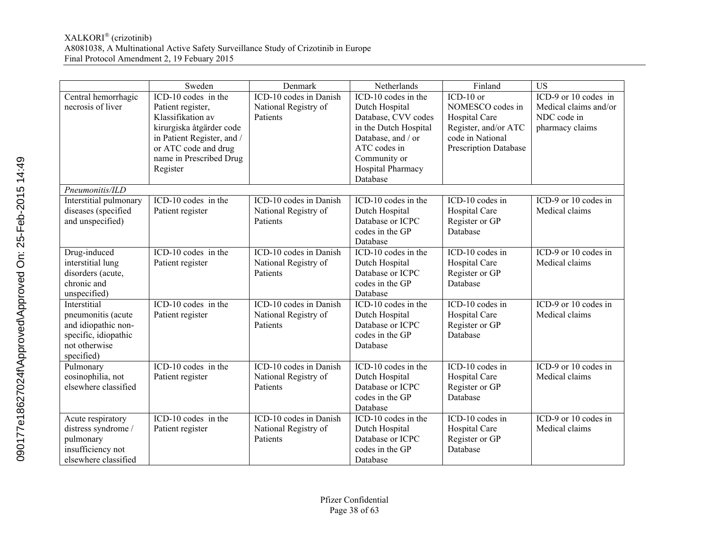|                                                                                                                  | Sweden                                                                                                                                                                                 | Denmark                                                    | Netherlands                                                                                                                                                                  | Finland                                                                                                               | <b>US</b>                                                                       |
|------------------------------------------------------------------------------------------------------------------|----------------------------------------------------------------------------------------------------------------------------------------------------------------------------------------|------------------------------------------------------------|------------------------------------------------------------------------------------------------------------------------------------------------------------------------------|-----------------------------------------------------------------------------------------------------------------------|---------------------------------------------------------------------------------|
| Central hemorrhagic<br>necrosis of liver                                                                         | ICD-10 codes in the<br>Patient register,<br>Klassifikation av<br>kirurgiska åtgärder code<br>in Patient Register, and /<br>or ATC code and drug<br>name in Prescribed Drug<br>Register | ICD-10 codes in Danish<br>National Registry of<br>Patients | ICD-10 codes in the<br>Dutch Hospital<br>Database, CVV codes<br>in the Dutch Hospital<br>Database, and / or<br>ATC codes in<br>Community or<br>Hospital Pharmacy<br>Database | $ICD-10$ or<br>NOMESCO codes in<br>Hospital Care<br>Register, and/or ATC<br>code in National<br>Prescription Database | ICD-9 or 10 codes in<br>Medical claims and/or<br>NDC code in<br>pharmacy claims |
| Pneumonitis/ILD                                                                                                  |                                                                                                                                                                                        |                                                            |                                                                                                                                                                              |                                                                                                                       |                                                                                 |
| Interstitial pulmonary<br>diseases (specified<br>and unspecified)                                                | ICD-10 codes in the<br>Patient register                                                                                                                                                | ICD-10 codes in Danish<br>National Registry of<br>Patients | ICD-10 codes in the<br>Dutch Hospital<br>Database or ICPC<br>codes in the GP<br>Database                                                                                     | ICD-10 codes in<br>Hospital Care<br>Register or GP<br>Database                                                        | ICD-9 or 10 codes in<br>Medical claims                                          |
| Drug-induced<br>interstitial lung<br>disorders (acute,<br>chronic and<br>unspecified)                            | ICD-10 codes in the<br>Patient register                                                                                                                                                | ICD-10 codes in Danish<br>National Registry of<br>Patients | ICD-10 codes in the<br>Dutch Hospital<br>Database or ICPC<br>codes in the GP<br>Database                                                                                     | ICD-10 codes in<br>Hospital Care<br>Register or GP<br>Database                                                        | $ICD-9$ or 10 codes in<br>Medical claims                                        |
| Interstitial<br>pneumonitis (acute<br>and idiopathic non-<br>specific, idiopathic<br>not otherwise<br>specified) | ICD-10 codes in the<br>Patient register                                                                                                                                                | ICD-10 codes in Danish<br>National Registry of<br>Patients | ICD-10 codes in the<br>Dutch Hospital<br>Database or ICPC<br>codes in the GP<br>Database                                                                                     | ICD-10 codes in<br>Hospital Care<br>Register or GP<br>Database                                                        | ICD-9 or 10 codes in<br>Medical claims                                          |
| Pulmonary<br>eosinophilia, not<br>elsewhere classified                                                           | ICD-10 codes in the<br>Patient register                                                                                                                                                | ICD-10 codes in Danish<br>National Registry of<br>Patients | ICD-10 codes in the<br>Dutch Hospital<br>Database or ICPC<br>codes in the GP<br>Database                                                                                     | ICD-10 codes in<br>Hospital Care<br>Register or GP<br>Database                                                        | ICD-9 or 10 codes in<br>Medical claims                                          |
| Acute respiratory<br>distress syndrome /<br>pulmonary<br>insufficiency not<br>elsewhere classified               | ICD-10 codes in the<br>Patient register                                                                                                                                                | ICD-10 codes in Danish<br>National Registry of<br>Patients | ICD-10 codes in the<br>Dutch Hospital<br>Database or ICPC<br>codes in the GP<br>Database                                                                                     | ICD-10 codes in<br>Hospital Care<br>Register or GP<br>Database                                                        | ICD-9 or 10 codes in<br>Medical claims                                          |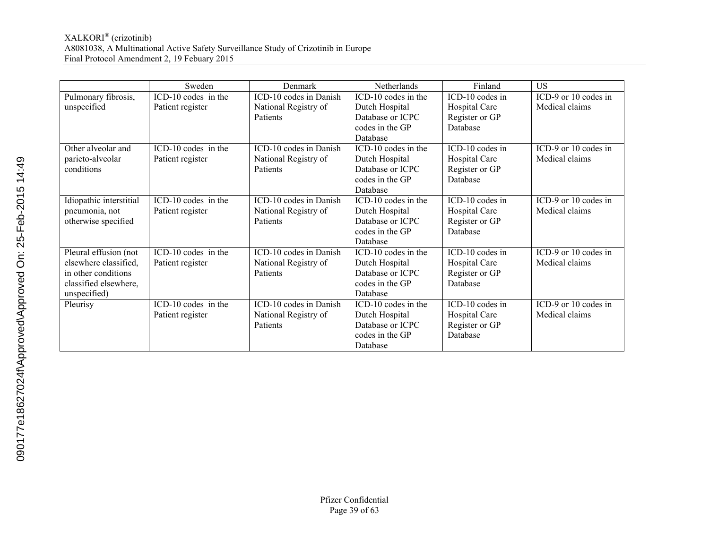|                         | Sweden              | Denmark                | <b>Netherlands</b>          | Finland         | US                   |
|-------------------------|---------------------|------------------------|-----------------------------|-----------------|----------------------|
| Pulmonary fibrosis,     | ICD-10 codes in the | ICD-10 codes in Danish | ICD-10 codes in the         | ICD-10 codes in | ICD-9 or 10 codes in |
| unspecified             | Patient register    | National Registry of   | Dutch Hospital              | Hospital Care   | Medical claims       |
|                         |                     | <b>Patients</b>        | Database or ICPC            | Register or GP  |                      |
|                         |                     |                        | codes in the GP             | Database        |                      |
|                         |                     |                        | Database                    |                 |                      |
| Other alveolar and      | ICD-10 codes in the | ICD-10 codes in Danish | ICD-10 codes in the         | ICD-10 codes in | ICD-9 or 10 codes in |
| parieto-alveolar        | Patient register    | National Registry of   | Dutch Hospital              | Hospital Care   | Medical claims       |
| conditions              |                     | <b>Patients</b>        | Database or ICPC            | Register or GP  |                      |
|                         |                     |                        | codes in the GP             | Database        |                      |
|                         |                     |                        | Database                    |                 |                      |
| Idiopathic interstitial | ICD-10 codes in the | ICD-10 codes in Danish | ICD-10 codes in the         | ICD-10 codes in | ICD-9 or 10 codes in |
| pneumonia, not          | Patient register    | National Registry of   | Dutch Hospital              | Hospital Care   | Medical claims       |
| otherwise specified     |                     | <b>Patients</b>        | Database or ICPC            | Register or GP  |                      |
|                         |                     |                        | codes in the GP<br>Database | Database        |                      |
| Pleural effusion (not   | ICD-10 codes in the | ICD-10 codes in Danish | ICD-10 codes in the         | ICD-10 codes in | ICD-9 or 10 codes in |
| elsewhere classified.   | Patient register    | National Registry of   | Dutch Hospital              | Hospital Care   | Medical claims       |
| in other conditions     |                     | Patients               | Database or ICPC            | Register or GP  |                      |
| classified elsewhere,   |                     |                        | codes in the GP             | Database        |                      |
| unspecified)            |                     |                        | Database                    |                 |                      |
| Pleurisy                | ICD-10 codes in the | ICD-10 codes in Danish | ICD-10 codes in the         | ICD-10 codes in | ICD-9 or 10 codes in |
|                         | Patient register    | National Registry of   | Dutch Hospital              | Hospital Care   | Medical claims       |
|                         |                     | Patients               | Database or ICPC            | Register or GP  |                      |
|                         |                     |                        | codes in the GP             | Database        |                      |
|                         |                     |                        | Database                    |                 |                      |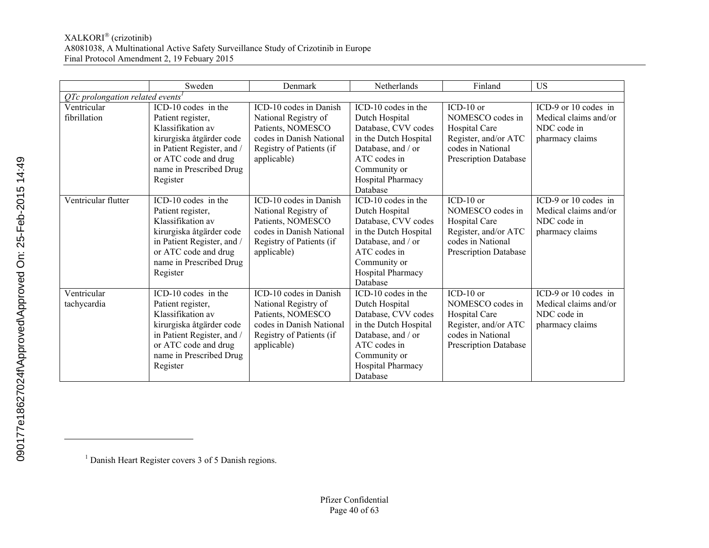|                                                | Sweden                     | Denmark                  | Netherlands           | Finland                      | <b>US</b>             |  |  |
|------------------------------------------------|----------------------------|--------------------------|-----------------------|------------------------------|-----------------------|--|--|
| $QTe$ prolongation related events <sup>1</sup> |                            |                          |                       |                              |                       |  |  |
| Ventricular                                    | ICD-10 codes in the        | ICD-10 codes in Danish   | ICD-10 codes in the   | $ICD-10$ or                  | ICD-9 or 10 codes in  |  |  |
| fibrillation                                   | Patient register,          | National Registry of     | Dutch Hospital        | NOMESCO codes in             | Medical claims and/or |  |  |
|                                                | Klassifikation av          | Patients, NOMESCO        | Database, CVV codes   | Hospital Care                | NDC code in           |  |  |
|                                                | kirurgiska åtgärder code   | codes in Danish National | in the Dutch Hospital | Register, and/or ATC         | pharmacy claims       |  |  |
|                                                | in Patient Register, and / | Registry of Patients (if | Database, and / or    | codes in National            |                       |  |  |
|                                                | or ATC code and drug       | applicable)              | ATC codes in          | <b>Prescription Database</b> |                       |  |  |
|                                                | name in Prescribed Drug    |                          | Community or          |                              |                       |  |  |
|                                                | Register                   |                          | Hospital Pharmacy     |                              |                       |  |  |
|                                                |                            |                          | Database              |                              |                       |  |  |
| Ventricular flutter                            | ICD-10 codes in the        | ICD-10 codes in Danish   | ICD-10 codes in the   | ICD-10 or                    | ICD-9 or 10 codes in  |  |  |
|                                                | Patient register,          | National Registry of     | Dutch Hospital        | NOMESCO codes in             | Medical claims and/or |  |  |
|                                                | Klassifikation av          | Patients, NOMESCO        | Database, CVV codes   | Hospital Care                | NDC code in           |  |  |
|                                                | kirurgiska åtgärder code   | codes in Danish National | in the Dutch Hospital | Register, and/or ATC         | pharmacy claims       |  |  |
|                                                | in Patient Register, and / | Registry of Patients (if | Database, and / or    | codes in National            |                       |  |  |
|                                                | or ATC code and drug       | applicable)              | ATC codes in          | <b>Prescription Database</b> |                       |  |  |
|                                                | name in Prescribed Drug    |                          | Community or          |                              |                       |  |  |
|                                                | Register                   |                          | Hospital Pharmacy     |                              |                       |  |  |
|                                                |                            |                          | Database              |                              |                       |  |  |
| Ventricular                                    | ICD-10 codes in the        | ICD-10 codes in Danish   | ICD-10 codes in the   | $ICD-10$ or                  | ICD-9 or 10 codes in  |  |  |
| tachycardia                                    | Patient register,          | National Registry of     | Dutch Hospital        | NOMESCO codes in             | Medical claims and/or |  |  |
|                                                | Klassifikation av          | Patients, NOMESCO        | Database, CVV codes   | Hospital Care                | NDC code in           |  |  |
|                                                | kirurgiska åtgärder code   | codes in Danish National | in the Dutch Hospital | Register, and/or ATC         | pharmacy claims       |  |  |
|                                                | in Patient Register, and / | Registry of Patients (if | Database, and / or    | codes in National            |                       |  |  |
|                                                | or ATC code and drug       | applicable)              | ATC codes in          | <b>Prescription Database</b> |                       |  |  |
|                                                | name in Prescribed Drug    |                          | Community or          |                              |                       |  |  |
|                                                | Register                   |                          | Hospital Pharmacy     |                              |                       |  |  |
|                                                |                            |                          | Database              |                              |                       |  |  |

 $\overline{a}$ 

<sup>&</sup>lt;sup>1</sup> Danish Heart Register covers 3 of 5 Danish regions.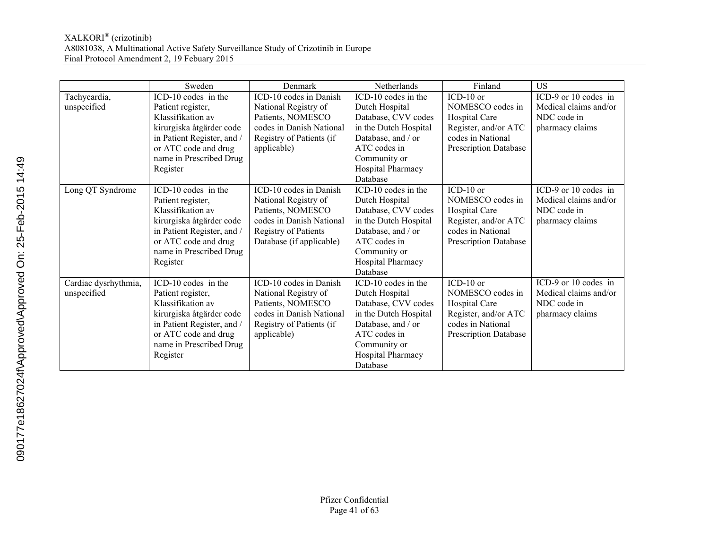|                      | Sweden                     | Denmark                  | <b>Netherlands</b>    | Finland                      | US                    |
|----------------------|----------------------------|--------------------------|-----------------------|------------------------------|-----------------------|
| Tachycardia,         | ICD-10 codes in the        | ICD-10 codes in Danish   | ICD-10 codes in the   | $ICD-10$ or                  | ICD-9 or 10 codes in  |
| unspecified          | Patient register,          | National Registry of     | Dutch Hospital        | NOMESCO codes in             | Medical claims and/or |
|                      | Klassifikation av          | Patients, NOMESCO        | Database, CVV codes   | Hospital Care                | NDC code in           |
|                      | kirurgiska åtgärder code   | codes in Danish National | in the Dutch Hospital | Register, and/or ATC         | pharmacy claims       |
|                      | in Patient Register, and / | Registry of Patients (if | Database, and / or    | codes in National            |                       |
|                      | or ATC code and drug       | applicable)              | ATC codes in          | <b>Prescription Database</b> |                       |
|                      | name in Prescribed Drug    |                          | Community or          |                              |                       |
|                      | Register                   |                          | Hospital Pharmacy     |                              |                       |
|                      |                            |                          | Database              |                              |                       |
| Long QT Syndrome     | ICD-10 codes in the        | ICD-10 codes in Danish   | ICD-10 codes in the   | ICD-10 or                    | ICD-9 or 10 codes in  |
|                      | Patient register,          | National Registry of     | Dutch Hospital        | NOMESCO codes in             | Medical claims and/or |
|                      | Klassifikation av          | Patients, NOMESCO        | Database, CVV codes   | Hospital Care                | NDC code in           |
|                      | kirurgiska åtgärder code   | codes in Danish National | in the Dutch Hospital | Register, and/or ATC         | pharmacy claims       |
|                      | in Patient Register, and / | Registry of Patients     | Database, and / or    | codes in National            |                       |
|                      | or ATC code and drug       | Database (if applicable) | ATC codes in          | <b>Prescription Database</b> |                       |
|                      | name in Prescribed Drug    |                          | Community or          |                              |                       |
|                      | Register                   |                          | Hospital Pharmacy     |                              |                       |
|                      |                            |                          | Database              |                              |                       |
| Cardiac dysrhythmia, | ICD-10 codes in the        | ICD-10 codes in Danish   | ICD-10 codes in the   | $ICD-10$ or                  | ICD-9 or 10 codes in  |
| unspecified          | Patient register,          | National Registry of     | Dutch Hospital        | NOMESCO codes in             | Medical claims and/or |
|                      | Klassifikation av          | Patients, NOMESCO        | Database, CVV codes   | Hospital Care                | NDC code in           |
|                      | kirurgiska åtgärder code   | codes in Danish National | in the Dutch Hospital | Register, and/or ATC         | pharmacy claims       |
|                      | in Patient Register, and / | Registry of Patients (if | Database, and / or    | codes in National            |                       |
|                      | or ATC code and drug       | applicable)              | ATC codes in          | <b>Prescription Database</b> |                       |
|                      | name in Prescribed Drug    |                          | Community or          |                              |                       |
|                      | Register                   |                          | Hospital Pharmacy     |                              |                       |
|                      |                            |                          | Database              |                              |                       |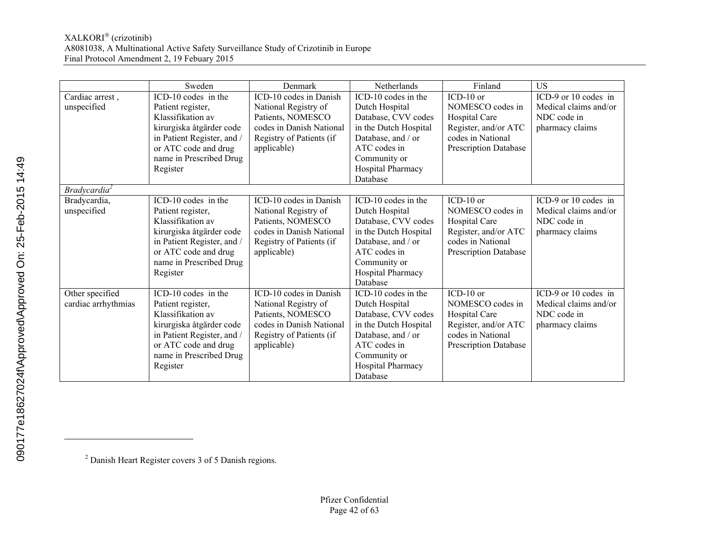|                          | Sweden                                   | Denmark                  | Netherlands           | Finland                      | <b>US</b>             |
|--------------------------|------------------------------------------|--------------------------|-----------------------|------------------------------|-----------------------|
| Cardiac arrest,          | $\overline{\text{ICD}}$ -10 codes in the | ICD-10 codes in Danish   | ICD-10 codes in the   | $ICD-10$ or                  | ICD-9 or 10 codes in  |
| unspecified              | Patient register,                        | National Registry of     | Dutch Hospital        | NOMESCO codes in             | Medical claims and/or |
|                          | Klassifikation av                        | Patients, NOMESCO        | Database, CVV codes   | Hospital Care                | NDC code in           |
|                          | kirurgiska åtgärder code                 | codes in Danish National | in the Dutch Hospital | Register, and/or ATC         | pharmacy claims       |
|                          | in Patient Register, and /               | Registry of Patients (if | Database, and / or    | codes in National            |                       |
|                          | or ATC code and drug                     | applicable)              | ATC codes in          | Prescription Database        |                       |
|                          | name in Prescribed Drug                  |                          | Community or          |                              |                       |
|                          | Register                                 |                          | Hospital Pharmacy     |                              |                       |
|                          |                                          |                          | Database              |                              |                       |
| Bradycardia <sup>2</sup> |                                          |                          |                       |                              |                       |
| Bradycardia,             | ICD-10 codes in the                      | ICD-10 codes in Danish   | ICD-10 codes in the   | $ICD-10$ or                  | ICD-9 or 10 codes in  |
| unspecified              | Patient register,                        | National Registry of     | Dutch Hospital        | NOMESCO codes in             | Medical claims and/or |
|                          | Klassifikation av                        | Patients, NOMESCO        | Database, CVV codes   | Hospital Care                | NDC code in           |
|                          | kirurgiska åtgärder code                 | codes in Danish National | in the Dutch Hospital | Register, and/or ATC         | pharmacy claims       |
|                          | in Patient Register, and /               | Registry of Patients (if | Database, and / or    | codes in National            |                       |
|                          | or ATC code and drug                     | applicable)              | ATC codes in          | Prescription Database        |                       |
|                          | name in Prescribed Drug                  |                          | Community or          |                              |                       |
|                          | Register                                 |                          | Hospital Pharmacy     |                              |                       |
|                          |                                          |                          | Database              |                              |                       |
| Other specified          | ICD-10 codes in the                      | ICD-10 codes in Danish   | ICD-10 codes in the   | $ICD-10$ or                  | ICD-9 or 10 codes in  |
| cardiac arrhythmias      | Patient register,                        | National Registry of     | Dutch Hospital        | NOMESCO codes in             | Medical claims and/or |
|                          | Klassifikation av                        | Patients, NOMESCO        | Database, CVV codes   | Hospital Care                | NDC code in           |
|                          | kirurgiska åtgärder code                 | codes in Danish National | in the Dutch Hospital | Register, and/or ATC         | pharmacy claims       |
|                          | in Patient Register, and /               | Registry of Patients (if | Database, and / or    | codes in National            |                       |
|                          | or ATC code and drug                     | applicable)              | ATC codes in          | <b>Prescription Database</b> |                       |
|                          | name in Prescribed Drug                  |                          | Community or          |                              |                       |
|                          | Register                                 |                          | Hospital Pharmacy     |                              |                       |
|                          |                                          |                          | Database              |                              |                       |

 $\overline{a}$ 

<sup>&</sup>lt;sup>2</sup> Danish Heart Register covers 3 of 5 Danish regions.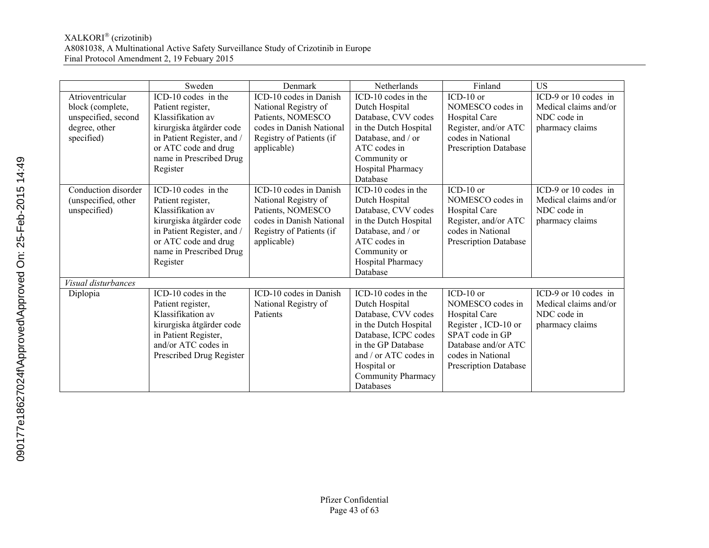|                     | Sweden                     | Denmark                  | Netherlands           | Finland                      | <b>US</b>             |
|---------------------|----------------------------|--------------------------|-----------------------|------------------------------|-----------------------|
| Atrioventricular    | ICD-10 codes in the        | ICD-10 codes in Danish   | ICD-10 codes in the   | ICD-10 or                    | ICD-9 or 10 codes in  |
| block (complete,    | Patient register,          | National Registry of     | Dutch Hospital        | NOMESCO codes in             | Medical claims and/or |
| unspecified, second | Klassifikation av          | Patients, NOMESCO        | Database, CVV codes   | Hospital Care                | NDC code in           |
| degree, other       | kirurgiska åtgärder code   | codes in Danish National | in the Dutch Hospital | Register, and/or ATC         | pharmacy claims       |
| specified)          | in Patient Register, and / | Registry of Patients (if | Database, and / or    | codes in National            |                       |
|                     | or ATC code and drug       | applicable)              | ATC codes in          | <b>Prescription Database</b> |                       |
|                     | name in Prescribed Drug    |                          | Community or          |                              |                       |
|                     | Register                   |                          | Hospital Pharmacy     |                              |                       |
|                     |                            |                          | Database              |                              |                       |
| Conduction disorder | ICD-10 codes in the        | ICD-10 codes in Danish   | ICD-10 codes in the   | $ICD-10$ or                  | ICD-9 or 10 codes in  |
| (unspecified, other | Patient register,          | National Registry of     | Dutch Hospital        | NOMESCO codes in             | Medical claims and/or |
| unspecified)        | Klassifikation av          | Patients, NOMESCO        | Database, CVV codes   | Hospital Care                | NDC code in           |
|                     | kirurgiska åtgärder code   | codes in Danish National | in the Dutch Hospital | Register, and/or ATC         | pharmacy claims       |
|                     | in Patient Register, and / | Registry of Patients (if | Database, and / or    | codes in National            |                       |
|                     | or ATC code and drug       | applicable)              | ATC codes in          | <b>Prescription Database</b> |                       |
|                     | name in Prescribed Drug    |                          | Community or          |                              |                       |
|                     | Register                   |                          | Hospital Pharmacy     |                              |                       |
|                     |                            |                          | Database              |                              |                       |
| Visual disturbances |                            |                          |                       |                              |                       |
| Diplopia            | ICD-10 codes in the        | ICD-10 codes in Danish   | ICD-10 codes in the   | $ICD-10$ or                  | ICD-9 or 10 codes in  |
|                     | Patient register,          | National Registry of     | Dutch Hospital        | NOMESCO codes in             | Medical claims and/or |
|                     | Klassifikation av          | Patients                 | Database, CVV codes   | Hospital Care                | NDC code in           |
|                     | kirurgiska åtgärder code   |                          | in the Dutch Hospital | Register, ICD-10 or          | pharmacy claims       |
|                     | in Patient Register,       |                          | Database, ICPC codes  | SPAT code in GP              |                       |
|                     | and/or ATC codes in        |                          | in the GP Database    | Database and/or ATC          |                       |
|                     | Prescribed Drug Register   |                          | and / or ATC codes in | codes in National            |                       |
|                     |                            |                          | Hospital or           | <b>Prescription Database</b> |                       |
|                     |                            |                          | Community Pharmacy    |                              |                       |
|                     |                            |                          | Databases             |                              |                       |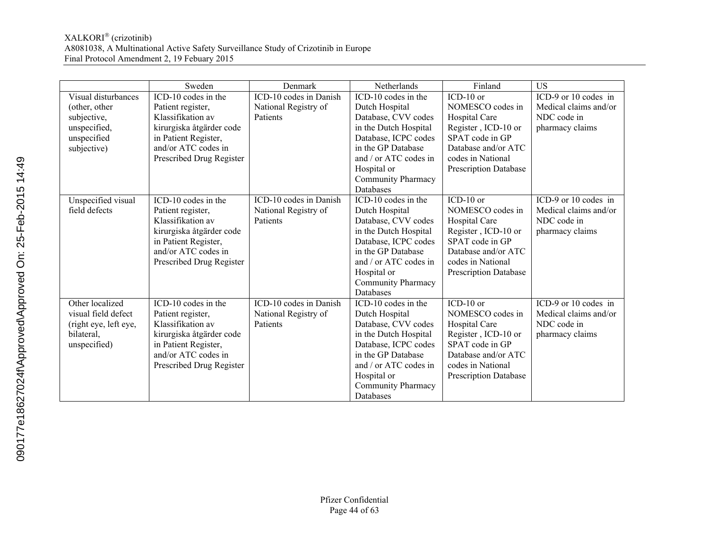|                       | Sweden                   | Denmark                | Netherlands               | Finland                      | <b>US</b>             |
|-----------------------|--------------------------|------------------------|---------------------------|------------------------------|-----------------------|
| Visual disturbances   | ICD-10 codes in the      | ICD-10 codes in Danish | ICD-10 codes in the       | $ICD-10$ or                  | ICD-9 or 10 codes in  |
| (other, other         | Patient register,        | National Registry of   | Dutch Hospital            | NOMESCO codes in             | Medical claims and/or |
| subjective,           | Klassifikation av        | Patients               | Database, CVV codes       | Hospital Care                | NDC code in           |
| unspecified,          | kirurgiska åtgärder code |                        | in the Dutch Hospital     | Register, ICD-10 or          | pharmacy claims       |
| unspecified           | in Patient Register,     |                        | Database, ICPC codes      | SPAT code in GP              |                       |
| subjective)           | and/or ATC codes in      |                        | in the GP Database        | Database and/or ATC          |                       |
|                       | Prescribed Drug Register |                        | and / or ATC codes in     | codes in National            |                       |
|                       |                          |                        | Hospital or               | <b>Prescription Database</b> |                       |
|                       |                          |                        | Community Pharmacy        |                              |                       |
|                       |                          |                        | Databases                 |                              |                       |
| Unspecified visual    | ICD-10 codes in the      | ICD-10 codes in Danish | ICD-10 codes in the       | $ICD-10$ or                  | ICD-9 or 10 codes in  |
| field defects         | Patient register,        | National Registry of   | Dutch Hospital            | NOMESCO codes in             | Medical claims and/or |
|                       | Klassifikation av        | Patients               | Database, CVV codes       | Hospital Care                | NDC code in           |
|                       | kirurgiska åtgärder code |                        | in the Dutch Hospital     | Register, ICD-10 or          | pharmacy claims       |
|                       | in Patient Register,     |                        | Database, ICPC codes      | SPAT code in GP              |                       |
|                       | and/or ATC codes in      |                        | in the GP Database        | Database and/or ATC          |                       |
|                       | Prescribed Drug Register |                        | and / or ATC codes in     | codes in National            |                       |
|                       |                          |                        | Hospital or               | <b>Prescription Database</b> |                       |
|                       |                          |                        | <b>Community Pharmacy</b> |                              |                       |
|                       |                          |                        | Databases                 |                              |                       |
| Other localized       | ICD-10 codes in the      | ICD-10 codes in Danish | ICD-10 codes in the       | $ICD-10$ or                  | ICD-9 or 10 codes in  |
| visual field defect   | Patient register,        | National Registry of   | Dutch Hospital            | NOMESCO codes in             | Medical claims and/or |
| (right eye, left eye, | Klassifikation av        | Patients               | Database, CVV codes       | Hospital Care                | NDC code in           |
| bilateral,            | kirurgiska åtgärder code |                        | in the Dutch Hospital     | Register, ICD-10 or          | pharmacy claims       |
| unspecified)          | in Patient Register,     |                        | Database, ICPC codes      | SPAT code in GP              |                       |
|                       | and/or ATC codes in      |                        | in the GP Database        | Database and/or ATC          |                       |
|                       | Prescribed Drug Register |                        | and / or ATC codes in     | codes in National            |                       |
|                       |                          |                        | Hospital or               | <b>Prescription Database</b> |                       |
|                       |                          |                        | Community Pharmacy        |                              |                       |
|                       |                          |                        | Databases                 |                              |                       |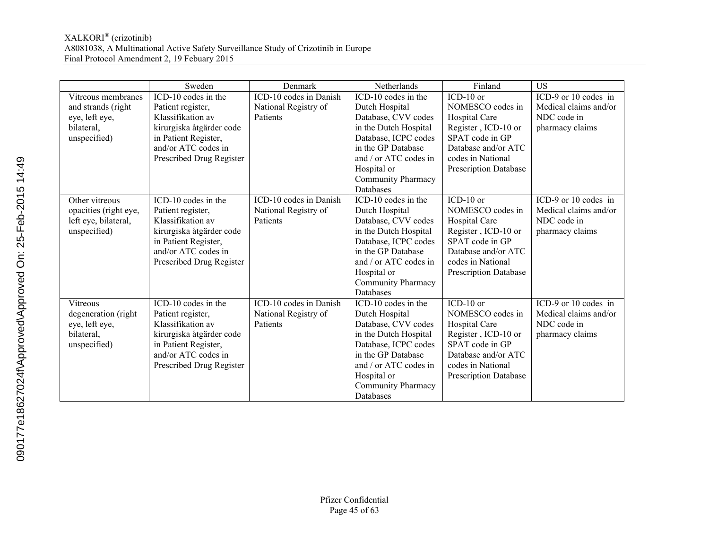|                       | Sweden                   | Denmark                | Netherlands               | Finland                      | <b>US</b>             |
|-----------------------|--------------------------|------------------------|---------------------------|------------------------------|-----------------------|
| Vitreous membranes    | ICD-10 codes in the      | ICD-10 codes in Danish | ICD-10 codes in the       | $ICD-10$ or                  | ICD-9 or 10 codes in  |
| and strands (right    | Patient register,        | National Registry of   | Dutch Hospital            | NOMESCO codes in             | Medical claims and/or |
| eye, left eye,        | Klassifikation av        | Patients               | Database, CVV codes       | Hospital Care                | NDC code in           |
| bilateral,            | kirurgiska åtgärder code |                        | in the Dutch Hospital     | Register, ICD-10 or          | pharmacy claims       |
| unspecified)          | in Patient Register,     |                        | Database, ICPC codes      | SPAT code in GP              |                       |
|                       | and/or ATC codes in      |                        | in the GP Database        | Database and/or ATC          |                       |
|                       | Prescribed Drug Register |                        | and / or ATC codes in     | codes in National            |                       |
|                       |                          |                        | Hospital or               | <b>Prescription Database</b> |                       |
|                       |                          |                        | Community Pharmacy        |                              |                       |
|                       |                          |                        | Databases                 |                              |                       |
| Other vitreous        | ICD-10 codes in the      | ICD-10 codes in Danish | ICD-10 codes in the       | $ICD-10$ or                  | ICD-9 or 10 codes in  |
| opacities (right eye, | Patient register,        | National Registry of   | Dutch Hospital            | NOMESCO codes in             | Medical claims and/or |
| left eye, bilateral,  | Klassifikation av        | Patients               | Database, CVV codes       | Hospital Care                | NDC code in           |
| unspecified)          | kirurgiska åtgärder code |                        | in the Dutch Hospital     | Register, ICD-10 or          | pharmacy claims       |
|                       | in Patient Register,     |                        | Database, ICPC codes      | SPAT code in GP              |                       |
|                       | and/or ATC codes in      |                        | in the GP Database        | Database and/or ATC          |                       |
|                       | Prescribed Drug Register |                        | and / or ATC codes in     | codes in National            |                       |
|                       |                          |                        | Hospital or               | <b>Prescription Database</b> |                       |
|                       |                          |                        | <b>Community Pharmacy</b> |                              |                       |
|                       |                          |                        | Databases                 |                              |                       |
| <b>Vitreous</b>       | ICD-10 codes in the      | ICD-10 codes in Danish | ICD-10 codes in the       | $ICD-10$ or                  | ICD-9 or 10 codes in  |
| degeneration (right   | Patient register,        | National Registry of   | Dutch Hospital            | NOMESCO codes in             | Medical claims and/or |
| eye, left eye,        | Klassifikation av        | Patients               | Database, CVV codes       | Hospital Care                | NDC code in           |
| bilateral,            | kirurgiska åtgärder code |                        | in the Dutch Hospital     | Register, ICD-10 or          | pharmacy claims       |
| unspecified)          | in Patient Register,     |                        | Database, ICPC codes      | SPAT code in GP              |                       |
|                       | and/or ATC codes in      |                        | in the GP Database        | Database and/or ATC          |                       |
|                       | Prescribed Drug Register |                        | and / or ATC codes in     | codes in National            |                       |
|                       |                          |                        | Hospital or               | <b>Prescription Database</b> |                       |
|                       |                          |                        | Community Pharmacy        |                              |                       |
|                       |                          |                        | Databases                 |                              |                       |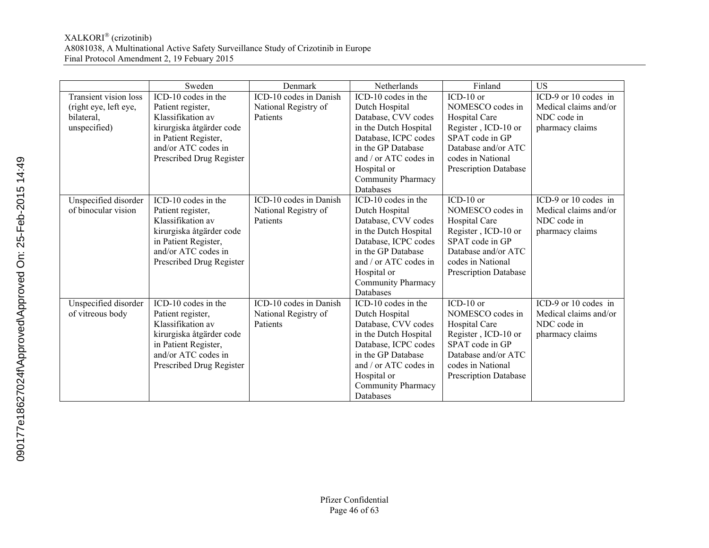|                              | Sweden                   | Denmark                | Netherlands               | Finland                      | <b>US</b>             |
|------------------------------|--------------------------|------------------------|---------------------------|------------------------------|-----------------------|
| <b>Transient vision loss</b> | ICD-10 codes in the      | ICD-10 codes in Danish | ICD-10 codes in the       | $ICD-10$ or                  | ICD-9 or 10 codes in  |
| (right eye, left eye,        | Patient register,        | National Registry of   | Dutch Hospital            | NOMESCO codes in             | Medical claims and/or |
| bilateral,                   | Klassifikation av        | Patients               | Database, CVV codes       | Hospital Care                | NDC code in           |
| unspecified)                 | kirurgiska åtgärder code |                        | in the Dutch Hospital     | Register, ICD-10 or          | pharmacy claims       |
|                              | in Patient Register,     |                        | Database, ICPC codes      | SPAT code in GP              |                       |
|                              | and/or ATC codes in      |                        | in the GP Database        | Database and/or ATC          |                       |
|                              | Prescribed Drug Register |                        | and / or ATC codes in     | codes in National            |                       |
|                              |                          |                        | Hospital or               | <b>Prescription Database</b> |                       |
|                              |                          |                        | Community Pharmacy        |                              |                       |
|                              |                          |                        | Databases                 |                              |                       |
| Unspecified disorder         | ICD-10 codes in the      | ICD-10 codes in Danish | ICD-10 codes in the       | $ICD-10$ or                  | ICD-9 or 10 codes in  |
| of binocular vision          | Patient register,        | National Registry of   | Dutch Hospital            | NOMESCO codes in             | Medical claims and/or |
|                              | Klassifikation av        | Patients               | Database, CVV codes       | Hospital Care                | NDC code in           |
|                              | kirurgiska åtgärder code |                        | in the Dutch Hospital     | Register, ICD-10 or          | pharmacy claims       |
|                              | in Patient Register,     |                        | Database, ICPC codes      | SPAT code in GP              |                       |
|                              | and/or ATC codes in      |                        | in the GP Database        | Database and/or ATC          |                       |
|                              | Prescribed Drug Register |                        | and / or ATC codes in     | codes in National            |                       |
|                              |                          |                        | Hospital or               | <b>Prescription Database</b> |                       |
|                              |                          |                        | <b>Community Pharmacy</b> |                              |                       |
|                              |                          |                        | Databases                 |                              |                       |
| Unspecified disorder         | ICD-10 codes in the      | ICD-10 codes in Danish | ICD-10 codes in the       | $ICD-10$ or                  | ICD-9 or 10 codes in  |
| of vitreous body             | Patient register,        | National Registry of   | Dutch Hospital            | NOMESCO codes in             | Medical claims and/or |
|                              | Klassifikation av        | Patients               | Database, CVV codes       | Hospital Care                | NDC code in           |
|                              | kirurgiska åtgärder code |                        | in the Dutch Hospital     | Register, ICD-10 or          | pharmacy claims       |
|                              | in Patient Register,     |                        | Database, ICPC codes      | SPAT code in GP              |                       |
|                              | and/or ATC codes in      |                        | in the GP Database        | Database and/or ATC          |                       |
|                              | Prescribed Drug Register |                        | and / or ATC codes in     | codes in National            |                       |
|                              |                          |                        | Hospital or               | <b>Prescription Database</b> |                       |
|                              |                          |                        | Community Pharmacy        |                              |                       |
|                              |                          |                        | Databases                 |                              |                       |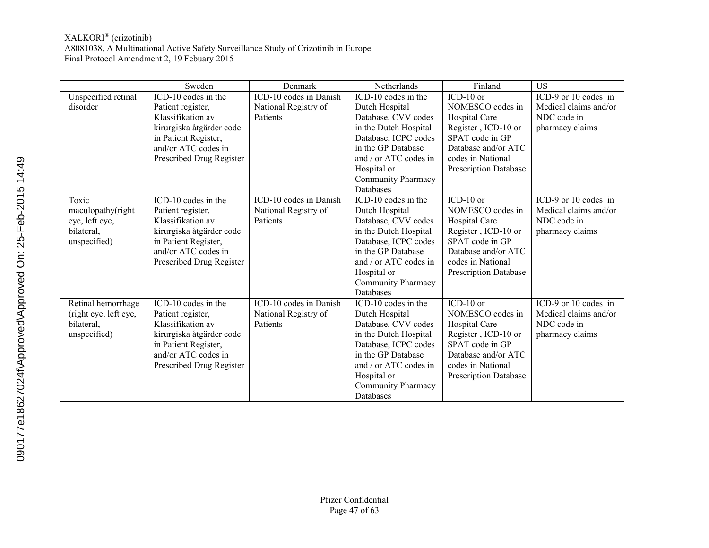|                       | Sweden                   | Denmark                | Netherlands               | Finland                      | <b>US</b>             |
|-----------------------|--------------------------|------------------------|---------------------------|------------------------------|-----------------------|
| Unspecified retinal   | ICD-10 codes in the      | ICD-10 codes in Danish | ICD-10 codes in the       | ICD-10 or                    | ICD-9 or 10 codes in  |
| disorder              | Patient register,        | National Registry of   | Dutch Hospital            | NOMESCO codes in             | Medical claims and/or |
|                       | Klassifikation av        | Patients               | Database, CVV codes       | Hospital Care                | NDC code in           |
|                       | kirurgiska åtgärder code |                        | in the Dutch Hospital     | Register, ICD-10 or          | pharmacy claims       |
|                       | in Patient Register,     |                        | Database, ICPC codes      | SPAT code in GP              |                       |
|                       | and/or ATC codes in      |                        | in the GP Database        | Database and/or ATC          |                       |
|                       | Prescribed Drug Register |                        | and / or ATC codes in     | codes in National            |                       |
|                       |                          |                        | Hospital or               | <b>Prescription Database</b> |                       |
|                       |                          |                        | Community Pharmacy        |                              |                       |
|                       |                          |                        | <b>Databases</b>          |                              |                       |
| Toxic                 | ICD-10 codes in the      | ICD-10 codes in Danish | ICD-10 codes in the       | $ICD-10$ or                  | ICD-9 or 10 codes in  |
| maculopathy(right     | Patient register,        | National Registry of   | Dutch Hospital            | NOMESCO codes in             | Medical claims and/or |
| eye, left eye,        | Klassifikation av        | Patients               | Database, CVV codes       | Hospital Care                | NDC code in           |
| bilateral,            | kirurgiska åtgärder code |                        | in the Dutch Hospital     | Register, ICD-10 or          | pharmacy claims       |
| unspecified)          | in Patient Register,     |                        | Database, ICPC codes      | SPAT code in GP              |                       |
|                       | and/or ATC codes in      |                        | in the GP Database        | Database and/or ATC          |                       |
|                       | Prescribed Drug Register |                        | and / or ATC codes in     | codes in National            |                       |
|                       |                          |                        | Hospital or               | <b>Prescription Database</b> |                       |
|                       |                          |                        | <b>Community Pharmacy</b> |                              |                       |
|                       |                          |                        | Databases                 |                              |                       |
| Retinal hemorrhage    | ICD-10 codes in the      | ICD-10 codes in Danish | ICD-10 codes in the       | $ICD-10$ or                  | ICD-9 or 10 codes in  |
| (right eye, left eye, | Patient register,        | National Registry of   | Dutch Hospital            | NOMESCO codes in             | Medical claims and/or |
| bilateral,            | Klassifikation av        | Patients               | Database, CVV codes       | Hospital Care                | NDC code in           |
| unspecified)          | kirurgiska åtgärder code |                        | in the Dutch Hospital     | Register, ICD-10 or          | pharmacy claims       |
|                       | in Patient Register,     |                        | Database, ICPC codes      | SPAT code in GP              |                       |
|                       | and/or ATC codes in      |                        | in the GP Database        | Database and/or ATC          |                       |
|                       | Prescribed Drug Register |                        | and / or ATC codes in     | codes in National            |                       |
|                       |                          |                        | Hospital or               | <b>Prescription Database</b> |                       |
|                       |                          |                        | Community Pharmacy        |                              |                       |
|                       |                          |                        | Databases                 |                              |                       |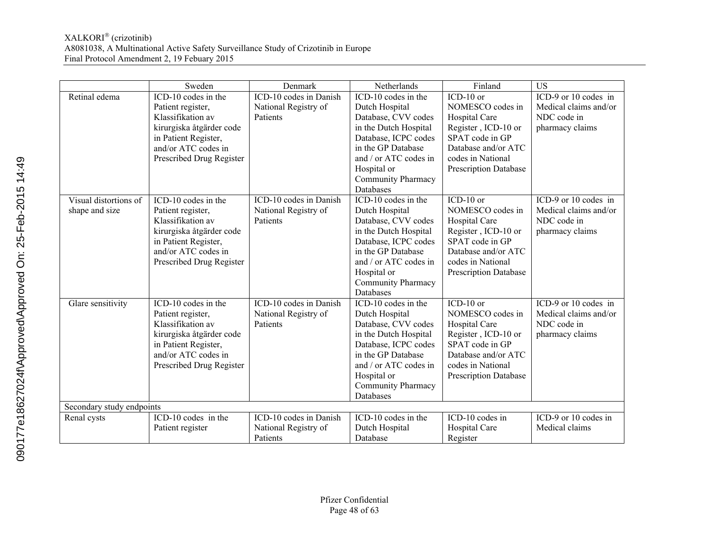|                                         | Sweden                                                                                                                                                               | Denmark                                                    | Netherlands                                                                                                                                                                                                           | Finland                                                                                                                                                                | <b>US</b>                                                                       |
|-----------------------------------------|----------------------------------------------------------------------------------------------------------------------------------------------------------------------|------------------------------------------------------------|-----------------------------------------------------------------------------------------------------------------------------------------------------------------------------------------------------------------------|------------------------------------------------------------------------------------------------------------------------------------------------------------------------|---------------------------------------------------------------------------------|
| Retinal edema                           | ICD-10 codes in the<br>Patient register,<br>Klassifikation av<br>kirurgiska åtgärder code<br>in Patient Register,<br>and/or ATC codes in<br>Prescribed Drug Register | ICD-10 codes in Danish<br>National Registry of<br>Patients | ICD-10 codes in the<br>Dutch Hospital<br>Database, CVV codes<br>in the Dutch Hospital<br>Database, ICPC codes<br>in the GP Database<br>and / or ATC codes in<br>Hospital or<br><b>Community Pharmacy</b><br>Databases | $ICD-10$ or<br>NOMESCO codes in<br>Hospital Care<br>Register, ICD-10 or<br>SPAT code in GP<br>Database and/or ATC<br>codes in National<br><b>Prescription Database</b> | ICD-9 or 10 codes in<br>Medical claims and/or<br>NDC code in<br>pharmacy claims |
| Visual distortions of<br>shape and size | ICD-10 codes in the<br>Patient register,<br>Klassifikation av<br>kirurgiska åtgärder code<br>in Patient Register,<br>and/or ATC codes in<br>Prescribed Drug Register | ICD-10 codes in Danish<br>National Registry of<br>Patients | ICD-10 codes in the<br>Dutch Hospital<br>Database, CVV codes<br>in the Dutch Hospital<br>Database, ICPC codes<br>in the GP Database<br>and / or ATC codes in<br>Hospital or<br>Community Pharmacy<br>Databases        | $ICD-10$ or<br>NOMESCO codes in<br>Hospital Care<br>Register, ICD-10 or<br>SPAT code in GP<br>Database and/or ATC<br>codes in National<br><b>Prescription Database</b> | ICD-9 or 10 codes in<br>Medical claims and/or<br>NDC code in<br>pharmacy claims |
| Glare sensitivity                       | ICD-10 codes in the<br>Patient register,<br>Klassifikation av<br>kirurgiska åtgärder code<br>in Patient Register,<br>and/or ATC codes in<br>Prescribed Drug Register | ICD-10 codes in Danish<br>National Registry of<br>Patients | ICD-10 codes in the<br>Dutch Hospital<br>Database, CVV codes<br>in the Dutch Hospital<br>Database, ICPC codes<br>in the GP Database<br>and / or ATC codes in<br>Hospital or<br>Community Pharmacy<br>Databases        | $ICD-10$ or<br>NOMESCO codes in<br>Hospital Care<br>Register, ICD-10 or<br>SPAT code in GP<br>Database and/or ATC<br>codes in National<br><b>Prescription Database</b> | ICD-9 or 10 codes in<br>Medical claims and/or<br>NDC code in<br>pharmacy claims |
| Secondary study endpoints               |                                                                                                                                                                      |                                                            |                                                                                                                                                                                                                       |                                                                                                                                                                        |                                                                                 |
| Renal cysts                             | $\overline{\text{ICD-10 codes}}$ in the<br>Patient register                                                                                                          | ICD-10 codes in Danish<br>National Registry of<br>Patients | ICD-10 codes in the<br>Dutch Hospital<br>Database                                                                                                                                                                     | $ICD-10$ codes in<br>Hospital Care<br>Register                                                                                                                         | ICD-9 or 10 codes in<br>Medical claims                                          |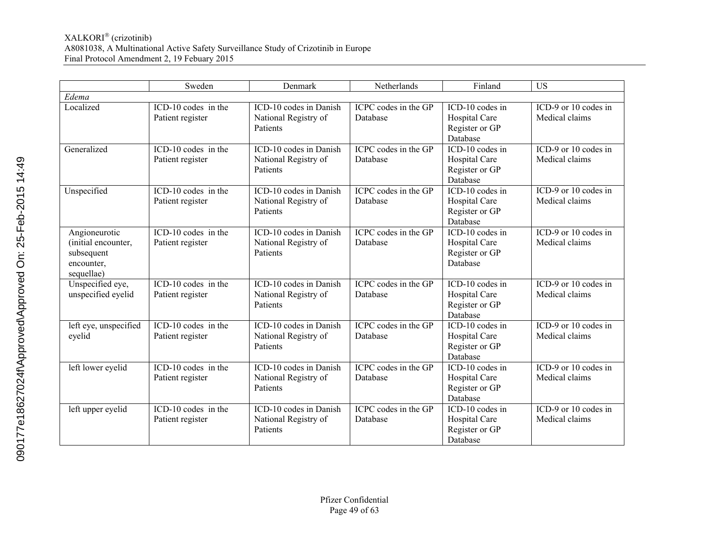|                                                                                | Sweden                                    | Denmark                                                    | Netherlands                             | Finland                                                          | <b>US</b>                                |
|--------------------------------------------------------------------------------|-------------------------------------------|------------------------------------------------------------|-----------------------------------------|------------------------------------------------------------------|------------------------------------------|
| Edema                                                                          |                                           |                                                            |                                         |                                                                  |                                          |
| Localized                                                                      | ICD-10 codes in the<br>Patient register   | ICD-10 codes in Danish<br>National Registry of<br>Patients | ICPC codes in the GP<br>Database        | ICD-10 codes in<br>Hospital Care<br>Register or GP<br>Database   | ICD-9 or 10 codes in<br>Medical claims   |
| Generalized                                                                    | ICD-10 codes in the<br>Patient register   | ICD-10 codes in Danish<br>National Registry of<br>Patients | ICPC codes in the GP<br>Database        | ICD-10 codes in<br>Hospital Care<br>Register or GP<br>Database   | ICD-9 or 10 codes in<br>Medical claims   |
| Unspecified                                                                    | ICD-10 codes in the<br>Patient register   | ICD-10 codes in Danish<br>National Registry of<br>Patients | ICPC codes in the GP<br>Database        | $ICD-10$ codes in<br>Hospital Care<br>Register or GP<br>Database | ICD-9 or 10 codes in<br>Medical claims   |
| Angioneurotic<br>(initial encounter,<br>subsequent<br>encounter,<br>sequellae) | ICD-10 codes in the<br>Patient register   | ICD-10 codes in Danish<br>National Registry of<br>Patients | ICPC codes in the GP<br>Database        | ICD-10 codes in<br>Hospital Care<br>Register or GP<br>Database   | ICD-9 or 10 codes in<br>Medical claims   |
| Unspecified eye,<br>unspecified eyelid                                         | $ICD-10$ codes in the<br>Patient register | ICD-10 codes in Danish<br>National Registry of<br>Patients | <b>ICPC</b> codes in the GP<br>Database | ICD-10 codes in<br>Hospital Care<br>Register or GP<br>Database   | $ICD-9$ or 10 codes in<br>Medical claims |
| left eye, unspecified<br>eyelid                                                | ICD-10 codes in the<br>Patient register   | ICD-10 codes in Danish<br>National Registry of<br>Patients | ICPC codes in the GP<br>Database        | ICD-10 codes in<br>Hospital Care<br>Register or GP<br>Database   | ICD-9 or 10 codes in<br>Medical claims   |
| left lower eyelid                                                              | ICD-10 codes in the<br>Patient register   | ICD-10 codes in Danish<br>National Registry of<br>Patients | ICPC codes in the GP<br>Database        | ICD-10 codes in<br>Hospital Care<br>Register or GP<br>Database   | ICD-9 or 10 codes in<br>Medical claims   |
| left upper eyelid                                                              | ICD-10 codes in the<br>Patient register   | ICD-10 codes in Danish<br>National Registry of<br>Patients | ICPC codes in the GP<br>Database        | ICD-10 codes in<br>Hospital Care<br>Register or GP<br>Database   | ICD-9 or 10 codes in<br>Medical claims   |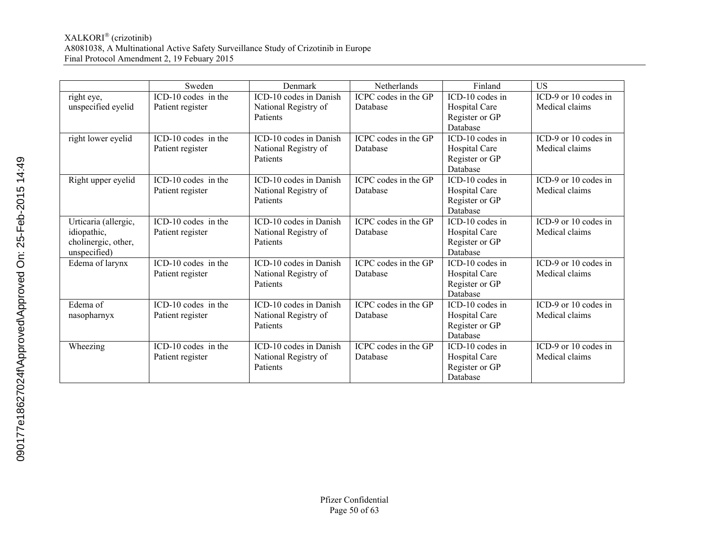|                      | Sweden                                          | Denmark                | Netherlands          | Finland         | <b>US</b>                                |
|----------------------|-------------------------------------------------|------------------------|----------------------|-----------------|------------------------------------------|
| right eye,           | ICD-10 codes in the                             | ICD-10 codes in Danish | ICPC codes in the GP | ICD-10 codes in | ICD-9 or 10 codes in                     |
| unspecified eyelid   | Patient register                                | National Registry of   | Database             | Hospital Care   | Medical claims                           |
|                      |                                                 | Patients               |                      | Register or GP  |                                          |
|                      |                                                 |                        |                      | Database        |                                          |
| right lower eyelid   | ICD-10 codes in the                             | ICD-10 codes in Danish | ICPC codes in the GP | ICD-10 codes in | ICD-9 or 10 codes in                     |
|                      | Patient register                                | National Registry of   | Database             | Hospital Care   | Medical claims                           |
|                      |                                                 | <b>Patients</b>        |                      | Register or GP  |                                          |
|                      |                                                 |                        |                      | Database        |                                          |
| Right upper eyelid   | $\overline{\text{ICD-}}10 \text{ codes}$ in the | ICD-10 codes in Danish | ICPC codes in the GP | ICD-10 codes in | $\overline{\text{ICD-9}}$ or 10 codes in |
|                      | Patient register                                | National Registry of   | Database             | Hospital Care   | Medical claims                           |
|                      |                                                 | Patients               |                      | Register or GP  |                                          |
|                      |                                                 |                        |                      | Database        |                                          |
| Urticaria (allergic, | ICD-10 codes in the                             | ICD-10 codes in Danish | ICPC codes in the GP | ICD-10 codes in | ICD-9 or 10 codes in                     |
| idiopathic,          | Patient register                                | National Registry of   | Database             | Hospital Care   | Medical claims                           |
| cholinergic, other,  |                                                 | Patients               |                      | Register or GP  |                                          |
| unspecified)         |                                                 |                        |                      | Database        |                                          |
| Edema of larynx      | ICD-10 codes in the                             | ICD-10 codes in Danish | ICPC codes in the GP | ICD-10 codes in | ICD-9 or 10 codes in                     |
|                      | Patient register                                | National Registry of   | Database             | Hospital Care   | Medical claims                           |
|                      |                                                 | Patients               |                      | Register or GP  |                                          |
|                      |                                                 |                        |                      | Database        |                                          |
| Edema of             | ICD-10 codes in the                             | ICD-10 codes in Danish | ICPC codes in the GP | ICD-10 codes in | ICD-9 or 10 codes in                     |
| nasopharnyx          | Patient register                                | National Registry of   | Database             | Hospital Care   | Medical claims                           |
|                      |                                                 | Patients               |                      | Register or GP  |                                          |
|                      |                                                 |                        |                      | Database        |                                          |
| Wheezing             | ICD-10 codes in the                             | ICD-10 codes in Danish | ICPC codes in the GP | ICD-10 codes in | ICD-9 or 10 codes in                     |
|                      | Patient register                                | National Registry of   | Database             | Hospital Care   | Medical claims                           |
|                      |                                                 | Patients               |                      | Register or GP  |                                          |
|                      |                                                 |                        |                      | Database        |                                          |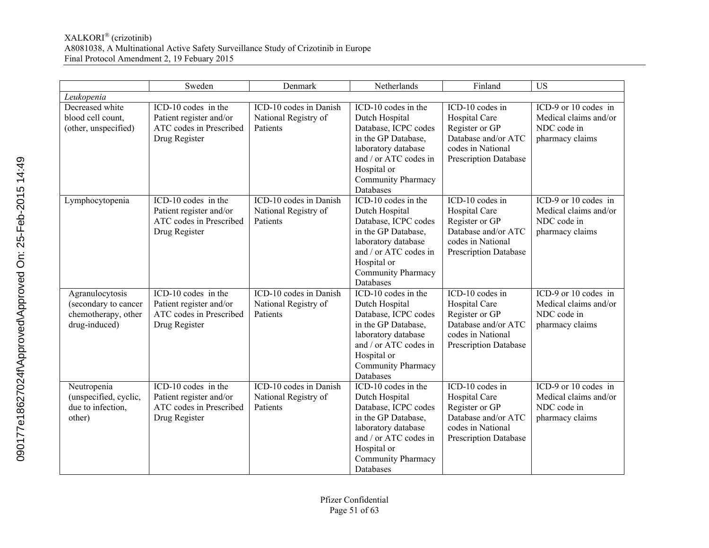|                                      | Sweden                  | Denmark                | Netherlands                            | Finland                      | $\overline{US}$       |
|--------------------------------------|-------------------------|------------------------|----------------------------------------|------------------------------|-----------------------|
| Leukopenia                           |                         |                        |                                        |                              |                       |
| Decreased white                      | ICD-10 codes in the     | ICD-10 codes in Danish | ICD-10 codes in the                    | ICD-10 codes in              | ICD-9 or 10 codes in  |
| blood cell count,                    | Patient register and/or | National Registry of   | Dutch Hospital                         | Hospital Care                | Medical claims and/or |
| (other, unspecified)                 | ATC codes in Prescribed | Patients               | Database, ICPC codes                   | Register or GP               | NDC code in           |
|                                      | Drug Register           |                        | in the GP Database,                    | Database and/or ATC          | pharmacy claims       |
|                                      |                         |                        | laboratory database                    | codes in National            |                       |
|                                      |                         |                        | and / or ATC codes in                  | Prescription Database        |                       |
|                                      |                         |                        | Hospital or                            |                              |                       |
|                                      |                         |                        | Community Pharmacy                     |                              |                       |
|                                      |                         |                        | Databases                              |                              |                       |
| Lymphocytopenia                      | ICD-10 codes in the     | ICD-10 codes in Danish | ICD-10 codes in the                    | ICD-10 codes in              | ICD-9 or 10 codes in  |
|                                      | Patient register and/or | National Registry of   | Dutch Hospital                         | Hospital Care                | Medical claims and/or |
|                                      | ATC codes in Prescribed | Patients               | Database, ICPC codes                   | Register or GP               | NDC code in           |
|                                      | Drug Register           |                        | in the GP Database,                    | Database and/or ATC          | pharmacy claims       |
|                                      |                         |                        | laboratory database                    | codes in National            |                       |
|                                      |                         |                        | and / or ATC codes in                  | <b>Prescription Database</b> |                       |
|                                      |                         |                        | Hospital or                            |                              |                       |
|                                      |                         |                        | Community Pharmacy                     |                              |                       |
|                                      |                         |                        | Databases                              |                              |                       |
| Agranulocytosis                      | ICD-10 codes in the     | ICD-10 codes in Danish | ICD-10 codes in the                    | $ICD-10$ codes in            | ICD-9 or 10 codes in  |
| (secondary to cancer                 | Patient register and/or | National Registry of   | Dutch Hospital                         | Hospital Care                | Medical claims and/or |
| chemotherapy, other                  | ATC codes in Prescribed | Patients               | Database, ICPC codes                   | Register or GP               | NDC code in           |
| drug-induced)                        | Drug Register           |                        | in the GP Database,                    | Database and/or ATC          | pharmacy claims       |
|                                      |                         |                        | laboratory database                    | codes in National            |                       |
|                                      |                         |                        | and / or ATC codes in                  | Prescription Database        |                       |
|                                      |                         |                        | Hospital or                            |                              |                       |
|                                      |                         |                        | <b>Community Pharmacy</b><br>Databases |                              |                       |
|                                      | ICD-10 codes in the     | ICD-10 codes in Danish | ICD-10 codes in the                    | ICD-10 codes in              | ICD-9 or 10 codes in  |
| Neutropenia<br>(unspecified, cyclic, | Patient register and/or | National Registry of   | Dutch Hospital                         | Hospital Care                | Medical claims and/or |
| due to infection,                    | ATC codes in Prescribed | Patients               | Database, ICPC codes                   | Register or GP               | NDC code in           |
| other)                               | Drug Register           |                        | in the GP Database,                    | Database and/or ATC          | pharmacy claims       |
|                                      |                         |                        | laboratory database                    | codes in National            |                       |
|                                      |                         |                        | and / or ATC codes in                  | <b>Prescription Database</b> |                       |
|                                      |                         |                        | Hospital or                            |                              |                       |
|                                      |                         |                        | <b>Community Pharmacy</b>              |                              |                       |
|                                      |                         |                        | Databases                              |                              |                       |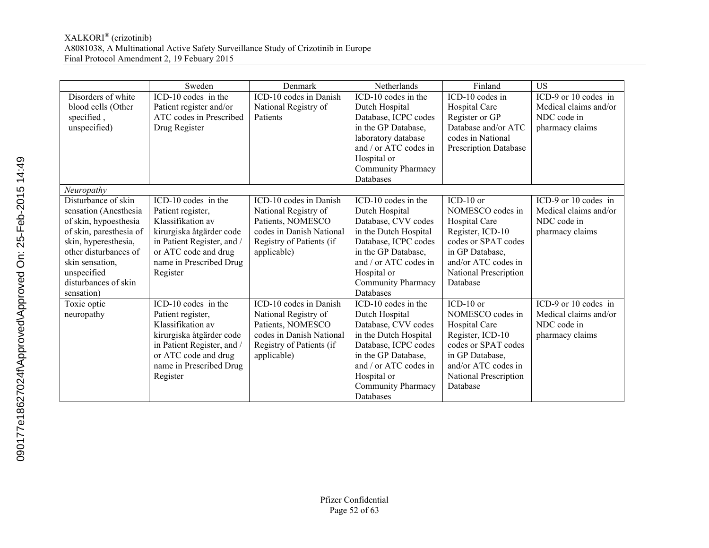|                         | Sweden                     | Denmark                  | Netherlands               | Finland                      | <b>US</b>             |
|-------------------------|----------------------------|--------------------------|---------------------------|------------------------------|-----------------------|
| Disorders of white      | ICD-10 codes in the        | ICD-10 codes in Danish   | ICD-10 codes in the       | ICD-10 codes in              | ICD-9 or 10 codes in  |
| blood cells (Other      | Patient register and/or    | National Registry of     | Dutch Hospital            | Hospital Care                | Medical claims and/or |
| specified,              | ATC codes in Prescribed    | Patients                 | Database, ICPC codes      | Register or GP               | NDC code in           |
| unspecified)            | Drug Register              |                          | in the GP Database,       | Database and/or ATC          | pharmacy claims       |
|                         |                            |                          | laboratory database       | codes in National            |                       |
|                         |                            |                          | and / or ATC codes in     | <b>Prescription Database</b> |                       |
|                         |                            |                          | Hospital or               |                              |                       |
|                         |                            |                          | Community Pharmacy        |                              |                       |
|                         |                            |                          | Databases                 |                              |                       |
| Neuropathy              |                            |                          |                           |                              |                       |
| Disturbance of skin     | ICD-10 codes in the        | ICD-10 codes in Danish   | ICD-10 codes in the       | ICD-10 or                    | ICD-9 or 10 codes in  |
| sensation (Anesthesia   | Patient register,          | National Registry of     | Dutch Hospital            | NOMESCO codes in             | Medical claims and/or |
| of skin, hypoesthesia   | Klassifikation av          | Patients, NOMESCO        | Database, CVV codes       | Hospital Care                | NDC code in           |
| of skin, paresthesia of | kirurgiska åtgärder code   | codes in Danish National | in the Dutch Hospital     | Register, ICD-10             | pharmacy claims       |
| skin, hyperesthesia,    | in Patient Register, and / | Registry of Patients (if | Database, ICPC codes      | codes or SPAT codes          |                       |
| other disturbances of   | or ATC code and drug       | applicable)              | in the GP Database,       | in GP Database.              |                       |
| skin sensation,         | name in Prescribed Drug    |                          | and $/$ or ATC codes in   | and/or ATC codes in          |                       |
| unspecified             | Register                   |                          | Hospital or               | National Prescription        |                       |
| disturbances of skin    |                            |                          | <b>Community Pharmacy</b> | Database                     |                       |
| sensation)              |                            |                          | Databases                 |                              |                       |
| Toxic optic             | ICD-10 codes in the        | ICD-10 codes in Danish   | ICD-10 codes in the       | $ICD-10$ or                  | ICD-9 or 10 codes in  |
| neuropathy              | Patient register,          | National Registry of     | Dutch Hospital            | NOMESCO codes in             | Medical claims and/or |
|                         | Klassifikation av          | Patients, NOMESCO        | Database, CVV codes       | Hospital Care                | NDC code in           |
|                         | kirurgiska åtgärder code   | codes in Danish National | in the Dutch Hospital     | Register, ICD-10             | pharmacy claims       |
|                         | in Patient Register, and / | Registry of Patients (if | Database, ICPC codes      | codes or SPAT codes          |                       |
|                         | or ATC code and drug       | applicable)              | in the GP Database,       | in GP Database,              |                       |
|                         | name in Prescribed Drug    |                          | and / or ATC codes in     | and/or ATC codes in          |                       |
|                         | Register                   |                          | Hospital or               | National Prescription        |                       |
|                         |                            |                          | Community Pharmacy        | Database                     |                       |
|                         |                            |                          | Databases                 |                              |                       |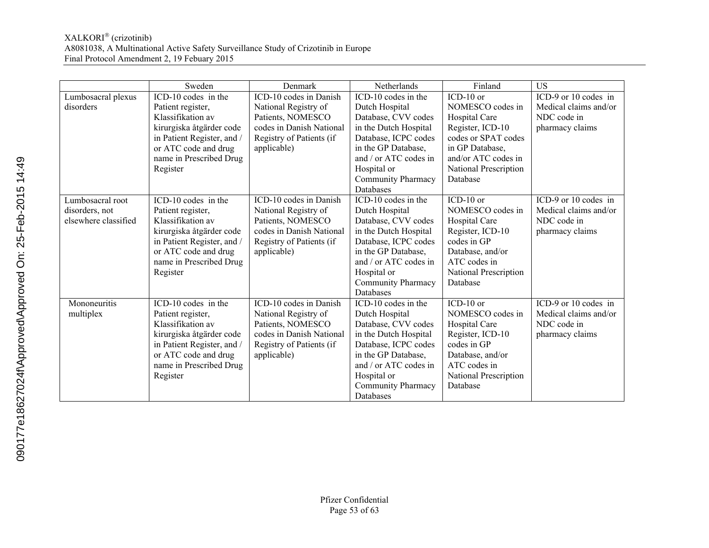|                      | Sweden                     | Denmark                  | Netherlands               | Finland               | <b>US</b>             |
|----------------------|----------------------------|--------------------------|---------------------------|-----------------------|-----------------------|
| Lumbosacral plexus   | ICD-10 codes in the        | ICD-10 codes in Danish   | ICD-10 codes in the       | $ICD-10$ or           | ICD-9 or 10 codes in  |
| disorders            | Patient register,          | National Registry of     | Dutch Hospital            | NOMESCO codes in      | Medical claims and/or |
|                      | Klassifikation av          | Patients, NOMESCO        | Database, CVV codes       | Hospital Care         | NDC code in           |
|                      | kirurgiska åtgärder code   | codes in Danish National | in the Dutch Hospital     | Register, ICD-10      | pharmacy claims       |
|                      | in Patient Register, and / | Registry of Patients (if | Database, ICPC codes      | codes or SPAT codes   |                       |
|                      | or ATC code and drug       | applicable)              | in the GP Database.       | in GP Database.       |                       |
|                      | name in Prescribed Drug    |                          | and / or ATC codes in     | and/or ATC codes in   |                       |
|                      | Register                   |                          | Hospital or               | National Prescription |                       |
|                      |                            |                          | <b>Community Pharmacy</b> | Database              |                       |
|                      |                            |                          | Databases                 |                       |                       |
| Lumbosacral root     | ICD-10 codes in the        | ICD-10 codes in Danish   | ICD-10 codes in the       | $ICD-10$ or           | ICD-9 or 10 codes in  |
| disorders, not       | Patient register,          | National Registry of     | Dutch Hospital            | NOMESCO codes in      | Medical claims and/or |
| elsewhere classified | Klassifikation av          | Patients, NOMESCO        | Database, CVV codes       | Hospital Care         | NDC code in           |
|                      | kirurgiska åtgärder code   | codes in Danish National | in the Dutch Hospital     | Register, ICD-10      | pharmacy claims       |
|                      | in Patient Register, and / | Registry of Patients (if | Database, ICPC codes      | codes in GP           |                       |
|                      | or ATC code and drug       | applicable)              | in the GP Database,       | Database, and/or      |                       |
|                      | name in Prescribed Drug    |                          | and / or ATC codes in     | ATC codes in          |                       |
|                      | Register                   |                          | Hospital or               | National Prescription |                       |
|                      |                            |                          | <b>Community Pharmacy</b> | Database              |                       |
|                      |                            |                          | Databases                 |                       |                       |
| Mononeuritis         | ICD-10 codes in the        | ICD-10 codes in Danish   | ICD-10 codes in the       | ICD-10 or             | ICD-9 or 10 codes in  |
| multiplex            | Patient register,          | National Registry of     | Dutch Hospital            | NOMESCO codes in      | Medical claims and/or |
|                      | Klassifikation av          | Patients, NOMESCO        | Database, CVV codes       | Hospital Care         | NDC code in           |
|                      | kirurgiska åtgärder code   | codes in Danish National | in the Dutch Hospital     | Register, ICD-10      | pharmacy claims       |
|                      | in Patient Register, and / | Registry of Patients (if | Database, ICPC codes      | codes in GP           |                       |
|                      | or ATC code and drug       | applicable)              | in the GP Database,       | Database, and/or      |                       |
|                      | name in Prescribed Drug    |                          | and / or ATC codes in     | ATC codes in          |                       |
|                      | Register                   |                          | Hospital or               | National Prescription |                       |
|                      |                            |                          | <b>Community Pharmacy</b> | Database              |                       |
|                      |                            |                          | Databases                 |                       |                       |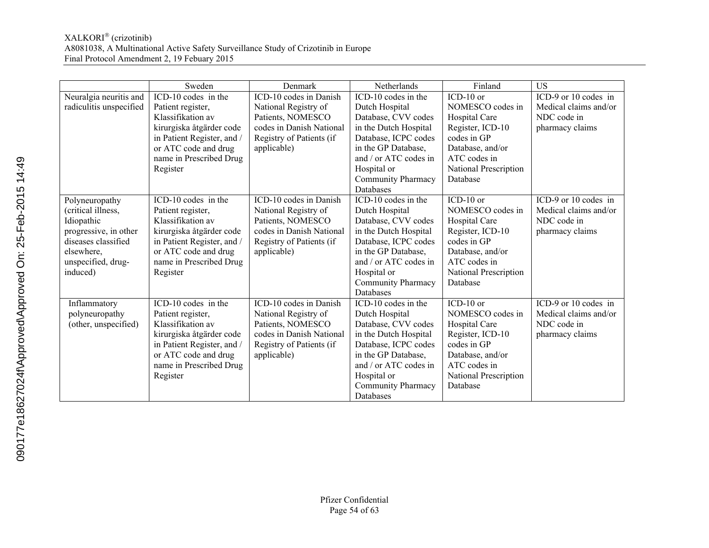|                         | Sweden                     | Denmark                  | Netherlands           | Finland               | <b>US</b>             |
|-------------------------|----------------------------|--------------------------|-----------------------|-----------------------|-----------------------|
| Neuralgia neuritis and  | ICD-10 codes in the        | ICD-10 codes in Danish   | ICD-10 codes in the   | $ICD-10$ or           | ICD-9 or 10 codes in  |
| radiculitis unspecified | Patient register,          | National Registry of     | Dutch Hospital        | NOMESCO codes in      | Medical claims and/or |
|                         | Klassifikation av          | Patients, NOMESCO        | Database, CVV codes   | Hospital Care         | NDC code in           |
|                         | kirurgiska åtgärder code   | codes in Danish National | in the Dutch Hospital | Register, ICD-10      | pharmacy claims       |
|                         | in Patient Register, and / | Registry of Patients (if | Database, ICPC codes  | codes in GP           |                       |
|                         | or ATC code and drug       | applicable)              | in the GP Database,   | Database, and/or      |                       |
|                         | name in Prescribed Drug    |                          | and / or ATC codes in | ATC codes in          |                       |
|                         | Register                   |                          | Hospital or           | National Prescription |                       |
|                         |                            |                          | Community Pharmacy    | Database              |                       |
|                         |                            |                          | Databases             |                       |                       |
| Polyneuropathy          | ICD-10 codes in the        | ICD-10 codes in Danish   | ICD-10 codes in the   | $ICD-10$ or           | ICD-9 or 10 codes in  |
| (critical illness,      | Patient register,          | National Registry of     | Dutch Hospital        | NOMESCO codes in      | Medical claims and/or |
| Idiopathic              | Klassifikation av          | Patients, NOMESCO        | Database, CVV codes   | Hospital Care         | NDC code in           |
| progressive, in other   | kirurgiska åtgärder code   | codes in Danish National | in the Dutch Hospital | Register, ICD-10      | pharmacy claims       |
| diseases classified     | in Patient Register, and / | Registry of Patients (if | Database, ICPC codes  | codes in GP           |                       |
| elsewhere,              | or ATC code and drug       | applicable)              | in the GP Database,   | Database, and/or      |                       |
| unspecified, drug-      | name in Prescribed Drug    |                          | and / or ATC codes in | ATC codes in          |                       |
| induced)                | Register                   |                          | Hospital or           | National Prescription |                       |
|                         |                            |                          | Community Pharmacy    | Database              |                       |
|                         |                            |                          | Databases             |                       |                       |
| Inflammatory            | ICD-10 codes in the        | ICD-10 codes in Danish   | ICD-10 codes in the   | $ICD-10$ or           | ICD-9 or 10 codes in  |
| polyneuropathy          | Patient register,          | National Registry of     | Dutch Hospital        | NOMESCO codes in      | Medical claims and/or |
| (other, unspecified)    | Klassifikation av          | Patients, NOMESCO        | Database, CVV codes   | Hospital Care         | NDC code in           |
|                         | kirurgiska åtgärder code   | codes in Danish National | in the Dutch Hospital | Register, ICD-10      | pharmacy claims       |
|                         | in Patient Register, and / | Registry of Patients (if | Database, ICPC codes  | codes in GP           |                       |
|                         | or ATC code and drug       | applicable)              | in the GP Database,   | Database, and/or      |                       |
|                         | name in Prescribed Drug    |                          | and / or ATC codes in | ATC codes in          |                       |
|                         | Register                   |                          | Hospital or           | National Prescription |                       |
|                         |                            |                          | Community Pharmacy    | Database              |                       |
|                         |                            |                          | Databases             |                       |                       |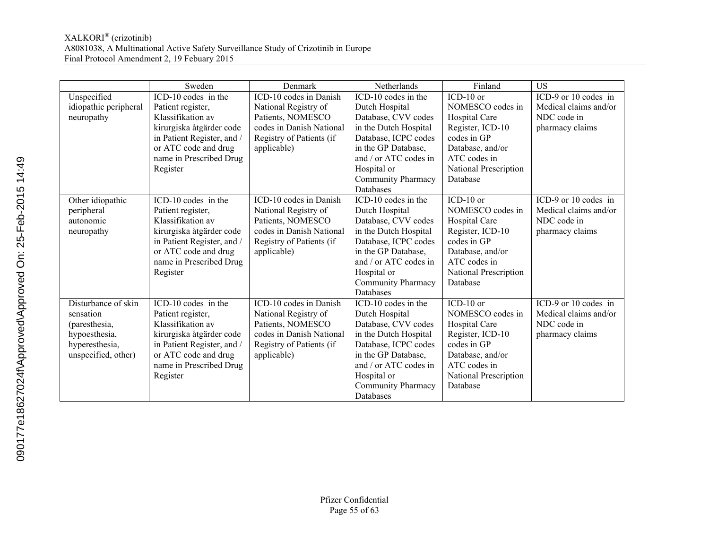|                       | Sweden                     | Denmark                  | Netherlands               | Finland               | <b>US</b>             |
|-----------------------|----------------------------|--------------------------|---------------------------|-----------------------|-----------------------|
| Unspecified           | ICD-10 codes in the        | ICD-10 codes in Danish   | ICD-10 codes in the       | $ICD-10$ or           | ICD-9 or 10 codes in  |
| idiopathic peripheral | Patient register,          | National Registry of     | Dutch Hospital            | NOMESCO codes in      | Medical claims and/or |
| neuropathy            | Klassifikation av          | Patients, NOMESCO        | Database, CVV codes       | Hospital Care         | NDC code in           |
|                       | kirurgiska åtgärder code   | codes in Danish National | in the Dutch Hospital     | Register, ICD-10      | pharmacy claims       |
|                       | in Patient Register, and / | Registry of Patients (if | Database, ICPC codes      | codes in GP           |                       |
|                       | or ATC code and drug       | applicable)              | in the GP Database.       | Database, and/or      |                       |
|                       | name in Prescribed Drug    |                          | and / or ATC codes in     | ATC codes in          |                       |
|                       | Register                   |                          | Hospital or               | National Prescription |                       |
|                       |                            |                          | Community Pharmacy        | Database              |                       |
|                       |                            |                          | Databases                 |                       |                       |
| Other idiopathic      | ICD-10 codes in the        | ICD-10 codes in Danish   | ICD-10 codes in the       | $ICD-10$ or           | ICD-9 or 10 codes in  |
| peripheral            | Patient register,          | National Registry of     | Dutch Hospital            | NOMESCO codes in      | Medical claims and/or |
| autonomic             | Klassifikation av          | Patients, NOMESCO        | Database, CVV codes       | Hospital Care         | NDC code in           |
| neuropathy            | kirurgiska åtgärder code   | codes in Danish National | in the Dutch Hospital     | Register, ICD-10      | pharmacy claims       |
|                       | in Patient Register, and / | Registry of Patients (if | Database, ICPC codes      | codes in GP           |                       |
|                       | or ATC code and drug       | applicable)              | in the GP Database.       | Database, and/or      |                       |
|                       | name in Prescribed Drug    |                          | and / or ATC codes in     | ATC codes in          |                       |
|                       | Register                   |                          | Hospital or               | National Prescription |                       |
|                       |                            |                          | <b>Community Pharmacy</b> | Database              |                       |
|                       |                            |                          | Databases                 |                       |                       |
| Disturbance of skin   | ICD-10 codes in the        | ICD-10 codes in Danish   | ICD-10 codes in the       | $ICD-10$ or           | ICD-9 or 10 codes in  |
| sensation             | Patient register,          | National Registry of     | Dutch Hospital            | NOMESCO codes in      | Medical claims and/or |
| (paresthesia,         | Klassifikation av          | Patients, NOMESCO        | Database, CVV codes       | Hospital Care         | NDC code in           |
| hypoesthesia,         | kirurgiska åtgärder code   | codes in Danish National | in the Dutch Hospital     | Register, ICD-10      | pharmacy claims       |
| hyperesthesia,        | in Patient Register, and / | Registry of Patients (if | Database, ICPC codes      | codes in GP           |                       |
| unspecified, other)   | or ATC code and drug       | applicable)              | in the GP Database.       | Database, and/or      |                       |
|                       | name in Prescribed Drug    |                          | and / or ATC codes in     | ATC codes in          |                       |
|                       | Register                   |                          | Hospital or               | National Prescription |                       |
|                       |                            |                          | <b>Community Pharmacy</b> | Database              |                       |
|                       |                            |                          | Databases                 |                       |                       |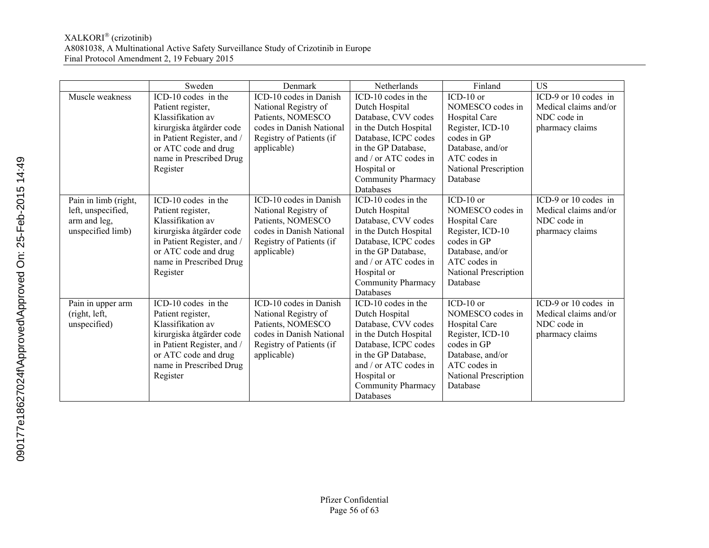|                      | Sweden                     | Denmark                  | Netherlands               | Finland               | US                    |
|----------------------|----------------------------|--------------------------|---------------------------|-----------------------|-----------------------|
| Muscle weakness      | ICD-10 codes in the        | ICD-10 codes in Danish   | ICD-10 codes in the       | $ICD-10$ or           | ICD-9 or 10 codes in  |
|                      | Patient register,          | National Registry of     | Dutch Hospital            | NOMESCO codes in      | Medical claims and/or |
|                      | Klassifikation av          | Patients, NOMESCO        | Database, CVV codes       | Hospital Care         | NDC code in           |
|                      | kirurgiska åtgärder code   | codes in Danish National | in the Dutch Hospital     | Register, ICD-10      | pharmacy claims       |
|                      | in Patient Register, and / | Registry of Patients (if | Database, ICPC codes      | codes in GP           |                       |
|                      | or ATC code and drug       | applicable)              | in the GP Database.       | Database, and/or      |                       |
|                      | name in Prescribed Drug    |                          | and / or ATC codes in     | ATC codes in          |                       |
|                      | Register                   |                          | Hospital or               | National Prescription |                       |
|                      |                            |                          | Community Pharmacy        | Database              |                       |
|                      |                            |                          | Databases                 |                       |                       |
| Pain in limb (right, | ICD-10 codes in the        | ICD-10 codes in Danish   | ICD-10 codes in the       | $ICD-10$ or           | ICD-9 or 10 codes in  |
| left, unspecified,   | Patient register,          | National Registry of     | Dutch Hospital            | NOMESCO codes in      | Medical claims and/or |
| arm and leg,         | Klassifikation av          | Patients, NOMESCO        | Database, CVV codes       | Hospital Care         | NDC code in           |
| unspecified limb)    | kirurgiska åtgärder code   | codes in Danish National | in the Dutch Hospital     | Register, ICD-10      | pharmacy claims       |
|                      | in Patient Register, and / | Registry of Patients (if | Database, ICPC codes      | codes in GP           |                       |
|                      | or ATC code and drug       | applicable)              | in the GP Database,       | Database, and/or      |                       |
|                      | name in Prescribed Drug    |                          | and / or ATC codes in     | ATC codes in          |                       |
|                      | Register                   |                          | Hospital or               | National Prescription |                       |
|                      |                            |                          | <b>Community Pharmacy</b> | Database              |                       |
|                      |                            |                          | Databases                 |                       |                       |
| Pain in upper arm    | ICD-10 codes in the        | ICD-10 codes in Danish   | ICD-10 codes in the       | $ICD-10$ or           | ICD-9 or 10 codes in  |
| (right, left,        | Patient register,          | National Registry of     | Dutch Hospital            | NOMESCO codes in      | Medical claims and/or |
| unspecified)         | Klassifikation av          | Patients, NOMESCO        | Database, CVV codes       | Hospital Care         | NDC code in           |
|                      | kirurgiska åtgärder code   | codes in Danish National | in the Dutch Hospital     | Register, ICD-10      | pharmacy claims       |
|                      | in Patient Register, and / | Registry of Patients (if | Database, ICPC codes      | codes in GP           |                       |
|                      | or ATC code and drug       | applicable)              | in the GP Database,       | Database, and/or      |                       |
|                      | name in Prescribed Drug    |                          | and / or ATC codes in     | ATC codes in          |                       |
|                      | Register                   |                          | Hospital or               | National Prescription |                       |
|                      |                            |                          | <b>Community Pharmacy</b> | Database              |                       |
|                      |                            |                          | Databases                 |                       |                       |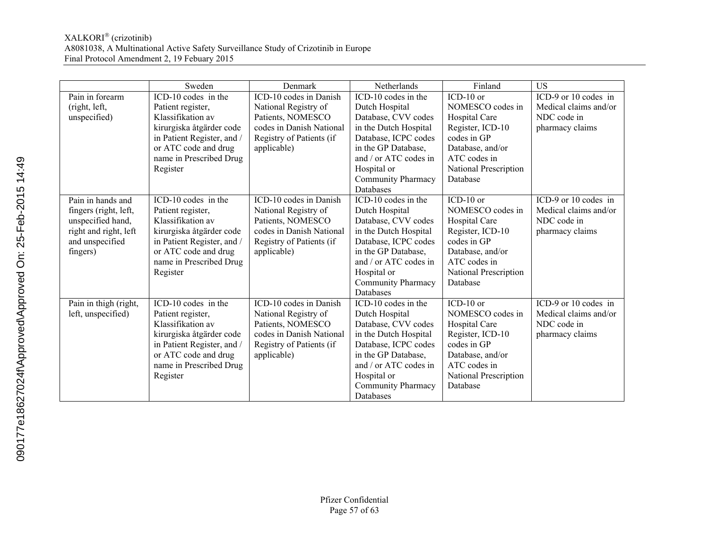|                       | Sweden                     | Denmark                  | Netherlands           | Finland               | <b>US</b>             |
|-----------------------|----------------------------|--------------------------|-----------------------|-----------------------|-----------------------|
| Pain in forearm       | ICD-10 codes in the        | ICD-10 codes in Danish   | ICD-10 codes in the   | $ICD-10$ or           | ICD-9 or 10 codes in  |
| (right, left,         | Patient register,          | National Registry of     | Dutch Hospital        | NOMESCO codes in      | Medical claims and/or |
| unspecified)          | Klassifikation av          | Patients, NOMESCO        | Database, CVV codes   | Hospital Care         | NDC code in           |
|                       | kirurgiska åtgärder code   | codes in Danish National | in the Dutch Hospital | Register, ICD-10      | pharmacy claims       |
|                       | in Patient Register, and / | Registry of Patients (if | Database, ICPC codes  | codes in GP           |                       |
|                       | or ATC code and drug       | applicable)              | in the GP Database,   | Database, and/or      |                       |
|                       | name in Prescribed Drug    |                          | and / or ATC codes in | ATC codes in          |                       |
|                       | Register                   |                          | Hospital or           | National Prescription |                       |
|                       |                            |                          | Community Pharmacy    | Database              |                       |
|                       |                            |                          | Databases             |                       |                       |
| Pain in hands and     | ICD-10 codes in the        | ICD-10 codes in Danish   | ICD-10 codes in the   | $ICD-10$ or           | ICD-9 or 10 codes in  |
| fingers (right, left, | Patient register,          | National Registry of     | Dutch Hospital        | NOMESCO codes in      | Medical claims and/or |
| unspecified hand,     | Klassifikation av          | Patients, NOMESCO        | Database, CVV codes   | Hospital Care         | NDC code in           |
| right and right, left | kirurgiska åtgärder code   | codes in Danish National | in the Dutch Hospital | Register, ICD-10      | pharmacy claims       |
| and unspecified       | in Patient Register, and / | Registry of Patients (if | Database, ICPC codes  | codes in GP           |                       |
| fingers)              | or ATC code and drug       | applicable)              | in the GP Database.   | Database, and/or      |                       |
|                       | name in Prescribed Drug    |                          | and / or ATC codes in | ATC codes in          |                       |
|                       | Register                   |                          | Hospital or           | National Prescription |                       |
|                       |                            |                          | Community Pharmacy    | Database              |                       |
|                       |                            |                          | Databases             |                       |                       |
| Pain in thigh (right, | ICD-10 codes in the        | ICD-10 codes in Danish   | ICD-10 codes in the   | $ICD-10$ or           | ICD-9 or 10 codes in  |
| left, unspecified)    | Patient register,          | National Registry of     | Dutch Hospital        | NOMESCO codes in      | Medical claims and/or |
|                       | Klassifikation av          | Patients, NOMESCO        | Database, CVV codes   | Hospital Care         | NDC code in           |
|                       | kirurgiska åtgärder code   | codes in Danish National | in the Dutch Hospital | Register, ICD-10      | pharmacy claims       |
|                       | in Patient Register, and / | Registry of Patients (if | Database, ICPC codes  | codes in GP           |                       |
|                       | or ATC code and drug       | applicable)              | in the GP Database.   | Database, and/or      |                       |
|                       | name in Prescribed Drug    |                          | and / or ATC codes in | ATC codes in          |                       |
|                       | Register                   |                          | Hospital or           | National Prescription |                       |
|                       |                            |                          | Community Pharmacy    | Database              |                       |
|                       |                            |                          | Databases             |                       |                       |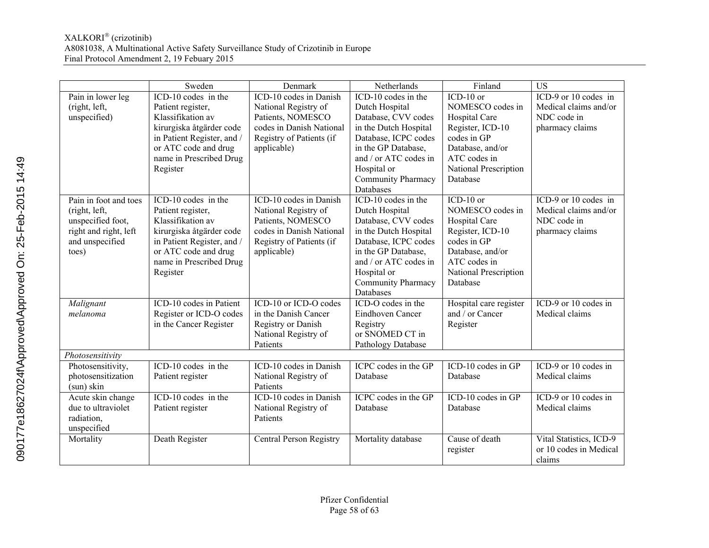|                       | Sweden                                  | Denmark                                    | Netherlands                     | Finland                                   | $\overline{US}$                                   |
|-----------------------|-----------------------------------------|--------------------------------------------|---------------------------------|-------------------------------------------|---------------------------------------------------|
| Pain in lower leg     | $ICD-10$ codes in the                   | ICD-10 codes in Danish                     | ICD-10 codes in the             | $ICD-10$ or                               | ICD-9 or 10 codes in                              |
| (right, left,         | Patient register,                       | National Registry of                       | Dutch Hospital                  | NOMESCO codes in                          | Medical claims and/or                             |
| unspecified)          | Klassifikation av                       | Patients, NOMESCO                          | Database, CVV codes             | Hospital Care                             | NDC code in                                       |
|                       | kirurgiska åtgärder code                | codes in Danish National                   | in the Dutch Hospital           | Register, ICD-10                          | pharmacy claims                                   |
|                       | in Patient Register, and /              | Registry of Patients (if                   | Database, ICPC codes            | codes in GP                               |                                                   |
|                       | or ATC code and drug                    | applicable)                                | in the GP Database,             | Database, and/or                          |                                                   |
|                       | name in Prescribed Drug                 |                                            | and / or ATC codes in           | ATC codes in                              |                                                   |
|                       | Register                                |                                            | Hospital or                     | National Prescription                     |                                                   |
|                       |                                         |                                            | <b>Community Pharmacy</b>       | Database                                  |                                                   |
|                       |                                         |                                            | Databases                       |                                           |                                                   |
| Pain in foot and toes | ICD-10 codes in the                     | ICD-10 codes in Danish                     | ICD-10 codes in the             | $ICD-10$ or                               | ICD-9 or 10 codes in                              |
| (right, left,         | Patient register,                       | National Registry of                       | Dutch Hospital                  | NOMESCO codes in                          | Medical claims and/or                             |
| unspecified foot,     | Klassifikation av                       | Patients, NOMESCO                          | Database, CVV codes             | Hospital Care                             | NDC code in                                       |
| right and right, left | kirurgiska åtgärder code                | codes in Danish National                   | in the Dutch Hospital           | Register, ICD-10                          | pharmacy claims                                   |
| and unspecified       | in Patient Register, and /              | Registry of Patients (if                   | Database, ICPC codes            | codes in GP                               |                                                   |
| toes)                 | or ATC code and drug                    | applicable)                                | in the GP Database,             | Database, and/or                          |                                                   |
|                       | name in Prescribed Drug                 |                                            | and / or ATC codes in           | ATC codes in                              |                                                   |
|                       | Register                                |                                            | Hospital or                     | National Prescription                     |                                                   |
|                       |                                         |                                            | Community Pharmacy              | Database                                  |                                                   |
|                       | ICD-10 codes in Patient                 | ICD-10 or ICD-O codes                      | Databases<br>ICD-O codes in the |                                           | ICD-9 or 10 codes in                              |
| Malignant             |                                         |                                            |                                 | Hospital care register<br>and / or Cancer |                                                   |
| melanoma              | Register or ICD-O codes                 | in the Danish Cancer                       | Eindhoven Cancer                |                                           | Medical claims                                    |
|                       | in the Cancer Register                  | Registry or Danish<br>National Registry of | Registry<br>or SNOMED CT in     | Register                                  |                                                   |
|                       |                                         | Patients                                   | Pathology Database              |                                           |                                                   |
| Photosensitivity      |                                         |                                            |                                 |                                           |                                                   |
| Photosensitivity,     | $\overline{\text{ICD-10 codes}}$ in the | ICD-10 codes in Danish                     | ICPC codes in the GP            | $\overline{\text{ICD}}$ -10 codes in GP   | $\overline{\text{ICD-9} \text{ or } 10}$ codes in |
| photosensitization    | Patient register                        | National Registry of                       | Database                        | Database                                  | Medical claims                                    |
| (sun) skin            |                                         | Patients                                   |                                 |                                           |                                                   |
| Acute skin change     | ICD-10 codes in the                     | ICD-10 codes in Danish                     | ICPC codes in the GP            | ICD-10 codes in GP                        | ICD-9 or 10 codes in                              |
| due to ultraviolet    | Patient register                        | National Registry of                       | Database                        | Database                                  | Medical claims                                    |
| radiation,            |                                         | Patients                                   |                                 |                                           |                                                   |
| unspecified           |                                         |                                            |                                 |                                           |                                                   |
| Mortality             | Death Register                          | Central Person Registry                    | Mortality database              | Cause of death                            | Vital Statistics, ICD-9                           |
|                       |                                         |                                            |                                 | register                                  | or 10 codes in Medical                            |
|                       |                                         |                                            |                                 |                                           | claims                                            |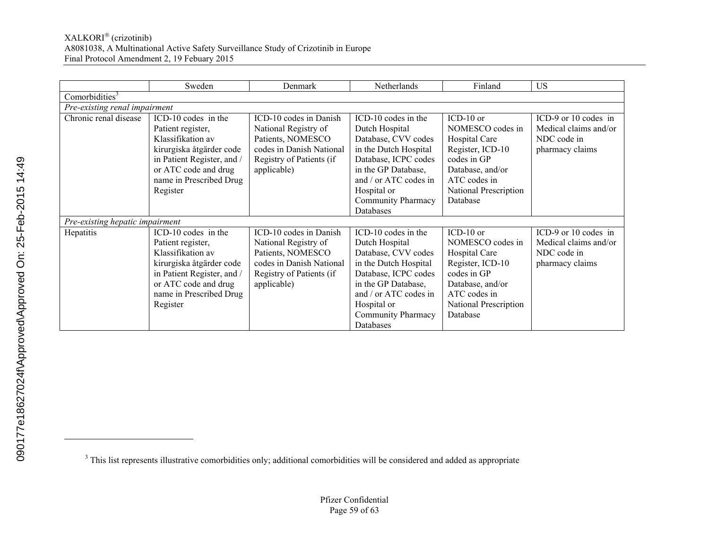|                                 | Sweden                                                                                                                                                                                 | Denmark                                                                                                                                    | <b>Netherlands</b>                                                                                                                                                                                                     | Finland                                                                                                                                                                         | <b>US</b>                                                                       |
|---------------------------------|----------------------------------------------------------------------------------------------------------------------------------------------------------------------------------------|--------------------------------------------------------------------------------------------------------------------------------------------|------------------------------------------------------------------------------------------------------------------------------------------------------------------------------------------------------------------------|---------------------------------------------------------------------------------------------------------------------------------------------------------------------------------|---------------------------------------------------------------------------------|
| Comorbidities <sup>3</sup>      |                                                                                                                                                                                        |                                                                                                                                            |                                                                                                                                                                                                                        |                                                                                                                                                                                 |                                                                                 |
| Pre-existing renal impairment   |                                                                                                                                                                                        |                                                                                                                                            |                                                                                                                                                                                                                        |                                                                                                                                                                                 |                                                                                 |
| Chronic renal disease           | ICD-10 codes in the<br>Patient register,<br>Klassifikation av<br>kirurgiska åtgärder code<br>in Patient Register, and /<br>or ATC code and drug<br>name in Prescribed Drug<br>Register | ICD-10 codes in Danish<br>National Registry of<br>Patients, NOMESCO<br>codes in Danish National<br>Registry of Patients (if<br>applicable) | ICD-10 codes in the<br>Dutch Hospital<br>Database, CVV codes<br>in the Dutch Hospital<br>Database, ICPC codes<br>in the GP Database,<br>and / or ATC codes in<br>Hospital or<br><b>Community Pharmacy</b><br>Databases | $\overline{\text{IC}}$ D-10 or<br>NOMESCO codes in<br>Hospital Care<br>Register, ICD-10<br>codes in GP<br>Database, and/or<br>ATC codes in<br>National Prescription<br>Database | ICD-9 or 10 codes in<br>Medical claims and/or<br>NDC code in<br>pharmacy claims |
| Pre-existing hepatic impairment |                                                                                                                                                                                        |                                                                                                                                            |                                                                                                                                                                                                                        |                                                                                                                                                                                 |                                                                                 |
| Hepatitis                       | ICD-10 codes in the<br>Patient register,<br>Klassifikation av<br>kirurgiska åtgärder code<br>in Patient Register, and /<br>or ATC code and drug<br>name in Prescribed Drug<br>Register | ICD-10 codes in Danish<br>National Registry of<br>Patients, NOMESCO<br>codes in Danish National<br>Registry of Patients (if<br>applicable) | ICD-10 codes in the<br>Dutch Hospital<br>Database, CVV codes<br>in the Dutch Hospital<br>Database, ICPC codes<br>in the GP Database,<br>and / or ATC codes in<br>Hospital or<br><b>Community Pharmacy</b><br>Databases | $ICD-10$ or<br>NOMESCO codes in<br>Hospital Care<br>Register, ICD-10<br>codes in GP<br>Database, and/or<br>ATC codes in<br>National Prescription<br>Database                    | ICD-9 or 10 codes in<br>Medical claims and/or<br>NDC code in<br>pharmacy claims |

 $\overline{a}$ 

<sup>&</sup>lt;sup>3</sup> This list represents illustrative comorbidities only; additional comorbidities will be considered and added as appropriate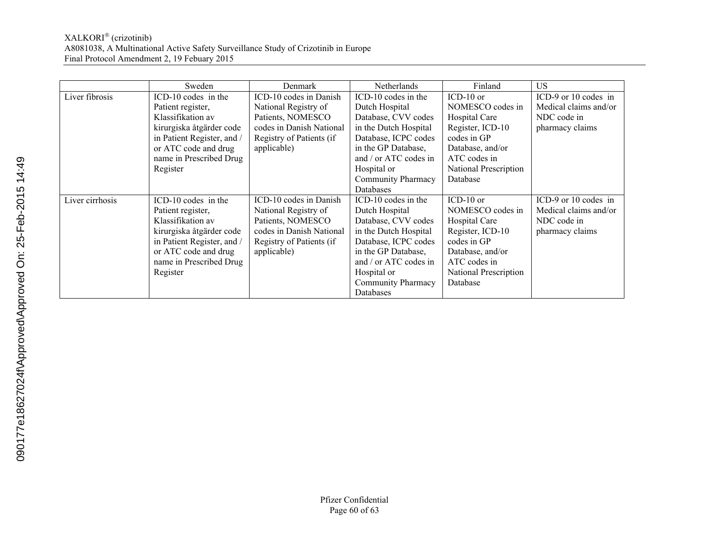|                 | Sweden                     | Denmark                  | <b>Netherlands</b>        | Finland               | US.                   |
|-----------------|----------------------------|--------------------------|---------------------------|-----------------------|-----------------------|
| Liver fibrosis  | ICD-10 codes in the        | ICD-10 codes in Danish   | ICD-10 codes in the       | $ICD-10$ or           | ICD-9 or 10 codes in  |
|                 | Patient register,          | National Registry of     | Dutch Hospital            | NOMESCO codes in      | Medical claims and/or |
|                 | Klassifikation av          | Patients, NOMESCO        | Database, CVV codes       | Hospital Care         | NDC code in           |
|                 | kirurgiska åtgärder code   | codes in Danish National | in the Dutch Hospital     | Register, ICD-10      | pharmacy claims       |
|                 | in Patient Register, and / | Registry of Patients (if | Database, ICPC codes      | codes in GP           |                       |
|                 | or ATC code and drug       | applicable)              | in the GP Database,       | Database, and/or      |                       |
|                 | name in Prescribed Drug    |                          | and / or ATC codes in     | ATC codes in          |                       |
|                 | Register                   |                          | Hospital or               | National Prescription |                       |
|                 |                            |                          | <b>Community Pharmacy</b> | Database              |                       |
|                 |                            |                          | Databases                 |                       |                       |
| Liver cirrhosis | ICD-10 codes in the        | ICD-10 codes in Danish   | ICD-10 codes in the       | ICD-10 or             | ICD-9 or 10 codes in  |
|                 | Patient register,          | National Registry of     | Dutch Hospital            | NOMESCO codes in      | Medical claims and/or |
|                 | Klassifikation av          | Patients, NOMESCO        | Database, CVV codes       | Hospital Care         | NDC code in           |
|                 | kirurgiska åtgärder code   | codes in Danish National | in the Dutch Hospital     | Register, ICD-10      | pharmacy claims       |
|                 | in Patient Register, and / | Registry of Patients (if | Database, ICPC codes      | codes in GP           |                       |
|                 | or ATC code and drug       | applicable)              | in the GP Database,       | Database, and/or      |                       |
|                 | name in Prescribed Drug    |                          | and / or ATC codes in     | ATC codes in          |                       |
|                 | Register                   |                          | Hospital or               | National Prescription |                       |
|                 |                            |                          | <b>Community Pharmacy</b> | Database              |                       |
|                 |                            |                          | Databases                 |                       |                       |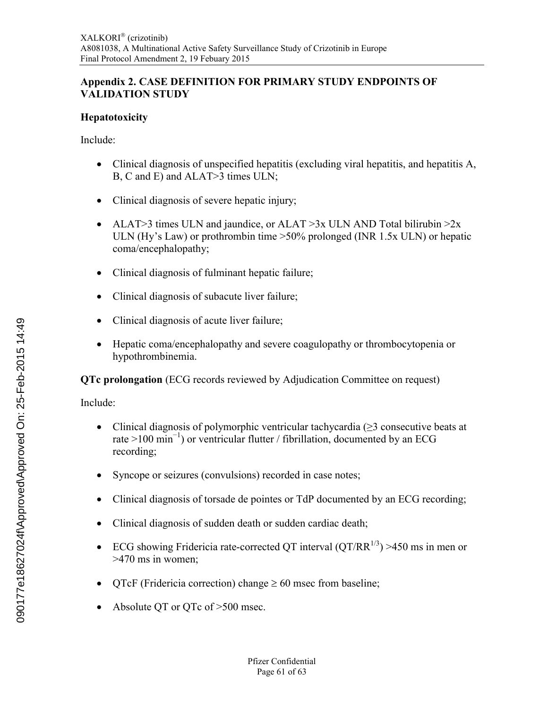# <span id="page-60-0"></span>**Appendix 2. CASE DEFINITION FOR PRIMARY STUDY ENDPOINTS OF VALIDATION STUDY**

### **Hepatotoxicity**

Include:

- Clinical diagnosis of unspecified hepatitis (excluding viral hepatitis, and hepatitis A, B, C and E) and ALAT>3 times ULN;
- Clinical diagnosis of severe hepatic injury;
- ALAT>3 times ULN and jaundice, or ALAT >3x ULN AND Total bilirubin >2x ULN (Hy's Law) or prothrombin time >50% prolonged (INR 1.5x ULN) or hepatic coma/encephalopathy;
- Clinical diagnosis of fulminant hepatic failure;
- Clinical diagnosis of subacute liver failure;
- Clinical diagnosis of acute liver failure;
- Hepatic coma/encephalopathy and severe coagulopathy or thrombocytopenia or hypothrombinemia.

**QTc prolongation** (ECG records reviewed by Adjudication Committee on request)

Include:

- Clinical diagnosis of polymorphic ventricular tachycardia (≥3 consecutive beats at rate >100 min<sup>-1</sup>) or ventricular flutter / fibrillation, documented by an ECG recording;
- Syncope or seizures (convulsions) recorded in case notes;
- Clinical diagnosis of torsade de pointes or TdP documented by an ECG recording;
- Clinical diagnosis of sudden death or sudden cardiac death;
- ECG showing Fridericia rate-corrected QT interval  $(QT/RR^{1/3}) > 450$  ms in men or >470 ms in women;
- OTcF (Fridericia correction) change  $\geq 60$  msec from baseline;
- Absolute OT or OTc of >500 msec.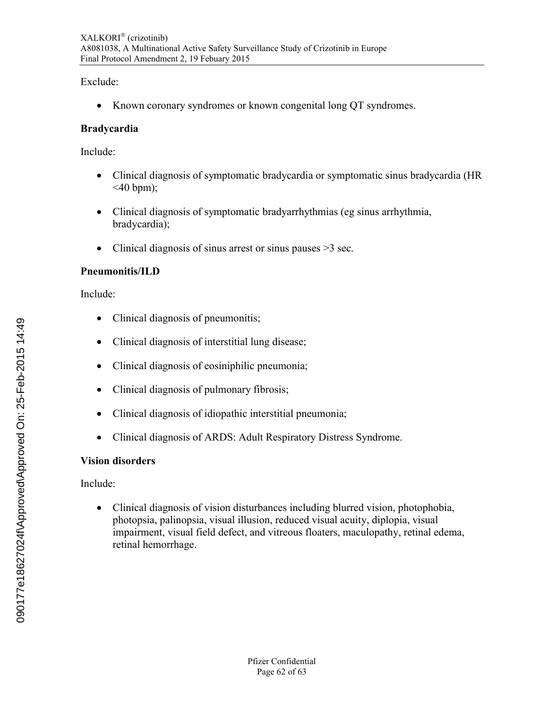Exclude:

• Known coronary syndromes or known congenital long OT syndromes.

### **Bradycardia**

Include:

- Clinical diagnosis of symptomatic bradycardia or symptomatic sinus bradycardia (HR  $\leq 40$  bpm);
- Clinical diagnosis of symptomatic bradyarrhythmias (eg sinus arrhythmia, bradycardia);
- Clinical diagnosis of sinus arrest or sinus pauses > 3 sec.

### **Pneumonitis/ILD**

Include:

- Clinical diagnosis of pneumonitis;
- Clinical diagnosis of interstitial lung disease;
- Clinical diagnosis of eosiniphilic pneumonia;
- Clinical diagnosis of pulmonary fibrosis;
- Clinical diagnosis of idiopathic interstitial pneumonia;
- Clinical diagnosis of ARDS: Adult Respiratory Distress Syndrome.

# **Vision disorders**

Include:

 Clinical diagnosis of vision disturbances including blurred vision, photophobia, photopsia, palinopsia, visual illusion, reduced visual acuity, diplopia, visual impairment, visual field defect, and vitreous floaters, maculopathy, retinal edema, retinal hemorrhage.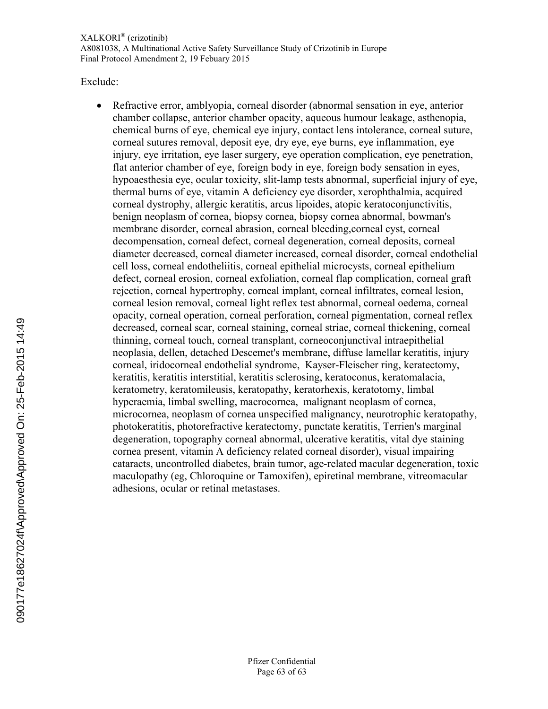Exclude:

 Refractive error, amblyopia, corneal disorder (abnormal sensation in eye, anterior chamber collapse, anterior chamber opacity, aqueous humour leakage, asthenopia, chemical burns of eye, chemical eye injury, contact lens intolerance, corneal suture, corneal sutures removal, deposit eye, dry eye, eye burns, eye inflammation, eye injury, eye irritation, eye laser surgery, eye operation complication, eye penetration, flat anterior chamber of eye, foreign body in eye, foreign body sensation in eyes, hypoaesthesia eye, ocular toxicity, slit-lamp tests abnormal, superficial injury of eye, thermal burns of eye, vitamin A deficiency eye disorder, xerophthalmia, acquired corneal dystrophy, allergic keratitis, arcus lipoides, atopic keratoconjunctivitis, benign neoplasm of cornea, biopsy cornea, biopsy cornea abnormal, bowman's membrane disorder, corneal abrasion, corneal bleeding,corneal cyst, corneal decompensation, corneal defect, corneal degeneration, corneal deposits, corneal diameter decreased, corneal diameter increased, corneal disorder, corneal endothelial cell loss, corneal endotheliitis, corneal epithelial microcysts, corneal epithelium defect, corneal erosion, corneal exfoliation, corneal flap complication, corneal graft rejection, corneal hypertrophy, corneal implant, corneal infiltrates, corneal lesion, corneal lesion removal, corneal light reflex test abnormal, corneal oedema, corneal opacity, corneal operation, corneal perforation, corneal pigmentation, corneal reflex decreased, corneal scar, corneal staining, corneal striae, corneal thickening, corneal thinning, corneal touch, corneal transplant, corneoconjunctival intraepithelial neoplasia, dellen, detached Descemet's membrane, diffuse lamellar keratitis, injury corneal, iridocorneal endothelial syndrome, Kayser-Fleischer ring, keratectomy, keratitis, keratitis interstitial, keratitis sclerosing, keratoconus, keratomalacia, keratometry, keratomileusis, keratopathy, keratorhexis, keratotomy, limbal hyperaemia, limbal swelling, macrocornea, malignant neoplasm of cornea, microcornea, neoplasm of cornea unspecified malignancy, neurotrophic keratopathy, photokeratitis, photorefractive keratectomy, punctate keratitis, Terrien's marginal degeneration, topography corneal abnormal, ulcerative keratitis, vital dye staining cornea present, vitamin A deficiency related corneal disorder), visual impairing cataracts, uncontrolled diabetes, brain tumor, age-related macular degeneration, toxic maculopathy (eg, Chloroquine or Tamoxifen), epiretinal membrane, vitreomacular adhesions, ocular or retinal metastases.